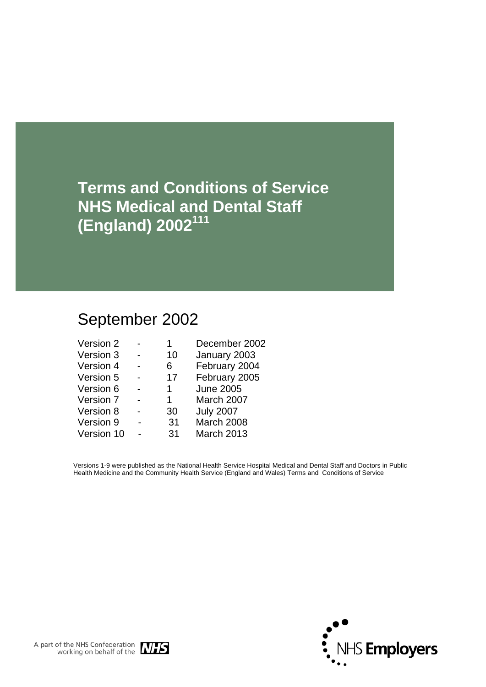**Terms and Conditions of Service NHS Medical and Dental Staff (England) 2002111**

# September 2002

| Version 2  |    | December 2002    |
|------------|----|------------------|
| Version 3  | 10 | January 2003     |
| Version 4  | 6  | February 2004    |
| Version 5  | 17 | February 2005    |
| Version 6  | 1  | <b>June 2005</b> |
| Version 7  | 1. | March 2007       |
| Version 8  | 30 | <b>July 2007</b> |
| Version 9  | 31 | March 2008       |
| Version 10 | 31 | March 2013       |

Versions 1-9 were published as the National Health Service Hospital Medical and Dental Staff and Doctors in Public Health Medicine and the Community Health Service (England and Wales) Terms and Conditions of Service



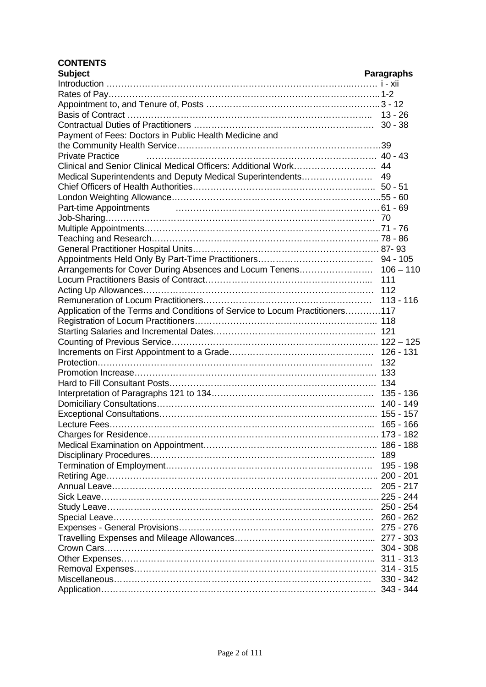# **CONTENTS**

| <b>Subject</b>                                                               | <b>Paragraphs</b> |
|------------------------------------------------------------------------------|-------------------|
|                                                                              |                   |
|                                                                              |                   |
|                                                                              |                   |
|                                                                              |                   |
|                                                                              |                   |
| Payment of Fees: Doctors in Public Health Medicine and                       |                   |
|                                                                              |                   |
| <b>Private Practice</b>                                                      |                   |
|                                                                              |                   |
|                                                                              |                   |
|                                                                              |                   |
|                                                                              |                   |
| Part-time Appointments                                                       |                   |
|                                                                              |                   |
|                                                                              |                   |
|                                                                              |                   |
|                                                                              |                   |
|                                                                              |                   |
|                                                                              |                   |
|                                                                              |                   |
|                                                                              |                   |
|                                                                              |                   |
| Application of the Terms and Conditions of Service to Locum Practitioners117 |                   |
|                                                                              |                   |
|                                                                              |                   |
|                                                                              |                   |
|                                                                              |                   |
|                                                                              |                   |
|                                                                              |                   |
|                                                                              |                   |
|                                                                              |                   |
|                                                                              |                   |
|                                                                              |                   |
|                                                                              |                   |
|                                                                              |                   |
|                                                                              |                   |
|                                                                              | 189               |
|                                                                              | 195 - 198         |
|                                                                              |                   |
|                                                                              | $205 - 217$       |
|                                                                              |                   |
|                                                                              |                   |
|                                                                              |                   |
|                                                                              |                   |
|                                                                              |                   |
|                                                                              |                   |
|                                                                              |                   |
|                                                                              |                   |
|                                                                              | $330 - 342$       |
|                                                                              |                   |
|                                                                              |                   |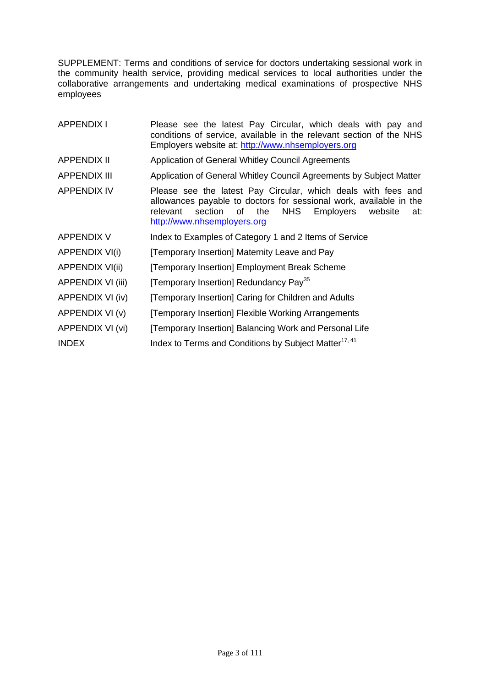SUPPLEMENT: Terms and conditions of service for doctors undertaking sessional work in the community health service, providing medical services to local authorities under the collaborative arrangements and undertaking medical examinations of prospective NHS employees

| <b>APPENDIX I</b>      | Please see the latest Pay Circular, which deals with pay and<br>conditions of service, available in the relevant section of the NHS<br>Employers website at: http://www.nhsemployers.org                                                            |
|------------------------|-----------------------------------------------------------------------------------------------------------------------------------------------------------------------------------------------------------------------------------------------------|
| <b>APPENDIX II</b>     | Application of General Whitley Council Agreements                                                                                                                                                                                                   |
| <b>APPENDIX III</b>    | Application of General Whitley Council Agreements by Subject Matter                                                                                                                                                                                 |
| <b>APPENDIX IV</b>     | Please see the latest Pay Circular, which deals with fees and<br>allowances payable to doctors for sessional work, available in the<br>section<br><b>NHS</b><br>Employers<br>relevant<br>of<br>the<br>website<br>at:<br>http://www.nhsemployers.org |
| <b>APPENDIX V</b>      | Index to Examples of Category 1 and 2 Items of Service                                                                                                                                                                                              |
| <b>APPENDIX VI(i)</b>  | [Temporary Insertion] Maternity Leave and Pay                                                                                                                                                                                                       |
| <b>APPENDIX VI(ii)</b> | [Temporary Insertion] Employment Break Scheme                                                                                                                                                                                                       |
| APPENDIX VI (iii)      | [Temporary Insertion] Redundancy Pay <sup>35</sup>                                                                                                                                                                                                  |
| APPENDIX VI (iv)       | [Temporary Insertion] Caring for Children and Adults                                                                                                                                                                                                |
| APPENDIX VI (v)        | [Temporary Insertion] Flexible Working Arrangements                                                                                                                                                                                                 |
| APPENDIX VI (vi)       | [Temporary Insertion] Balancing Work and Personal Life                                                                                                                                                                                              |
| <b>INDEX</b>           | Index to Terms and Conditions by Subject Matter <sup>17, 41</sup>                                                                                                                                                                                   |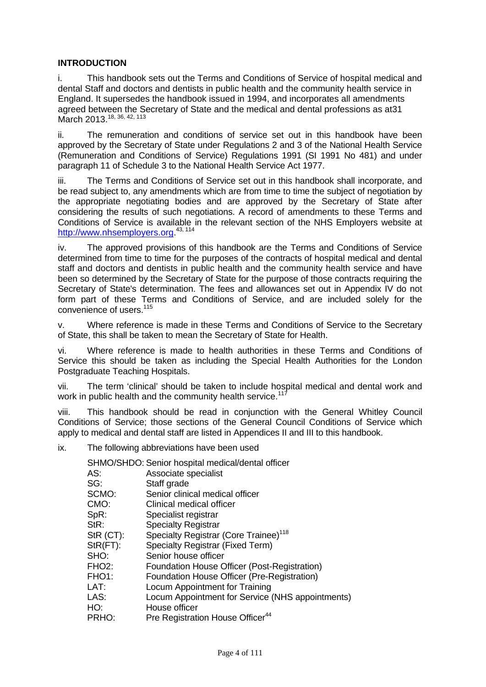# **INTRODUCTION**

i. This handbook sets out the Terms and Conditions of Service of hospital medical and dental Staff and doctors and dentists in public health and the community health service in England. It supersedes the handbook issued in 1994, and incorporates all amendments agreed between the Secretary of State and the medical and dental professions as at31 March 2013.<sup>18, 36, 42, 113</sup>

ii. The remuneration and conditions of service set out in this handbook have been approved by the Secretary of State under Regulations 2 and 3 of the National Health Service (Remuneration and Conditions of Service) Regulations 1991 (SI 1991 No 481) and under paragraph 11 of Schedule 3 to the National Health Service Act 1977.

iii. The Terms and Conditions of Service set out in this handbook shall incorporate, and be read subject to, any amendments which are from time to time the subject of negotiation by the appropriate negotiating bodies and are approved by the Secretary of State after considering the results of such negotiations. A record of amendments to these Terms and Conditions of Service is available in the relevant section of the NHS Employers website at [http://www.nhsemployers.org.](http://www.nhsemployers.org/)<sup>43, 114</sup>

iv. The approved provisions of this handbook are the Terms and Conditions of Service determined from time to time for the purposes of the contracts of hospital medical and dental staff and doctors and dentists in public health and the community health service and have been so determined by the Secretary of State for the purpose of those contracts requiring the Secretary of State's determination. The fees and allowances set out in Appendix IV do not form part of these Terms and Conditions of Service, and are included solely for the convenience of users.<sup>115</sup>

v. Where reference is made in these Terms and Conditions of Service to the Secretary of State, this shall be taken to mean the Secretary of State for Health.

vi. Where reference is made to health authorities in these Terms and Conditions of Service this should be taken as including the Special Health Authorities for the London Postgraduate Teaching Hospitals.

vii. The term 'clinical' should be taken to include hospital medical and dental work and work in public health and the community health service.<sup>117</sup>

viii. This handbook should be read in conjunction with the General Whitley Council Conditions of Service; those sections of the General Council Conditions of Service which apply to medical and dental staff are listed in Appendices II and III to this handbook.

ix. The following abbreviations have been used

|                    | SHMO/SHDO: Senior hospital medical/dental officer |
|--------------------|---------------------------------------------------|
| AS:                | Associate specialist                              |
| SG:                | Staff grade                                       |
| SCMO:              | Senior clinical medical officer                   |
| CMO:               | Clinical medical officer                          |
| SpR:               | Specialist registrar                              |
| StR:               | <b>Specialty Registrar</b>                        |
| $StR$ (CT):        | Specialty Registrar (Core Trainee) <sup>118</sup> |
| $StR(FT)$ :        | Specialty Registrar (Fixed Term)                  |
| SHO:               | Senior house officer                              |
| FHO <sub>2</sub> : | Foundation House Officer (Post-Registration)      |
| FHO <sub>1:</sub>  | Foundation House Officer (Pre-Registration)       |
| LAT:               | Locum Appointment for Training                    |
| LAS:               | Locum Appointment for Service (NHS appointments)  |
| HO:                | House officer                                     |
| PRHO:              | Pre Registration House Officer <sup>44</sup>      |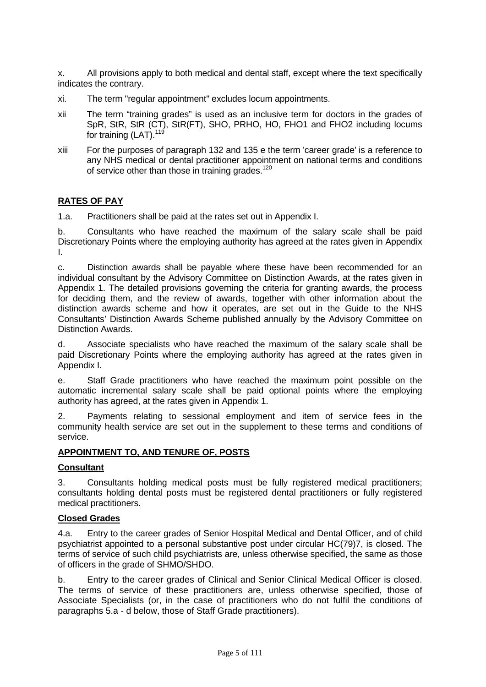x. All provisions apply to both medical and dental staff, except where the text specifically indicates the contrary.

- xi. The term "regular appointment" excludes locum appointments.
- xii The term "training grades" is used as an inclusive term for doctors in the grades of SpR, StR, StR (CT), StR(FT), SHO, PRHO, HO, FHO1 and FHO2 including locums for training (LAT).<sup>119</sup>
- xiii For the purposes of paragraph 132 and 135 e the term 'career grade' is a reference to any NHS medical or dental practitioner appointment on national terms and conditions of service other than those in training grades.<sup>120</sup>

# **RATES OF PAY**

1.a. Practitioners shall be paid at the rates set out in Appendix I.

b. Consultants who have reached the maximum of the salary scale shall be paid Discretionary Points where the employing authority has agreed at the rates given in Appendix I.

c. Distinction awards shall be payable where these have been recommended for an individual consultant by the Advisory Committee on Distinction Awards, at the rates given in Appendix 1. The detailed provisions governing the criteria for granting awards, the process for deciding them, and the review of awards, together with other information about the distinction awards scheme and how it operates, are set out in the Guide to the NHS Consultants' Distinction Awards Scheme published annually by the Advisory Committee on Distinction Awards.

d. Associate specialists who have reached the maximum of the salary scale shall be paid Discretionary Points where the employing authority has agreed at the rates given in Appendix I.

e. Staff Grade practitioners who have reached the maximum point possible on the automatic incremental salary scale shall be paid optional points where the employing authority has agreed, at the rates given in Appendix 1.

2. Payments relating to sessional employment and item of service fees in the community health service are set out in the supplement to these terms and conditions of service.

# **APPOINTMENT TO, AND TENURE OF, POSTS**

#### **Consultant**

3. Consultants holding medical posts must be fully registered medical practitioners; consultants holding dental posts must be registered dental practitioners or fully registered medical practitioners.

#### **Closed Grades**

4.a. Entry to the career grades of Senior Hospital Medical and Dental Officer, and of child psychiatrist appointed to a personal substantive post under circular HC(79)7, is closed. The terms of service of such child psychiatrists are, unless otherwise specified, the same as those of officers in the grade of SHMO/SHDO.

b. Entry to the career grades of Clinical and Senior Clinical Medical Officer is closed. The terms of service of these practitioners are, unless otherwise specified, those of Associate Specialists (or, in the case of practitioners who do not fulfil the conditions of paragraphs 5.a - d below, those of Staff Grade practitioners).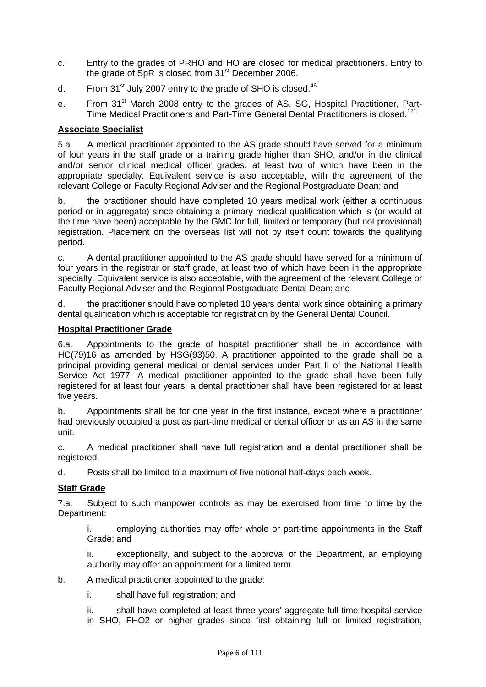- c. Entry to the grades of PRHO and HO are closed for medical practitioners. Entry to the grade of  $SpR$  is closed from  $31<sup>st</sup>$  December 2006.
- d. From  $31<sup>st</sup>$  July 2007 entry to the grade of SHO is closed.<sup>46</sup>
- e. From 31<sup>st</sup> March 2008 entry to the grades of AS, SG, Hospital Practitioner, Part-Time Medical Practitioners and Part-Time General Dental Practitioners is closed.<sup>121</sup>

# **Associate Specialist**

5.a. A medical practitioner appointed to the AS grade should have served for a minimum of four years in the staff grade or a training grade higher than SHO, and/or in the clinical and/or senior clinical medical officer grades, at least two of which have been in the appropriate specialty. Equivalent service is also acceptable, with the agreement of the relevant College or Faculty Regional Adviser and the Regional Postgraduate Dean; and

b. the practitioner should have completed 10 years medical work (either a continuous period or in aggregate) since obtaining a primary medical qualification which is (or would at the time have been) acceptable by the GMC for full, limited or temporary (but not provisional) registration. Placement on the overseas list will not by itself count towards the qualifying period.

c. A dental practitioner appointed to the AS grade should have served for a minimum of four years in the registrar or staff grade, at least two of which have been in the appropriate specialty. Equivalent service is also acceptable, with the agreement of the relevant College or Faculty Regional Adviser and the Regional Postgraduate Dental Dean; and

d. the practitioner should have completed 10 years dental work since obtaining a primary dental qualification which is acceptable for registration by the General Dental Council.

#### **Hospital Practitioner Grade**

6.a. Appointments to the grade of hospital practitioner shall be in accordance with HC(79)16 as amended by HSG(93)50. A practitioner appointed to the grade shall be a principal providing general medical or dental services under Part II of the National Health Service Act 1977. A medical practitioner appointed to the grade shall have been fully registered for at least four years; a dental practitioner shall have been registered for at least five years.

b. Appointments shall be for one year in the first instance, except where a practitioner had previously occupied a post as part-time medical or dental officer or as an AS in the same unit.

c. A medical practitioner shall have full registration and a dental practitioner shall be registered.

d. Posts shall be limited to a maximum of five notional half-days each week.

# **Staff Grade**

7.a. Subject to such manpower controls as may be exercised from time to time by the Department:

i. employing authorities may offer whole or part-time appointments in the Staff Grade; and

ii. exceptionally, and subject to the approval of the Department, an employing authority may offer an appointment for a limited term.

b. A medical practitioner appointed to the grade:

i. shall have full registration; and

ii. shall have completed at least three years' aggregate full-time hospital service in SHO, FHO2 or higher grades since first obtaining full or limited registration,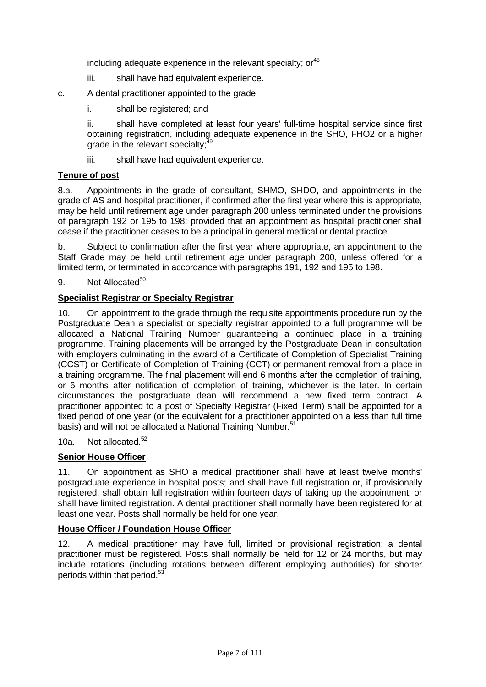including adequate experience in the relevant specialty;  $or<sup>48</sup>$ 

- iii. shall have had equivalent experience.
- c. A dental practitioner appointed to the grade:
	- i. shall be registered; and

ii. shall have completed at least four years' full-time hospital service since first obtaining registration, including adequate experience in the SHO, FHO2 or a higher grade in the relevant specialty:<sup>49</sup>

iii. shall have had equivalent experience.

# **Tenure of post**

8.a. Appointments in the grade of consultant, SHMO, SHDO, and appointments in the grade of AS and hospital practitioner, if confirmed after the first year where this is appropriate, may be held until retirement age under paragraph 200 unless terminated under the provisions of paragraph 192 or 195 to 198; provided that an appointment as hospital practitioner shall cease if the practitioner ceases to be a principal in general medical or dental practice.

b. Subject to confirmation after the first year where appropriate, an appointment to the Staff Grade may be held until retirement age under paragraph 200, unless offered for a limited term, or terminated in accordance with paragraphs 191, 192 and 195 to 198.

9. Not Allocated<sup>50</sup>

#### **Specialist Registrar or Specialty Registrar**

10. On appointment to the grade through the requisite appointments procedure run by the Postgraduate Dean a specialist or specialty registrar appointed to a full programme will be allocated a National Training Number guaranteeing a continued place in a training programme. Training placements will be arranged by the Postgraduate Dean in consultation with employers culminating in the award of a Certificate of Completion of Specialist Training (CCST) or Certificate of Completion of Training (CCT) or permanent removal from a place in a training programme. The final placement will end 6 months after the completion of training, or 6 months after notification of completion of training, whichever is the later. In certain circumstances the postgraduate dean will recommend a new fixed term contract. A practitioner appointed to a post of Specialty Registrar (Fixed Term) shall be appointed for a fixed period of one year (or the equivalent for a practitioner appointed on a less than full time basis) and will not be allocated a National Training Number.<sup>51</sup>

10a. Not allocated.<sup>52</sup>

#### **Senior House Officer**

11. On appointment as SHO a medical practitioner shall have at least twelve months' postgraduate experience in hospital posts; and shall have full registration or, if provisionally registered, shall obtain full registration within fourteen days of taking up the appointment; or shall have limited registration. A dental practitioner shall normally have been registered for at least one year. Posts shall normally be held for one year.

#### **House Officer / Foundation House Officer**

12. A medical practitioner may have full, limited or provisional registration; a dental practitioner must be registered. Posts shall normally be held for 12 or 24 months, but may include rotations (including rotations between different employing authorities) for shorter periods within that period.<sup>53</sup>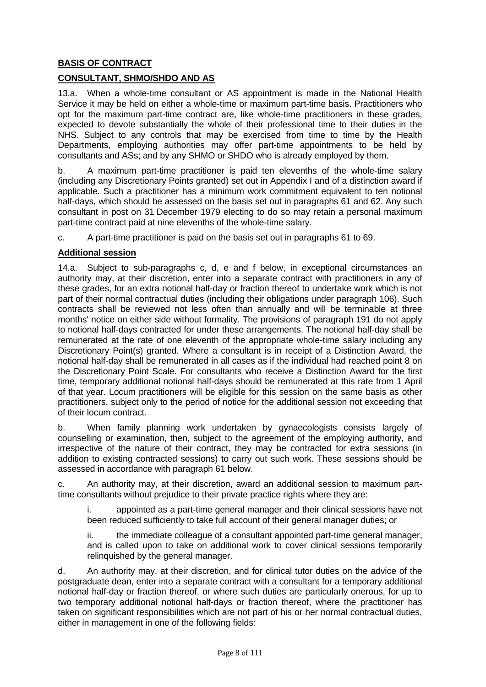# **BASIS OF CONTRACT**

# **CONSULTANT, SHMO/SHDO AND AS**

13.a. When a whole-time consultant or AS appointment is made in the National Health Service it may be held on either a whole-time or maximum part-time basis. Practitioners who opt for the maximum part-time contract are, like whole-time practitioners in these grades, expected to devote substantially the whole of their professional time to their duties in the NHS. Subject to any controls that may be exercised from time to time by the Health Departments, employing authorities may offer part-time appointments to be held by consultants and ASs; and by any SHMO or SHDO who is already employed by them.

b. A maximum part-time practitioner is paid ten elevenths of the whole-time salary (including any Discretionary Points granted) set out in Appendix I and of a distinction award if applicable. Such a practitioner has a minimum work commitment equivalent to ten notional half-days, which should be assessed on the basis set out in paragraphs 61 and 62. Any such consultant in post on 31 December 1979 electing to do so may retain a personal maximum part-time contract paid at nine elevenths of the whole-time salary.

c. A part-time practitioner is paid on the basis set out in paragraphs 61 to 69.

# **Additional session**

14.a. Subject to sub-paragraphs c, d, e and f below, in exceptional circumstances an authority may, at their discretion, enter into a separate contract with practitioners in any of these grades, for an extra notional half-day or fraction thereof to undertake work which is not part of their normal contractual duties (including their obligations under paragraph 106). Such contracts shall be reviewed not less often than annually and will be terminable at three months' notice on either side without formality. The provisions of paragraph 191 do not apply to notional half-days contracted for under these arrangements. The notional half-day shall be remunerated at the rate of one eleventh of the appropriate whole-time salary including any Discretionary Point(s) granted. Where a consultant is in receipt of a Distinction Award, the notional half-day shall be remunerated in all cases as if the individual had reached point 8 on the Discretionary Point Scale. For consultants who receive a Distinction Award for the first time, temporary additional notional half-days should be remunerated at this rate from 1 April of that year. Locum practitioners will be eligible for this session on the same basis as other practitioners, subject only to the period of notice for the additional session not exceeding that of their locum contract.

b. When family planning work undertaken by gynaecologists consists largely of counselling or examination, then, subject to the agreement of the employing authority, and irrespective of the nature of their contract, they may be contracted for extra sessions (in addition to existing contracted sessions) to carry out such work. These sessions should be assessed in accordance with paragraph 61 below.

c. An authority may, at their discretion, award an additional session to maximum parttime consultants without prejudice to their private practice rights where they are:

i. appointed as a part-time general manager and their clinical sessions have not been reduced sufficiently to take full account of their general manager duties; or

ii. the immediate colleague of a consultant appointed part-time general manager, and is called upon to take on additional work to cover clinical sessions temporarily relinquished by the general manager.

d. An authority may, at their discretion, and for clinical tutor duties on the advice of the postgraduate dean, enter into a separate contract with a consultant for a temporary additional notional half-day or fraction thereof, or where such duties are particularly onerous, for up to two temporary additional notional half-days or fraction thereof, where the practitioner has taken on significant responsibilities which are not part of his or her normal contractual duties, either in management in one of the following fields: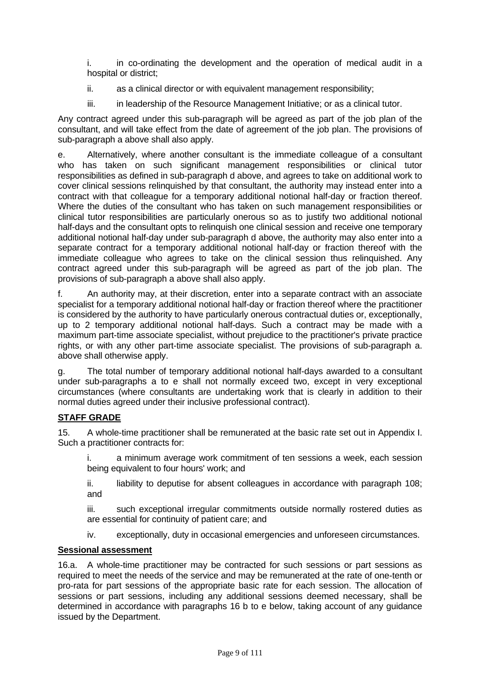i. in co-ordinating the development and the operation of medical audit in a hospital or district;

- ii. as a clinical director or with equivalent management responsibility;
- iii. in leadership of the Resource Management Initiative; or as a clinical tutor.

Any contract agreed under this sub-paragraph will be agreed as part of the job plan of the consultant, and will take effect from the date of agreement of the job plan. The provisions of sub-paragraph a above shall also apply.

e. Alternatively, where another consultant is the immediate colleague of a consultant who has taken on such significant management responsibilities or clinical tutor responsibilities as defined in sub-paragraph d above, and agrees to take on additional work to cover clinical sessions relinquished by that consultant, the authority may instead enter into a contract with that colleague for a temporary additional notional half-day or fraction thereof. Where the duties of the consultant who has taken on such management responsibilities or clinical tutor responsibilities are particularly onerous so as to justify two additional notional half-days and the consultant opts to relinquish one clinical session and receive one temporary additional notional half-day under sub-paragraph d above, the authority may also enter into a separate contract for a temporary additional notional half-day or fraction thereof with the immediate colleague who agrees to take on the clinical session thus relinquished. Any contract agreed under this sub-paragraph will be agreed as part of the job plan. The provisions of sub-paragraph a above shall also apply.

f. An authority may, at their discretion, enter into a separate contract with an associate specialist for a temporary additional notional half-day or fraction thereof where the practitioner is considered by the authority to have particularly onerous contractual duties or, exceptionally, up to 2 temporary additional notional half-days. Such a contract may be made with a maximum part-time associate specialist, without prejudice to the practitioner's private practice rights, or with any other part-time associate specialist. The provisions of sub-paragraph a. above shall otherwise apply.

g. The total number of temporary additional notional half-days awarded to a consultant under sub-paragraphs a to e shall not normally exceed two, except in very exceptional circumstances (where consultants are undertaking work that is clearly in addition to their normal duties agreed under their inclusive professional contract).

# **STAFF GRADE**

15. A whole-time practitioner shall be remunerated at the basic rate set out in Appendix I. Such a practitioner contracts for:

i. a minimum average work commitment of ten sessions a week, each session being equivalent to four hours' work; and

ii. liability to deputise for absent colleagues in accordance with paragraph 108; and

iii. such exceptional irregular commitments outside normally rostered duties as are essential for continuity of patient care; and

iv. exceptionally, duty in occasional emergencies and unforeseen circumstances.

# **Sessional assessment**

16.a. A whole-time practitioner may be contracted for such sessions or part sessions as required to meet the needs of the service and may be remunerated at the rate of one-tenth or pro-rata for part sessions of the appropriate basic rate for each session. The allocation of sessions or part sessions, including any additional sessions deemed necessary, shall be determined in accordance with paragraphs 16 b to e below, taking account of any guidance issued by the Department.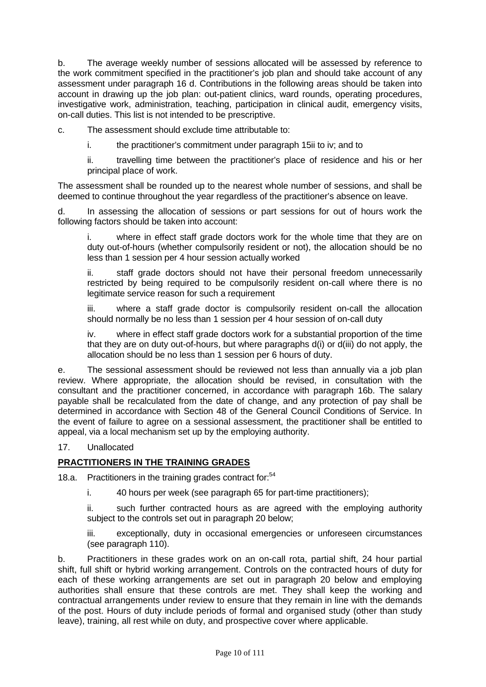b. The average weekly number of sessions allocated will be assessed by reference to the work commitment specified in the practitioner's job plan and should take account of any assessment under paragraph 16 d. Contributions in the following areas should be taken into account in drawing up the job plan: out-patient clinics, ward rounds, operating procedures, investigative work, administration, teaching, participation in clinical audit, emergency visits, on-call duties. This list is not intended to be prescriptive.

c. The assessment should exclude time attributable to:

i. the practitioner's commitment under paragraph 15ii to iv; and to

ii. travelling time between the practitioner's place of residence and his or her principal place of work.

The assessment shall be rounded up to the nearest whole number of sessions, and shall be deemed to continue throughout the year regardless of the practitioner's absence on leave.

d. In assessing the allocation of sessions or part sessions for out of hours work the following factors should be taken into account:

where in effect staff grade doctors work for the whole time that they are on duty out-of-hours (whether compulsorily resident or not), the allocation should be no less than 1 session per 4 hour session actually worked

ii. staff grade doctors should not have their personal freedom unnecessarily restricted by being required to be compulsorily resident on-call where there is no legitimate service reason for such a requirement

iii. where a staff grade doctor is compulsorily resident on-call the allocation should normally be no less than 1 session per 4 hour session of on-call duty

iv. where in effect staff grade doctors work for a substantial proportion of the time that they are on duty out-of-hours, but where paragraphs d(i) or d(iii) do not apply, the allocation should be no less than 1 session per 6 hours of duty.

e. The sessional assessment should be reviewed not less than annually via a job plan review. Where appropriate, the allocation should be revised, in consultation with the consultant and the practitioner concerned, in accordance with paragraph 16b. The salary payable shall be recalculated from the date of change, and any protection of pay shall be determined in accordance with Section 48 of the General Council Conditions of Service. In the event of failure to agree on a sessional assessment, the practitioner shall be entitled to appeal, via a local mechanism set up by the employing authority.

# 17. Unallocated

# **PRACTITIONERS IN THE TRAINING GRADES**

18.a. Practitioners in the training grades contract for:<sup>54</sup>

i. 40 hours per week (see paragraph 65 for part-time practitioners);

ii. such further contracted hours as are agreed with the employing authority subject to the controls set out in paragraph 20 below;

iii. exceptionally, duty in occasional emergencies or unforeseen circumstances (see paragraph 110).

b. Practitioners in these grades work on an on-call rota, partial shift, 24 hour partial shift, full shift or hybrid working arrangement. Controls on the contracted hours of duty for each of these working arrangements are set out in paragraph 20 below and employing authorities shall ensure that these controls are met. They shall keep the working and contractual arrangements under review to ensure that they remain in line with the demands of the post. Hours of duty include periods of formal and organised study (other than study leave), training, all rest while on duty, and prospective cover where applicable.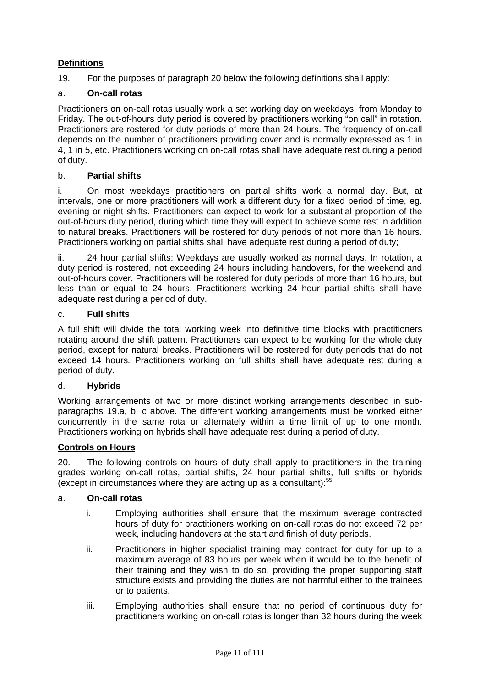# **Definitions**

19. For the purposes of paragraph 20 below the following definitions shall apply:

# a. **On-call rotas**

Practitioners on on-call rotas usually work a set working day on weekdays, from Monday to Friday. The out-of-hours duty period is covered by practitioners working "on call" in rotation. Practitioners are rostered for duty periods of more than 24 hours. The frequency of on-call depends on the number of practitioners providing cover and is normally expressed as 1 in 4, 1 in 5, etc. Practitioners working on on-call rotas shall have adequate rest during a period of duty.

# b. **Partial shifts**

i. On most weekdays practitioners on partial shifts work a normal day. But, at intervals, one or more practitioners will work a different duty for a fixed period of time, eg. evening or night shifts. Practitioners can expect to work for a substantial proportion of the out-of-hours duty period, during which time they will expect to achieve some rest in addition to natural breaks. Practitioners will be rostered for duty periods of not more than 16 hours. Practitioners working on partial shifts shall have adequate rest during a period of duty;

ii. 24 hour partial shifts: Weekdays are usually worked as normal days. In rotation, a duty period is rostered, not exceeding 24 hours including handovers, for the weekend and out-of-hours cover. Practitioners will be rostered for duty periods of more than 16 hours, but less than or equal to 24 hours. Practitioners working 24 hour partial shifts shall have adequate rest during a period of duty.

# c. **Full shifts**

A full shift will divide the total working week into definitive time blocks with practitioners rotating around the shift pattern. Practitioners can expect to be working for the whole duty period, except for natural breaks. Practitioners will be rostered for duty periods that do not exceed 14 hours*.* Practitioners working on full shifts shall have adequate rest during a period of duty.

# d. **Hybrids**

Working arrangements of two or more distinct working arrangements described in subparagraphs 19.a, b, c above. The different working arrangements must be worked either concurrently in the same rota or alternately within a time limit of up to one month. Practitioners working on hybrids shall have adequate rest during a period of duty.

# **Controls on Hours**

20. The following controls on hours of duty shall apply to practitioners in the training grades working on-call rotas, partial shifts, 24 hour partial shifts, full shifts or hybrids (except in circumstances where they are acting up as a consultant): $55$ 

# a. **On-call rotas**

- i. Employing authorities shall ensure that the maximum average contracted hours of duty for practitioners working on on-call rotas do not exceed 72 per week, including handovers at the start and finish of duty periods.
- ii. Practitioners in higher specialist training may contract for duty for up to a maximum average of 83 hours per week when it would be to the benefit of their training and they wish to do so, providing the proper supporting staff structure exists and providing the duties are not harmful either to the trainees or to patients.
- iii. Employing authorities shall ensure that no period of continuous duty for practitioners working on on-call rotas is longer than 32 hours during the week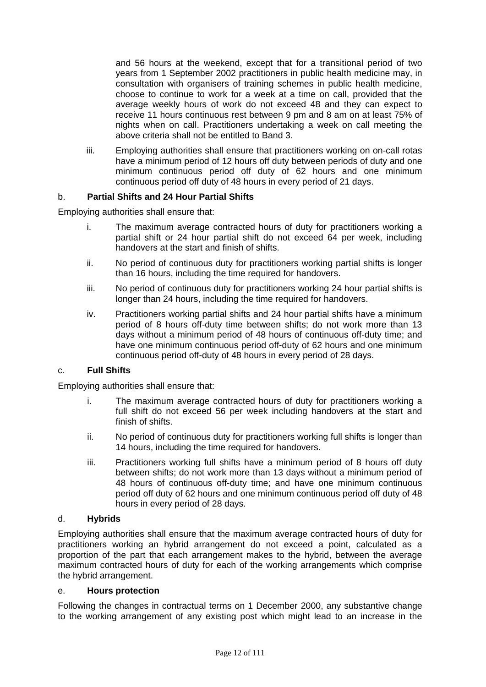and 56 hours at the weekend, except that for a transitional period of two years from 1 September 2002 practitioners in public health medicine may, in consultation with organisers of training schemes in public health medicine, choose to continue to work for a week at a time on call, provided that the average weekly hours of work do not exceed 48 and they can expect to receive 11 hours continuous rest between 9 pm and 8 am on at least 75% of nights when on call. Practitioners undertaking a week on call meeting the above criteria shall not be entitled to Band 3.

iii. Employing authorities shall ensure that practitioners working on on-call rotas have a minimum period of 12 hours off duty between periods of duty and one minimum continuous period off duty of 62 hours and one minimum continuous period off duty of 48 hours in every period of 21 days.

# b. **Partial Shifts and 24 Hour Partial Shifts**

Employing authorities shall ensure that:

- i. The maximum average contracted hours of duty for practitioners working a partial shift or 24 hour partial shift do not exceed 64 per week, including handovers at the start and finish of shifts.
- ii. No period of continuous duty for practitioners working partial shifts is longer than 16 hours, including the time required for handovers.
- iii. No period of continuous duty for practitioners working 24 hour partial shifts is longer than 24 hours, including the time required for handovers.
- iv. Practitioners working partial shifts and 24 hour partial shifts have a minimum period of 8 hours off-duty time between shifts; do not work more than 13 days without a minimum period of 48 hours of continuous off-duty time; and have one minimum continuous period off-duty of 62 hours and one minimum continuous period off-duty of 48 hours in every period of 28 days.

# c. **Full Shifts**

Employing authorities shall ensure that:

- i. The maximum average contracted hours of duty for practitioners working a full shift do not exceed 56 per week including handovers at the start and finish of shifts.
- ii. No period of continuous duty for practitioners working full shifts is longer than 14 hours, including the time required for handovers.
- iii. Practitioners working full shifts have a minimum period of 8 hours off duty between shifts; do not work more than 13 days without a minimum period of 48 hours of continuous off-duty time; and have one minimum continuous period off duty of 62 hours and one minimum continuous period off duty of 48 hours in every period of 28 days.

#### d. **Hybrids**

Employing authorities shall ensure that the maximum average contracted hours of duty for practitioners working an hybrid arrangement do not exceed a point, calculated as a proportion of the part that each arrangement makes to the hybrid, between the average maximum contracted hours of duty for each of the working arrangements which comprise the hybrid arrangement.

#### e. **Hours protection**

Following the changes in contractual terms on 1 December 2000, any substantive change to the working arrangement of any existing post which might lead to an increase in the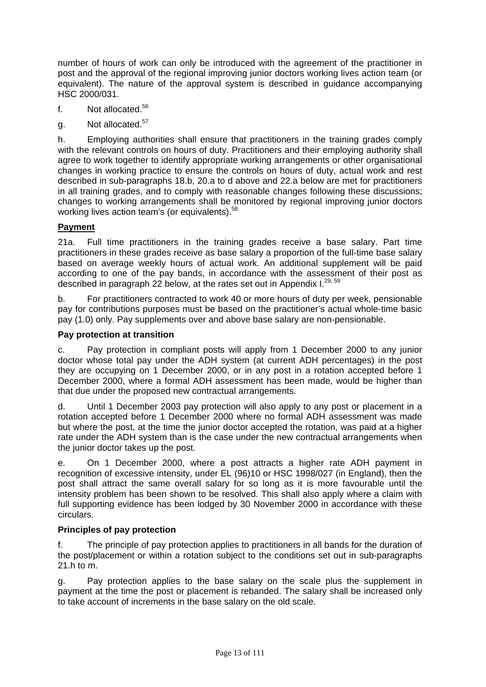number of hours of work can only be introduced with the agreement of the practitioner in post and the approval of the regional improving junior doctors working lives action team (or equivalent). The nature of the approval system is described in guidance accompanying HSC 2000/031.

- f. Not allocated.<sup>56</sup>
- g. Not allocated.<sup>57</sup>

h. Employing authorities shall ensure that practitioners in the training grades comply with the relevant controls on hours of duty. Practitioners and their employing authority shall agree to work together to identify appropriate working arrangements or other organisational changes in working practice to ensure the controls on hours of duty, actual work and rest described in sub-paragraphs 18.b, 20.a to d above and 22.a below are met for practitioners in all training grades, and to comply with reasonable changes following these discussions; changes to working arrangements shall be monitored by regional improving junior doctors working lives action team's (or equivalents).<sup>58</sup>

# **Payment**

21a. Full time practitioners in the training grades receive a base salary. Part time practitioners in these grades receive as base salary a proportion of the full-time base salary based on average weekly hours of actual work. An additional supplement will be paid according to one of the pay bands, in accordance with the assessment of their post as described in paragraph 22 below, at the rates set out in Appendix I.<sup>29, 59</sup>

b. For practitioners contracted to work 40 or more hours of duty per week, pensionable pay for contributions purposes must be based on the practitioner's actual whole-time basic pay (1.0) only. Pay supplements over and above base salary are non-pensionable.

# **Pay protection at transition**

c. Pay protection in compliant posts will apply from 1 December 2000 to any junior doctor whose total pay under the ADH system (at current ADH percentages) in the post they are occupying on 1 December 2000, or in any post in a rotation accepted before 1 December 2000, where a formal ADH assessment has been made, would be higher than that due under the proposed new contractual arrangements.

d. Until 1 December 2003 pay protection will also apply to any post or placement in a rotation accepted before 1 December 2000 where no formal ADH assessment was made but where the post, at the time the junior doctor accepted the rotation, was paid at a higher rate under the ADH system than is the case under the new contractual arrangements when the junior doctor takes up the post.

e. On 1 December 2000, where a post attracts a higher rate ADH payment in recognition of excessive intensity, under EL (96)10 or HSC 1998/027 (in England), then the post shall attract the same overall salary for so long as it is more favourable until the intensity problem has been shown to be resolved. This shall also apply where a claim with full supporting evidence has been lodged by 30 November 2000 in accordance with these circulars.

# **Principles of pay protection**

f. The principle of pay protection applies to practitioners in all bands for the duration of the post/placement or within a rotation subject to the conditions set out in sub-paragraphs 21.h to m.

g. Pay protection applies to the base salary on the scale plus the supplement in payment at the time the post or placement is rebanded. The salary shall be increased only to take account of increments in the base salary on the old scale.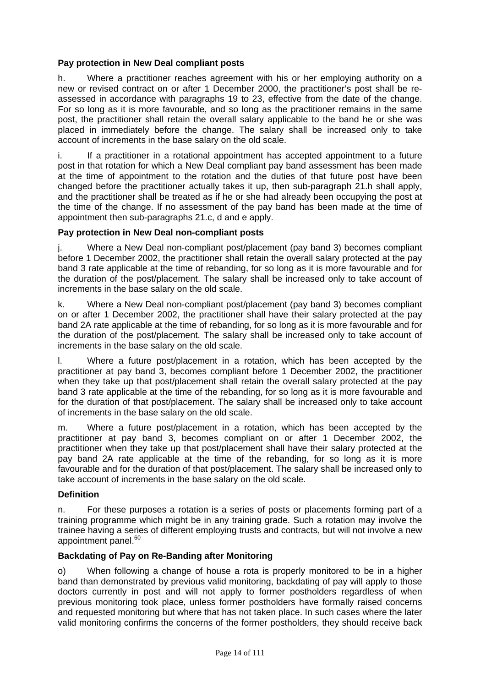# **Pay protection in New Deal compliant posts**

h. Where a practitioner reaches agreement with his or her employing authority on a new or revised contract on or after 1 December 2000, the practitioner's post shall be reassessed in accordance with paragraphs 19 to 23, effective from the date of the change. For so long as it is more favourable, and so long as the practitioner remains in the same post, the practitioner shall retain the overall salary applicable to the band he or she was placed in immediately before the change. The salary shall be increased only to take account of increments in the base salary on the old scale.

i. If a practitioner in a rotational appointment has accepted appointment to a future post in that rotation for which a New Deal compliant pay band assessment has been made at the time of appointment to the rotation and the duties of that future post have been changed before the practitioner actually takes it up, then sub-paragraph 21.h shall apply, and the practitioner shall be treated as if he or she had already been occupying the post at the time of the change. If no assessment of the pay band has been made at the time of appointment then sub-paragraphs 21.c, d and e apply.

# **Pay protection in New Deal non-compliant posts**

j. Where a New Deal non-compliant post/placement (pay band 3) becomes compliant before 1 December 2002, the practitioner shall retain the overall salary protected at the pay band 3 rate applicable at the time of rebanding, for so long as it is more favourable and for the duration of the post/placement. The salary shall be increased only to take account of increments in the base salary on the old scale.

k. Where a New Deal non-compliant post/placement (pay band 3) becomes compliant on or after 1 December 2002, the practitioner shall have their salary protected at the pay band 2A rate applicable at the time of rebanding, for so long as it is more favourable and for the duration of the post/placement. The salary shall be increased only to take account of increments in the base salary on the old scale.

l. Where a future post/placement in a rotation, which has been accepted by the practitioner at pay band 3, becomes compliant before 1 December 2002, the practitioner when they take up that post/placement shall retain the overall salary protected at the pay band 3 rate applicable at the time of the rebanding, for so long as it is more favourable and for the duration of that post/placement. The salary shall be increased only to take account of increments in the base salary on the old scale.

m. Where a future post/placement in a rotation, which has been accepted by the practitioner at pay band 3, becomes compliant on or after 1 December 2002, the practitioner when they take up that post/placement shall have their salary protected at the pay band 2A rate applicable at the time of the rebanding, for so long as it is more favourable and for the duration of that post/placement. The salary shall be increased only to take account of increments in the base salary on the old scale.

# **Definition**

n. For these purposes a rotation is a series of posts or placements forming part of a training programme which might be in any training grade. Such a rotation may involve the trainee having a series of different employing trusts and contracts, but will not involve a new appointment panel.<sup>60</sup>

# **Backdating of Pay on Re-Banding after Monitoring**

o) When following a change of house a rota is properly monitored to be in a higher band than demonstrated by previous valid monitoring, backdating of pay will apply to those doctors currently in post and will not apply to former postholders regardless of when previous monitoring took place, unless former postholders have formally raised concerns and requested monitoring but where that has not taken place. In such cases where the later valid monitoring confirms the concerns of the former postholders, they should receive back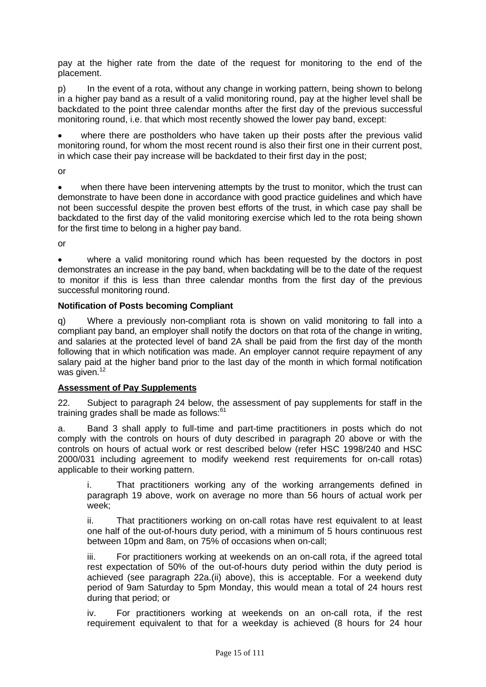pay at the higher rate from the date of the request for monitoring to the end of the placement.

p) In the event of a rota, without any change in working pattern, being shown to belong in a higher pay band as a result of a valid monitoring round, pay at the higher level shall be backdated to the point three calendar months after the first day of the previous successful monitoring round, i.e. that which most recently showed the lower pay band, except:

where there are postholders who have taken up their posts after the previous valid monitoring round, for whom the most recent round is also their first one in their current post, in which case their pay increase will be backdated to their first day in the post;

or

when there have been intervening attempts by the trust to monitor, which the trust can demonstrate to have been done in accordance with good practice guidelines and which have not been successful despite the proven best efforts of the trust, in which case pay shall be backdated to the first day of the valid monitoring exercise which led to the rota being shown for the first time to belong in a higher pay band.

or

where a valid monitoring round which has been requested by the doctors in post demonstrates an increase in the pay band, when backdating will be to the date of the request to monitor if this is less than three calendar months from the first day of the previous successful monitoring round.

# **Notification of Posts becoming Compliant**

q) Where a previously non-compliant rota is shown on valid monitoring to fall into a compliant pay band, an employer shall notify the doctors on that rota of the change in writing, and salaries at the protected level of band 2A shall be paid from the first day of the month following that in which notification was made. An employer cannot require repayment of any salary paid at the higher band prior to the last day of the month in which formal notification was given.<sup>12</sup>

# **Assessment of Pay Supplements**

22. Subject to paragraph 24 below, the assessment of pay supplements for staff in the training grades shall be made as follows:<sup>61</sup>

a. Band 3 shall apply to full-time and part-time practitioners in posts which do not comply with the controls on hours of duty described in paragraph 20 above or with the controls on hours of actual work or rest described below (refer HSC 1998/240 and HSC 2000/031 including agreement to modify weekend rest requirements for on-call rotas) applicable to their working pattern.

i. That practitioners working any of the working arrangements defined in paragraph 19 above, work on average no more than 56 hours of actual work per week;

ii. That practitioners working on on-call rotas have rest equivalent to at least one half of the out-of-hours duty period, with a minimum of 5 hours continuous rest between 10pm and 8am, on 75% of occasions when on-call;

iii. For practitioners working at weekends on an on-call rota, if the agreed total rest expectation of 50% of the out-of-hours duty period within the duty period is achieved (see paragraph 22a.(ii) above), this is acceptable. For a weekend duty period of 9am Saturday to 5pm Monday, this would mean a total of 24 hours rest during that period; or

iv. For practitioners working at weekends on an on-call rota, if the rest requirement equivalent to that for a weekday is achieved (8 hours for 24 hour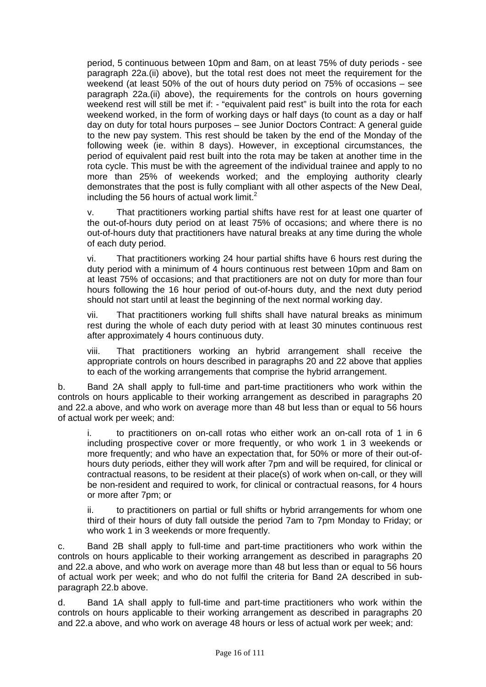period, 5 continuous between 10pm and 8am, on at least 75% of duty periods - see paragraph 22a.(ii) above), but the total rest does not meet the requirement for the weekend (at least 50% of the out of hours duty period on 75% of occasions – see paragraph 22a.(ii) above), the requirements for the controls on hours governing weekend rest will still be met if: - "equivalent paid rest" is built into the rota for each weekend worked, in the form of working days or half days (to count as a day or half day on duty for total hours purposes – see Junior Doctors Contract: A general guide to the new pay system. This rest should be taken by the end of the Monday of the following week (ie. within 8 days). However, in exceptional circumstances, the period of equivalent paid rest built into the rota may be taken at another time in the rota cycle. This must be with the agreement of the individual trainee and apply to no more than 25% of weekends worked; and the employing authority clearly demonstrates that the post is fully compliant with all other aspects of the New Deal, including the 56 hours of actual work limit. $2$ 

v. That practitioners working partial shifts have rest for at least one quarter of the out-of-hours duty period on at least 75% of occasions; and where there is no out-of-hours duty that practitioners have natural breaks at any time during the whole of each duty period.

vi. That practitioners working 24 hour partial shifts have 6 hours rest during the duty period with a minimum of 4 hours continuous rest between 10pm and 8am on at least 75% of occasions; and that practitioners are not on duty for more than four hours following the 16 hour period of out-of-hours duty, and the next duty period should not start until at least the beginning of the next normal working day.

vii. That practitioners working full shifts shall have natural breaks as minimum rest during the whole of each duty period with at least 30 minutes continuous rest after approximately 4 hours continuous duty.

viii. That practitioners working an hybrid arrangement shall receive the appropriate controls on hours described in paragraphs 20 and 22 above that applies to each of the working arrangements that comprise the hybrid arrangement.

b. Band 2A shall apply to full-time and part-time practitioners who work within the controls on hours applicable to their working arrangement as described in paragraphs 20 and 22.a above, and who work on average more than 48 but less than or equal to 56 hours of actual work per week; and:

i. to practitioners on on-call rotas who either work an on-call rota of 1 in 6 including prospective cover or more frequently, or who work 1 in 3 weekends or more frequently; and who have an expectation that, for 50% or more of their out-ofhours duty periods, either they will work after 7pm and will be required, for clinical or contractual reasons, to be resident at their place(s) of work when on-call, or they will be non-resident and required to work, for clinical or contractual reasons, for 4 hours or more after 7pm; or

ii. to practitioners on partial or full shifts or hybrid arrangements for whom one third of their hours of duty fall outside the period 7am to 7pm Monday to Friday; or who work 1 in 3 weekends or more frequently.

c. Band 2B shall apply to full-time and part-time practitioners who work within the controls on hours applicable to their working arrangement as described in paragraphs 20 and 22.a above, and who work on average more than 48 but less than or equal to 56 hours of actual work per week; and who do not fulfil the criteria for Band 2A described in subparagraph 22.b above.

d. Band 1A shall apply to full-time and part-time practitioners who work within the controls on hours applicable to their working arrangement as described in paragraphs 20 and 22.a above, and who work on average 48 hours or less of actual work per week; and: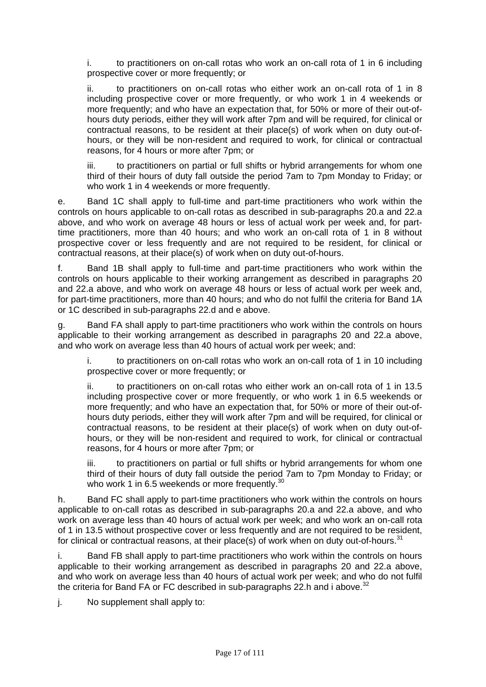i. to practitioners on on-call rotas who work an on-call rota of 1 in 6 including prospective cover or more frequently; or

ii. to practitioners on on-call rotas who either work an on-call rota of 1 in 8 including prospective cover or more frequently, or who work 1 in 4 weekends or more frequently; and who have an expectation that, for 50% or more of their out-ofhours duty periods, either they will work after 7pm and will be required, for clinical or contractual reasons, to be resident at their place(s) of work when on duty out-ofhours, or they will be non-resident and required to work, for clinical or contractual reasons, for 4 hours or more after 7pm; or

iii. to practitioners on partial or full shifts or hybrid arrangements for whom one third of their hours of duty fall outside the period 7am to 7pm Monday to Friday; or who work 1 in 4 weekends or more frequently.

e. Band 1C shall apply to full-time and part-time practitioners who work within the controls on hours applicable to on-call rotas as described in sub-paragraphs 20.a and 22.a above, and who work on average 48 hours or less of actual work per week and, for parttime practitioners, more than 40 hours; and who work an on-call rota of 1 in 8 without prospective cover or less frequently and are not required to be resident, for clinical or contractual reasons, at their place(s) of work when on duty out-of-hours.

f. Band 1B shall apply to full-time and part-time practitioners who work within the controls on hours applicable to their working arrangement as described in paragraphs 20 and 22.a above, and who work on average 48 hours or less of actual work per week and, for part-time practitioners, more than 40 hours; and who do not fulfil the criteria for Band 1A or 1C described in sub-paragraphs 22.d and e above.

g. Band FA shall apply to part-time practitioners who work within the controls on hours applicable to their working arrangement as described in paragraphs 20 and 22.a above, and who work on average less than 40 hours of actual work per week; and:

i. to practitioners on on-call rotas who work an on-call rota of 1 in 10 including prospective cover or more frequently; or

ii. to practitioners on on-call rotas who either work an on-call rota of 1 in 13.5 including prospective cover or more frequently, or who work 1 in 6.5 weekends or more frequently; and who have an expectation that, for 50% or more of their out-ofhours duty periods, either they will work after 7pm and will be required, for clinical or contractual reasons, to be resident at their place(s) of work when on duty out-ofhours, or they will be non-resident and required to work, for clinical or contractual reasons, for 4 hours or more after 7pm; or

iii. to practitioners on partial or full shifts or hybrid arrangements for whom one third of their hours of duty fall outside the period 7am to 7pm Monday to Friday; or who work 1 in 6.5 weekends or more frequently.<sup>30</sup>

h. Band FC shall apply to part-time practitioners who work within the controls on hours applicable to on-call rotas as described in sub-paragraphs 20.a and 22.a above, and who work on average less than 40 hours of actual work per week; and who work an on-call rota of 1 in 13.5 without prospective cover or less frequently and are not required to be resident, for clinical or contractual reasons, at their place(s) of work when on duty out-of-hours.<sup>31</sup>

i. Band FB shall apply to part-time practitioners who work within the controls on hours applicable to their working arrangement as described in paragraphs 20 and 22.a above, and who work on average less than 40 hours of actual work per week; and who do not fulfil the criteria for Band FA or FC described in sub-paragraphs 22.h and i above.<sup>32</sup>

j. No supplement shall apply to: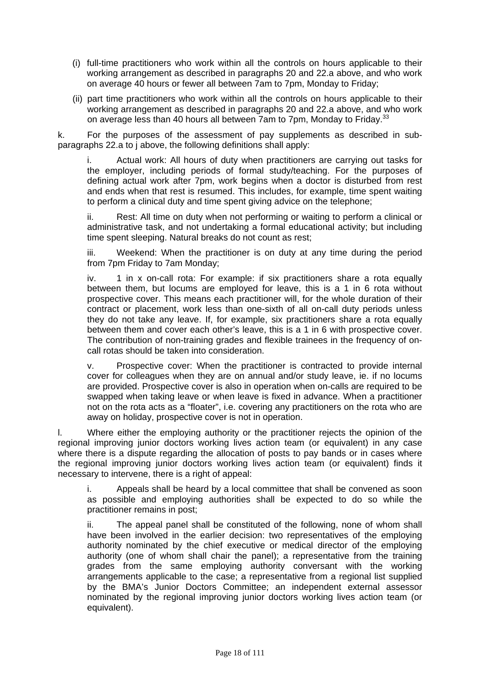- (i) full-time practitioners who work within all the controls on hours applicable to their working arrangement as described in paragraphs 20 and 22.a above, and who work on average 40 hours or fewer all between 7am to 7pm, Monday to Friday;
- (ii) part time practitioners who work within all the controls on hours applicable to their working arrangement as described in paragraphs 20 and 22.a above, and who work on average less than 40 hours all between 7am to 7pm, Monday to Friday.<sup>33</sup>

k. For the purposes of the assessment of pay supplements as described in subparagraphs 22.a to j above, the following definitions shall apply:

i. Actual work: All hours of duty when practitioners are carrying out tasks for the employer, including periods of formal study/teaching. For the purposes of defining actual work after 7pm, work begins when a doctor is disturbed from rest and ends when that rest is resumed. This includes, for example, time spent waiting to perform a clinical duty and time spent giving advice on the telephone;

ii. Rest: All time on duty when not performing or waiting to perform a clinical or administrative task, and not undertaking a formal educational activity; but including time spent sleeping. Natural breaks do not count as rest;

iii. Weekend: When the practitioner is on duty at any time during the period from 7pm Friday to 7am Monday;

iv. 1 in x on-call rota: For example: if six practitioners share a rota equally between them, but locums are employed for leave, this is a 1 in 6 rota without prospective cover. This means each practitioner will, for the whole duration of their contract or placement, work less than one-sixth of all on-call duty periods unless they do not take any leave. If, for example, six practitioners share a rota equally between them and cover each other's leave, this is a 1 in 6 with prospective cover. The contribution of non-training grades and flexible trainees in the frequency of oncall rotas should be taken into consideration.

v. Prospective cover: When the practitioner is contracted to provide internal cover for colleagues when they are on annual and/or study leave, ie. if no locums are provided. Prospective cover is also in operation when on-calls are required to be swapped when taking leave or when leave is fixed in advance. When a practitioner not on the rota acts as a "floater", i.e. covering any practitioners on the rota who are away on holiday, prospective cover is not in operation.

l. Where either the employing authority or the practitioner rejects the opinion of the regional improving junior doctors working lives action team (or equivalent) in any case where there is a dispute regarding the allocation of posts to pay bands or in cases where the regional improving junior doctors working lives action team (or equivalent) finds it necessary to intervene, there is a right of appeal:

i. Appeals shall be heard by a local committee that shall be convened as soon as possible and employing authorities shall be expected to do so while the practitioner remains in post;

ii. The appeal panel shall be constituted of the following, none of whom shall have been involved in the earlier decision: two representatives of the employing authority nominated by the chief executive or medical director of the employing authority (one of whom shall chair the panel); a representative from the training grades from the same employing authority conversant with the working arrangements applicable to the case; a representative from a regional list supplied by the BMA's Junior Doctors Committee; an independent external assessor nominated by the regional improving junior doctors working lives action team (or equivalent).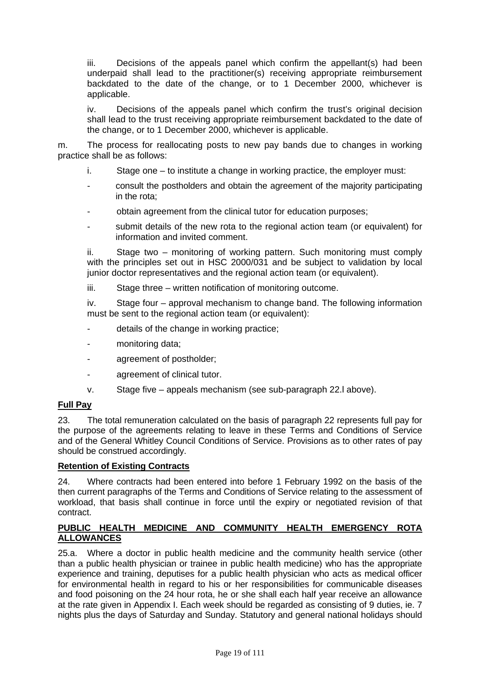iii. Decisions of the appeals panel which confirm the appellant(s) had been underpaid shall lead to the practitioner(s) receiving appropriate reimbursement backdated to the date of the change, or to 1 December 2000, whichever is applicable.

iv. Decisions of the appeals panel which confirm the trust's original decision shall lead to the trust receiving appropriate reimbursement backdated to the date of the change, or to 1 December 2000, whichever is applicable.

m. The process for reallocating posts to new pay bands due to changes in working practice shall be as follows:

- i. Stage one to institute a change in working practice, the employer must:
- consult the postholders and obtain the agreement of the majority participating in the rota;
- obtain agreement from the clinical tutor for education purposes;
- submit details of the new rota to the regional action team (or equivalent) for information and invited comment.

ii. Stage two – monitoring of working pattern. Such monitoring must comply with the principles set out in HSC 2000/031 and be subject to validation by local junior doctor representatives and the regional action team (or equivalent).

iii. Stage three – written notification of monitoring outcome.

iv. Stage four – approval mechanism to change band. The following information must be sent to the regional action team (or equivalent):

- details of the change in working practice;
- monitoring data;
- agreement of postholder;
- agreement of clinical tutor.
- v. Stage five appeals mechanism (see sub-paragraph 22.l above).

#### **Full Pay**

23. The total remuneration calculated on the basis of paragraph 22 represents full pay for the purpose of the agreements relating to leave in these Terms and Conditions of Service and of the General Whitley Council Conditions of Service. Provisions as to other rates of pay should be construed accordingly.

#### **Retention of Existing Contracts**

24. Where contracts had been entered into before 1 February 1992 on the basis of the then current paragraphs of the Terms and Conditions of Service relating to the assessment of workload, that basis shall continue in force until the expiry or negotiated revision of that contract.

#### **PUBLIC HEALTH MEDICINE AND COMMUNITY HEALTH EMERGENCY ROTA ALLOWANCES**

25.a. Where a doctor in public health medicine and the community health service (other than a public health physician or trainee in public health medicine) who has the appropriate experience and training, deputises for a public health physician who acts as medical officer for environmental health in regard to his or her responsibilities for communicable diseases and food poisoning on the 24 hour rota, he or she shall each half year receive an allowance at the rate given in Appendix I. Each week should be regarded as consisting of 9 duties, ie. 7 nights plus the days of Saturday and Sunday. Statutory and general national holidays should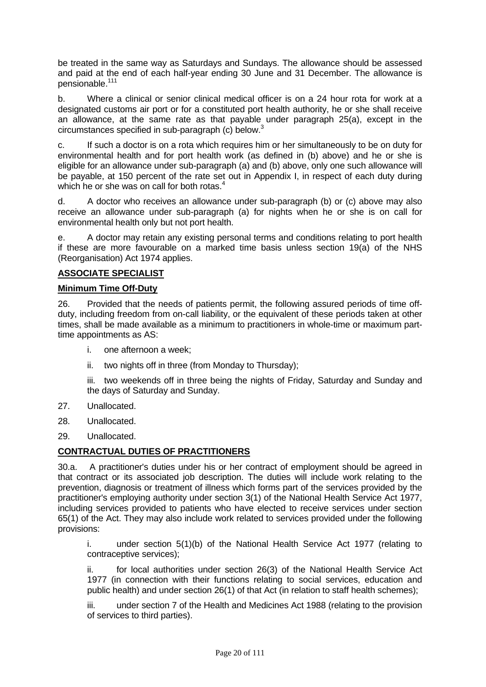be treated in the same way as Saturdays and Sundays. The allowance should be assessed and paid at the end of each half-year ending 30 June and 31 December. The allowance is pensionable.111

b. Where a clinical or senior clinical medical officer is on a 24 hour rota for work at a designated customs air port or for a constituted port health authority, he or she shall receive an allowance, at the same rate as that payable under paragraph 25(a), except in the circumstances specified in sub-paragraph (c) below.3

c. If such a doctor is on a rota which requires him or her simultaneously to be on duty for environmental health and for port health work (as defined in (b) above) and he or she is eligible for an allowance under sub-paragraph (a) and (b) above, only one such allowance will be payable, at 150 percent of the rate set out in Appendix I, in respect of each duty during which he or she was on call for both rotas.<sup>4</sup>

d. A doctor who receives an allowance under sub-paragraph (b) or (c) above may also receive an allowance under sub-paragraph (a) for nights when he or she is on call for environmental health only but not port health.

e. A doctor may retain any existing personal terms and conditions relating to port health if these are more favourable on a marked time basis unless section 19(a) of the NHS (Reorganisation) Act 1974 applies.

# **ASSOCIATE SPECIALIST**

#### **Minimum Time Off-Duty**

26. Provided that the needs of patients permit, the following assured periods of time offduty, including freedom from on-call liability, or the equivalent of these periods taken at other times, shall be made available as a minimum to practitioners in whole-time or maximum parttime appointments as AS:

- i. one afternoon a week;
- ii. two nights off in three (from Monday to Thursday);

iii. two weekends off in three being the nights of Friday, Saturday and Sunday and the days of Saturday and Sunday.

- 27. Unallocated.
- 28. Unallocated.
- 29. Unallocated.

# **CONTRACTUAL DUTIES OF PRACTITIONERS**

30.a. A practitioner's duties under his or her contract of employment should be agreed in that contract or its associated job description. The duties will include work relating to the prevention, diagnosis or treatment of illness which forms part of the services provided by the practitioner's employing authority under section 3(1) of the National Health Service Act 1977, including services provided to patients who have elected to receive services under section 65(1) of the Act. They may also include work related to services provided under the following provisions:

i. under section 5(1)(b) of the National Health Service Act 1977 (relating to contraceptive services);

ii. for local authorities under section 26(3) of the National Health Service Act 1977 (in connection with their functions relating to social services, education and public health) and under section 26(1) of that Act (in relation to staff health schemes);

iii. under section 7 of the Health and Medicines Act 1988 (relating to the provision of services to third parties).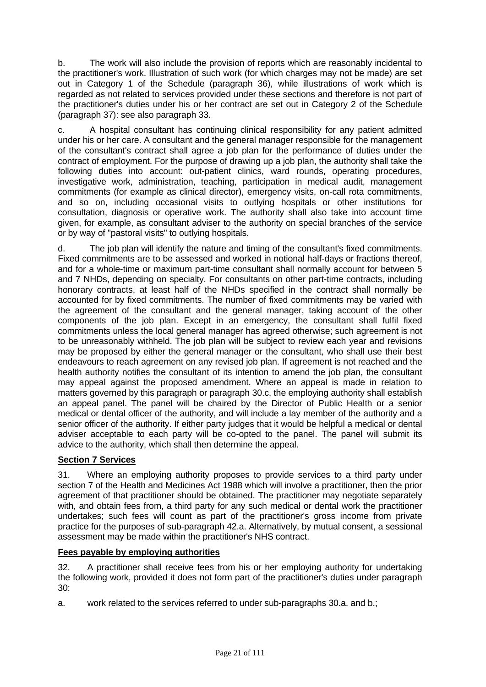b. The work will also include the provision of reports which are reasonably incidental to the practitioner's work. Illustration of such work (for which charges may not be made) are set out in Category 1 of the Schedule (paragraph 36), while illustrations of work which is regarded as not related to services provided under these sections and therefore is not part of the practitioner's duties under his or her contract are set out in Category 2 of the Schedule (paragraph 37): see also paragraph 33.

c. A hospital consultant has continuing clinical responsibility for any patient admitted under his or her care. A consultant and the general manager responsible for the management of the consultant's contract shall agree a job plan for the performance of duties under the contract of employment. For the purpose of drawing up a job plan, the authority shall take the following duties into account: out-patient clinics, ward rounds, operating procedures, investigative work, administration, teaching, participation in medical audit, management commitments (for example as clinical director), emergency visits, on-call rota commitments, and so on, including occasional visits to outlying hospitals or other institutions for consultation, diagnosis or operative work. The authority shall also take into account time given, for example, as consultant adviser to the authority on special branches of the service or by way of "pastoral visits" to outlying hospitals.

d. The job plan will identify the nature and timing of the consultant's fixed commitments. Fixed commitments are to be assessed and worked in notional half-days or fractions thereof, and for a whole-time or maximum part-time consultant shall normally account for between 5 and 7 NHDs, depending on specialty. For consultants on other part-time contracts, including honorary contracts, at least half of the NHDs specified in the contract shall normally be accounted for by fixed commitments. The number of fixed commitments may be varied with the agreement of the consultant and the general manager, taking account of the other components of the job plan. Except in an emergency, the consultant shall fulfil fixed commitments unless the local general manager has agreed otherwise; such agreement is not to be unreasonably withheld. The job plan will be subject to review each year and revisions may be proposed by either the general manager or the consultant, who shall use their best endeavours to reach agreement on any revised job plan. If agreement is not reached and the health authority notifies the consultant of its intention to amend the job plan, the consultant may appeal against the proposed amendment. Where an appeal is made in relation to matters governed by this paragraph or paragraph 30.c, the employing authority shall establish an appeal panel. The panel will be chaired by the Director of Public Health or a senior medical or dental officer of the authority, and will include a lay member of the authority and a senior officer of the authority. If either party judges that it would be helpful a medical or dental adviser acceptable to each party will be co-opted to the panel. The panel will submit its advice to the authority, which shall then determine the appeal.

# **Section 7 Services**

31. Where an employing authority proposes to provide services to a third party under section 7 of the Health and Medicines Act 1988 which will involve a practitioner, then the prior agreement of that practitioner should be obtained. The practitioner may negotiate separately with, and obtain fees from, a third party for any such medical or dental work the practitioner undertakes; such fees will count as part of the practitioner's gross income from private practice for the purposes of sub-paragraph 42.a. Alternatively, by mutual consent, a sessional assessment may be made within the practitioner's NHS contract.

# **Fees payable by employing authorities**

32. A practitioner shall receive fees from his or her employing authority for undertaking the following work, provided it does not form part of the practitioner's duties under paragraph 30:

a. work related to the services referred to under sub-paragraphs 30.a. and b.;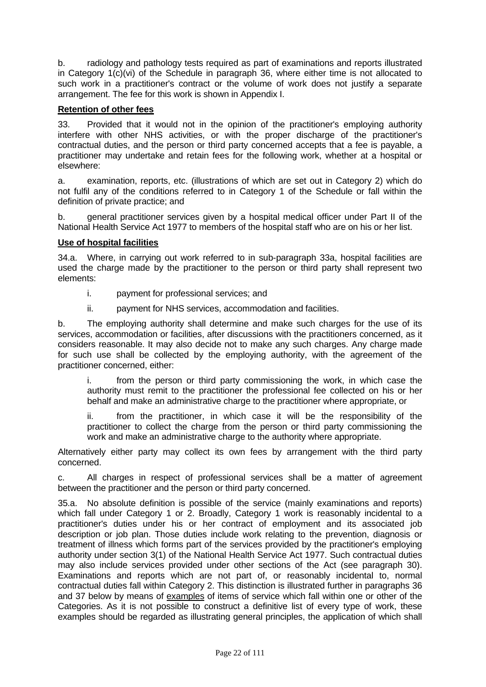b. radiology and pathology tests required as part of examinations and reports illustrated in Category 1(c)(vi) of the Schedule in paragraph 36, where either time is not allocated to such work in a practitioner's contract or the volume of work does not justify a separate arrangement. The fee for this work is shown in Appendix I.

# **Retention of other fees**

33. Provided that it would not in the opinion of the practitioner's employing authority interfere with other NHS activities, or with the proper discharge of the practitioner's contractual duties, and the person or third party concerned accepts that a fee is payable, a practitioner may undertake and retain fees for the following work, whether at a hospital or elsewhere:

a. examination, reports, etc. (illustrations of which are set out in Category 2) which do not fulfil any of the conditions referred to in Category 1 of the Schedule or fall within the definition of private practice; and

b. general practitioner services given by a hospital medical officer under Part II of the National Health Service Act 1977 to members of the hospital staff who are on his or her list.

#### **Use of hospital facilities**

34.a. Where, in carrying out work referred to in sub-paragraph 33a, hospital facilities are used the charge made by the practitioner to the person or third party shall represent two elements:

- i. payment for professional services; and
- ii. payment for NHS services, accommodation and facilities.

b. The employing authority shall determine and make such charges for the use of its services, accommodation or facilities, after discussions with the practitioners concerned, as it considers reasonable. It may also decide not to make any such charges. Any charge made for such use shall be collected by the employing authority, with the agreement of the practitioner concerned, either:

i. from the person or third party commissioning the work, in which case the authority must remit to the practitioner the professional fee collected on his or her behalf and make an administrative charge to the practitioner where appropriate, or

ii. from the practitioner, in which case it will be the responsibility of the practitioner to collect the charge from the person or third party commissioning the work and make an administrative charge to the authority where appropriate.

Alternatively either party may collect its own fees by arrangement with the third party concerned.

c. All charges in respect of professional services shall be a matter of agreement between the practitioner and the person or third party concerned.

35.a. No absolute definition is possible of the service (mainly examinations and reports) which fall under Category 1 or 2. Broadly, Category 1 work is reasonably incidental to a practitioner's duties under his or her contract of employment and its associated job description or job plan. Those duties include work relating to the prevention, diagnosis or treatment of illness which forms part of the services provided by the practitioner's employing authority under section 3(1) of the National Health Service Act 1977. Such contractual duties may also include services provided under other sections of the Act (see paragraph 30). Examinations and reports which are not part of, or reasonably incidental to, normal contractual duties fall within Category 2. This distinction is illustrated further in paragraphs 36 and 37 below by means of examples of items of service which fall within one or other of the Categories. As it is not possible to construct a definitive list of every type of work, these examples should be regarded as illustrating general principles, the application of which shall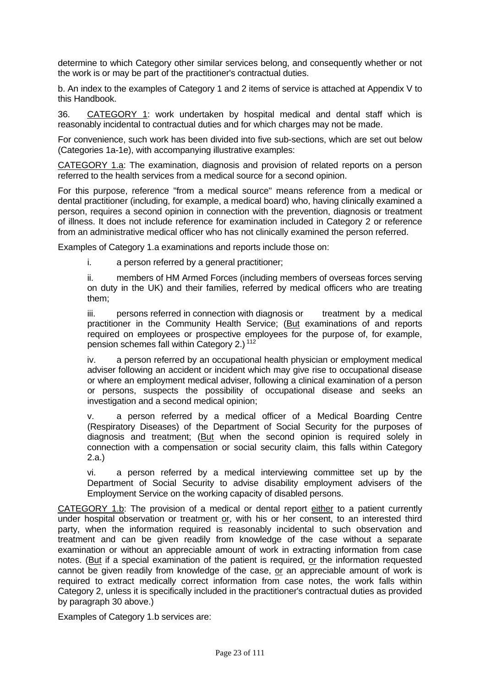determine to which Category other similar services belong, and consequently whether or not the work is or may be part of the practitioner's contractual duties.

b. An index to the examples of Category 1 and 2 items of service is attached at Appendix V to this Handbook.

36. CATEGORY 1: work undertaken by hospital medical and dental staff which is reasonably incidental to contractual duties and for which charges may not be made.

For convenience, such work has been divided into five sub-sections, which are set out below (Categories 1a-1e), with accompanying illustrative examples:

CATEGORY 1.a: The examination, diagnosis and provision of related reports on a person referred to the health services from a medical source for a second opinion.

For this purpose, reference "from a medical source" means reference from a medical or dental practitioner (including, for example, a medical board) who, having clinically examined a person, requires a second opinion in connection with the prevention, diagnosis or treatment of illness. It does not include reference for examination included in Category 2 or reference from an administrative medical officer who has not clinically examined the person referred.

Examples of Category 1.a examinations and reports include those on:

i. a person referred by a general practitioner;

ii. members of HM Armed Forces (including members of overseas forces serving on duty in the UK) and their families, referred by medical officers who are treating them;

iii. persons referred in connection with diagnosis or treatment by a medical practitioner in the Community Health Service; (But examinations of and reports required on employees or prospective employees for the purpose of, for example, pension schemes fall within Category 2.) <sup>112</sup>

iv. a person referred by an occupational health physician or employment medical adviser following an accident or incident which may give rise to occupational disease or where an employment medical adviser, following a clinical examination of a person or persons, suspects the possibility of occupational disease and seeks an investigation and a second medical opinion;

v. a person referred by a medical officer of a Medical Boarding Centre (Respiratory Diseases) of the Department of Social Security for the purposes of diagnosis and treatment; (But when the second opinion is required solely in connection with a compensation or social security claim, this falls within Category 2.a.)

vi. a person referred by a medical interviewing committee set up by the Department of Social Security to advise disability employment advisers of the Employment Service on the working capacity of disabled persons.

CATEGORY 1.b: The provision of a medical or dental report either to a patient currently under hospital observation or treatment or, with his or her consent, to an interested third party, when the information required is reasonably incidental to such observation and treatment and can be given readily from knowledge of the case without a separate examination or without an appreciable amount of work in extracting information from case notes. (But if a special examination of the patient is required, or the information requested cannot be given readily from knowledge of the case, or an appreciable amount of work is required to extract medically correct information from case notes, the work falls within Category 2, unless it is specifically included in the practitioner's contractual duties as provided by paragraph 30 above.)

Examples of Category 1.b services are: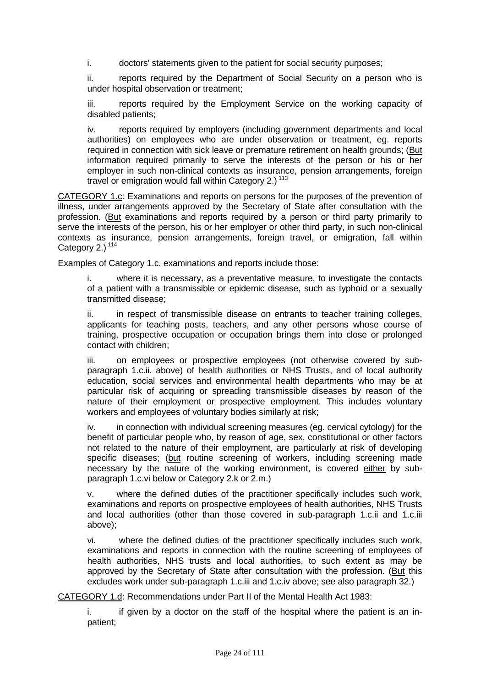i. doctors' statements given to the patient for social security purposes;

ii. reports required by the Department of Social Security on a person who is under hospital observation or treatment;

iii. reports required by the Employment Service on the working capacity of disabled patients;

iv. reports required by employers (including government departments and local authorities) on employees who are under observation or treatment, eg. reports required in connection with sick leave or premature retirement on health grounds; (But information required primarily to serve the interests of the person or his or her employer in such non-clinical contexts as insurance, pension arrangements, foreign travel or emigration would fall within Category 2.)<sup>113</sup>

CATEGORY 1.c: Examinations and reports on persons for the purposes of the prevention of illness, under arrangements approved by the Secretary of State after consultation with the profession. (But examinations and reports required by a person or third party primarily to serve the interests of the person, his or her employer or other third party, in such non-clinical contexts as insurance, pension arrangements, foreign travel, or emigration, fall within Category  $2.1$ <sup>114</sup>

Examples of Category 1.c. examinations and reports include those:

i. where it is necessary, as a preventative measure, to investigate the contacts of a patient with a transmissible or epidemic disease, such as typhoid or a sexually transmitted disease;

ii. in respect of transmissible disease on entrants to teacher training colleges, applicants for teaching posts, teachers, and any other persons whose course of training, prospective occupation or occupation brings them into close or prolonged contact with children;

iii. on employees or prospective employees (not otherwise covered by subparagraph 1.c.ii. above) of health authorities or NHS Trusts, and of local authority education, social services and environmental health departments who may be at particular risk of acquiring or spreading transmissible diseases by reason of the nature of their employment or prospective employment. This includes voluntary workers and employees of voluntary bodies similarly at risk;

iv. in connection with individual screening measures (eg. cervical cytology) for the benefit of particular people who, by reason of age, sex, constitutional or other factors not related to the nature of their employment, are particularly at risk of developing specific diseases; (but routine screening of workers, including screening made necessary by the nature of the working environment, is covered either by subparagraph 1.c.vi below or Category 2.k or 2.m.)

v. where the defined duties of the practitioner specifically includes such work, examinations and reports on prospective employees of health authorities, NHS Trusts and local authorities (other than those covered in sub-paragraph 1.c.ii and 1.c.iii above);

vi. where the defined duties of the practitioner specifically includes such work, examinations and reports in connection with the routine screening of employees of health authorities, NHS trusts and local authorities, to such extent as may be approved by the Secretary of State after consultation with the profession. (But this excludes work under sub-paragraph 1.c.iii and 1.c.iv above; see also paragraph 32.)

CATEGORY 1.d: Recommendations under Part II of the Mental Health Act 1983:

i. if given by a doctor on the staff of the hospital where the patient is an inpatient;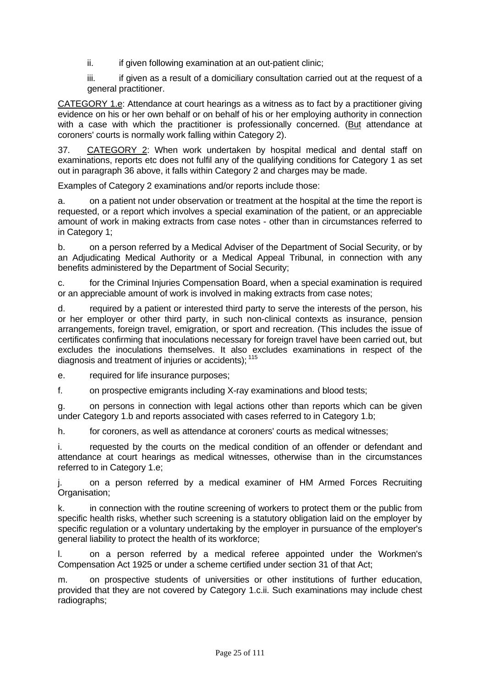ii. ii. if given following examination at an out-patient clinic;

iii. iii. if given as a result of a domiciliary consultation carried out at the request of a general practitioner.

CATEGORY 1.e: Attendance at court hearings as a witness as to fact by a practitioner giving evidence on his or her own behalf or on behalf of his or her employing authority in connection with a case with which the practitioner is professionally concerned. (But attendance at coroners' courts is normally work falling within Category 2).

37. CATEGORY 2: When work undertaken by hospital medical and dental staff on examinations, reports etc does not fulfil any of the qualifying conditions for Category 1 as set out in paragraph 36 above, it falls within Category 2 and charges may be made.

Examples of Category 2 examinations and/or reports include those:

a. on a patient not under observation or treatment at the hospital at the time the report is requested, or a report which involves a special examination of the patient, or an appreciable amount of work in making extracts from case notes - other than in circumstances referred to in Category 1;

b. on a person referred by a Medical Adviser of the Department of Social Security, or by an Adjudicating Medical Authority or a Medical Appeal Tribunal, in connection with any benefits administered by the Department of Social Security;

c. for the Criminal Injuries Compensation Board, when a special examination is required or an appreciable amount of work is involved in making extracts from case notes;

d. required by a patient or interested third party to serve the interests of the person, his or her employer or other third party, in such non-clinical contexts as insurance, pension arrangements, foreign travel, emigration, or sport and recreation. (This includes the issue of certificates confirming that inoculations necessary for foreign travel have been carried out, but excludes the inoculations themselves. It also excludes examinations in respect of the diagnosis and treatment of injuries or accidents); 115

e. required for life insurance purposes;

f. on prospective emigrants including X-ray examinations and blood tests;

g. on persons in connection with legal actions other than reports which can be given under Category 1.b and reports associated with cases referred to in Category 1.b;

h. for coroners, as well as attendance at coroners' courts as medical witnesses;

i. requested by the courts on the medical condition of an offender or defendant and attendance at court hearings as medical witnesses, otherwise than in the circumstances referred to in Category 1.e;

j. on a person referred by a medical examiner of HM Armed Forces Recruiting Organisation;

k. in connection with the routine screening of workers to protect them or the public from specific health risks, whether such screening is a statutory obligation laid on the employer by specific regulation or a voluntary undertaking by the employer in pursuance of the employer's general liability to protect the health of its workforce;

l. on a person referred by a medical referee appointed under the Workmen's Compensation Act 1925 or under a scheme certified under section 31 of that Act;

m. on prospective students of universities or other institutions of further education, provided that they are not covered by Category 1.c.ii. Such examinations may include chest radiographs;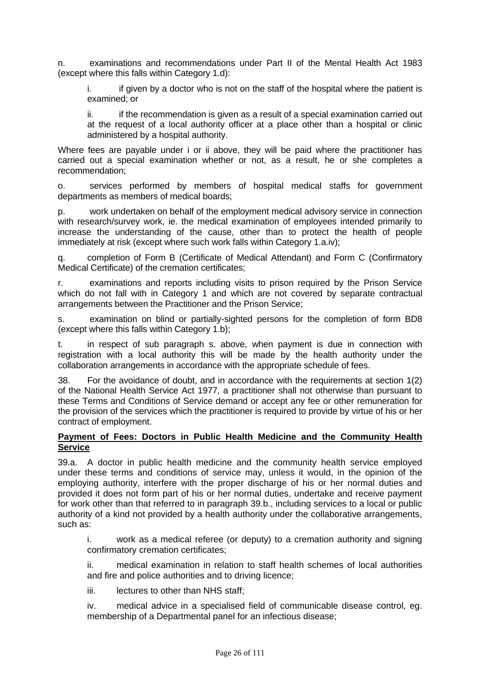n. examinations and recommendations under Part II of the Mental Health Act 1983 (except where this falls within Category 1.d):

i. if given by a doctor who is not on the staff of the hospital where the patient is examined; or

ii. if the recommendation is given as a result of a special examination carried out at the request of a local authority officer at a place other than a hospital or clinic administered by a hospital authority.

Where fees are payable under i or ii above, they will be paid where the practitioner has carried out a special examination whether or not, as a result, he or she completes a recommendation;

o. services performed by members of hospital medical staffs for government departments as members of medical boards;

p. work undertaken on behalf of the employment medical advisory service in connection with research/survey work, ie. the medical examination of employees intended primarily to increase the understanding of the cause, other than to protect the health of people immediately at risk (except where such work falls within Category 1.a.iv);

q. completion of Form B (Certificate of Medical Attendant) and Form C (Confirmatory Medical Certificate) of the cremation certificates;

r. examinations and reports including visits to prison required by the Prison Service which do not fall with in Category 1 and which are not covered by separate contractual arrangements between the Practitioner and the Prison Service;

s. examination on blind or partially-sighted persons for the completion of form BD8 (except where this falls within Category 1.b);

t. in respect of sub paragraph s. above, when payment is due in connection with registration with a local authority this will be made by the health authority under the collaboration arrangements in accordance with the appropriate schedule of fees.

38. For the avoidance of doubt, and in accordance with the requirements at section 1(2) of the National Health Service Act 1977, a practitioner shall not otherwise than pursuant to these Terms and Conditions of Service demand or accept any fee or other remuneration for the provision of the services which the practitioner is required to provide by virtue of his or her contract of employment.

#### **Payment of Fees: Doctors in Public Health Medicine and the Community Health Service**

39.a. A doctor in public health medicine and the community health service employed under these terms and conditions of service may, unless it would, in the opinion of the employing authority, interfere with the proper discharge of his or her normal duties and provided it does not form part of his or her normal duties, undertake and receive payment for work other than that referred to in paragraph 39.b., including services to a local or public authority of a kind not provided by a health authority under the collaborative arrangements, such as:

i. work as a medical referee (or deputy) to a cremation authority and signing confirmatory cremation certificates;

ii. medical examination in relation to staff health schemes of local authorities and fire and police authorities and to driving licence;

iii. lectures to other than NHS staff:

iv. medical advice in a specialised field of communicable disease control, eg. membership of a Departmental panel for an infectious disease;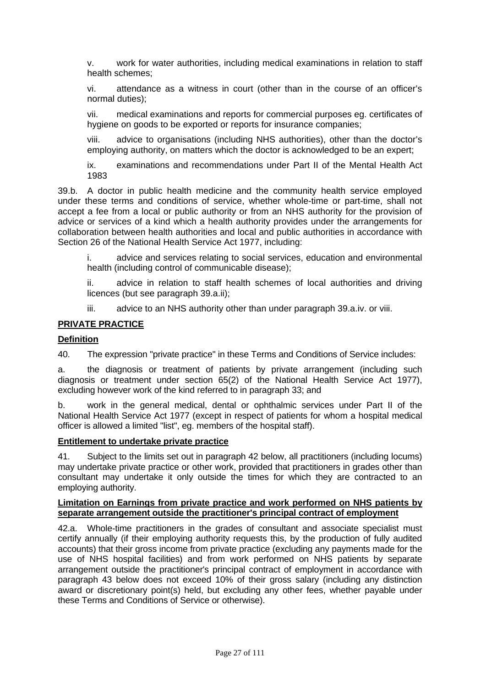v. work for water authorities, including medical examinations in relation to staff health schemes;

vi. attendance as a witness in court (other than in the course of an officer's normal duties);

vii. medical examinations and reports for commercial purposes eg. certificates of hygiene on goods to be exported or reports for insurance companies;

viii. advice to organisations (including NHS authorities), other than the doctor's employing authority, on matters which the doctor is acknowledged to be an expert;

ix. examinations and recommendations under Part II of the Mental Health Act 1983

39.b. A doctor in public health medicine and the community health service employed under these terms and conditions of service, whether whole-time or part-time, shall not accept a fee from a local or public authority or from an NHS authority for the provision of advice or services of a kind which a health authority provides under the arrangements for collaboration between health authorities and local and public authorities in accordance with Section 26 of the National Health Service Act 1977, including:

i. advice and services relating to social services, education and environmental health (including control of communicable disease);

ii. advice in relation to staff health schemes of local authorities and driving licences (but see paragraph 39.a.ii);

iii. advice to an NHS authority other than under paragraph 39.a.iv. or viii.

#### **PRIVATE PRACTICE**

#### **Definition**

40. The expression "private practice" in these Terms and Conditions of Service includes:

a. the diagnosis or treatment of patients by private arrangement (including such diagnosis or treatment under section 65(2) of the National Health Service Act 1977), excluding however work of the kind referred to in paragraph 33; and

b. work in the general medical, dental or ophthalmic services under Part II of the National Health Service Act 1977 (except in respect of patients for whom a hospital medical officer is allowed a limited "list", eg. members of the hospital staff).

#### **Entitlement to undertake private practice**

41. Subject to the limits set out in paragraph 42 below, all practitioners (including locums) may undertake private practice or other work, provided that practitioners in grades other than consultant may undertake it only outside the times for which they are contracted to an employing authority.

#### **Limitation on Earnings from private practice and work performed on NHS patients by separate arrangement outside the practitioner's principal contract of employment**

42.a. Whole-time practitioners in the grades of consultant and associate specialist must certify annually (if their employing authority requests this, by the production of fully audited accounts) that their gross income from private practice (excluding any payments made for the use of NHS hospital facilities) and from work performed on NHS patients by separate arrangement outside the practitioner's principal contract of employment in accordance with paragraph 43 below does not exceed 10% of their gross salary (including any distinction award or discretionary point(s) held, but excluding any other fees, whether payable under these Terms and Conditions of Service or otherwise).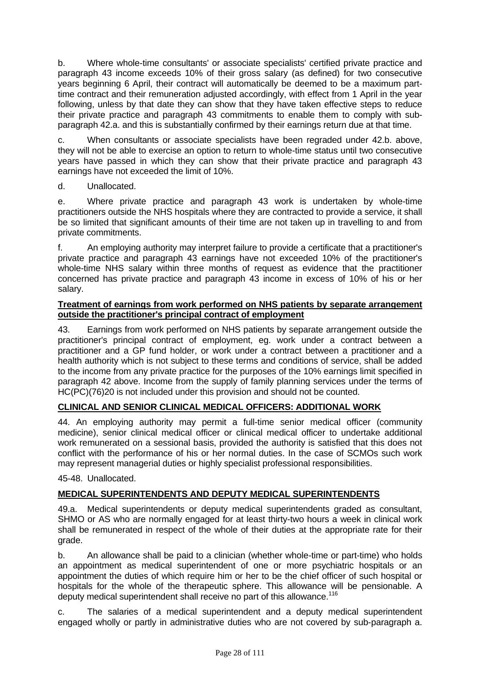b. Where whole-time consultants' or associate specialists' certified private practice and paragraph 43 income exceeds 10% of their gross salary (as defined) for two consecutive years beginning 6 April, their contract will automatically be deemed to be a maximum parttime contract and their remuneration adjusted accordingly, with effect from 1 April in the year following, unless by that date they can show that they have taken effective steps to reduce their private practice and paragraph 43 commitments to enable them to comply with subparagraph 42.a. and this is substantially confirmed by their earnings return due at that time.

c. When consultants or associate specialists have been regraded under 42.b. above, they will not be able to exercise an option to return to whole-time status until two consecutive years have passed in which they can show that their private practice and paragraph 43 earnings have not exceeded the limit of 10%.

# d. Unallocated.

e. Where private practice and paragraph 43 work is undertaken by whole-time practitioners outside the NHS hospitals where they are contracted to provide a service, it shall be so limited that significant amounts of their time are not taken up in travelling to and from private commitments.

f. An employing authority may interpret failure to provide a certificate that a practitioner's private practice and paragraph 43 earnings have not exceeded 10% of the practitioner's whole-time NHS salary within three months of request as evidence that the practitioner concerned has private practice and paragraph 43 income in excess of 10% of his or her salary.

#### **Treatment of earnings from work performed on NHS patients by separate arrangement outside the practitioner's principal contract of employment**

43. Earnings from work performed on NHS patients by separate arrangement outside the practitioner's principal contract of employment, eg. work under a contract between a practitioner and a GP fund holder, or work under a contract between a practitioner and a health authority which is not subject to these terms and conditions of service, shall be added to the income from any private practice for the purposes of the 10% earnings limit specified in paragraph 42 above. Income from the supply of family planning services under the terms of HC(PC)(76)20 is not included under this provision and should not be counted.

# **CLINICAL AND SENIOR CLINICAL MEDICAL OFFICERS: ADDITIONAL WORK**

44. An employing authority may permit a full-time senior medical officer (community medicine), senior clinical medical officer or clinical medical officer to undertake additional work remunerated on a sessional basis, provided the authority is satisfied that this does not conflict with the performance of his or her normal duties. In the case of SCMOs such work may represent managerial duties or highly specialist professional responsibilities.

45-48. Unallocated.

# **MEDICAL SUPERINTENDENTS AND DEPUTY MEDICAL SUPERINTENDENTS**

49.a. Medical superintendents or deputy medical superintendents graded as consultant, SHMO or AS who are normally engaged for at least thirty-two hours a week in clinical work shall be remunerated in respect of the whole of their duties at the appropriate rate for their grade.

b. An allowance shall be paid to a clinician (whether whole-time or part-time) who holds an appointment as medical superintendent of one or more psychiatric hospitals or an appointment the duties of which require him or her to be the chief officer of such hospital or hospitals for the whole of the therapeutic sphere. This allowance will be pensionable. A deputy medical superintendent shall receive no part of this allowance.<sup>116</sup>

c. The salaries of a medical superintendent and a deputy medical superintendent engaged wholly or partly in administrative duties who are not covered by sub-paragraph a.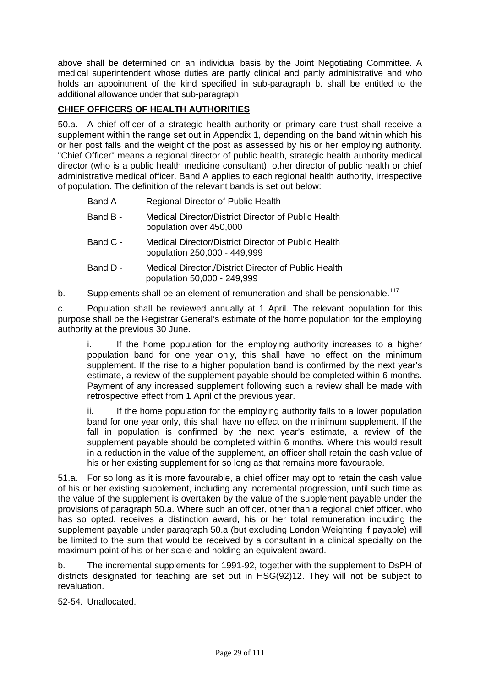above shall be determined on an individual basis by the Joint Negotiating Committee. A medical superintendent whose duties are partly clinical and partly administrative and who holds an appointment of the kind specified in sub-paragraph b. shall be entitled to the additional allowance under that sub-paragraph.

# **CHIEF OFFICERS OF HEALTH AUTHORITIES**

50.a. A chief officer of a strategic health authority or primary care trust shall receive a supplement within the range set out in Appendix 1, depending on the band within which his or her post falls and the weight of the post as assessed by his or her employing authority. "Chief Officer" means a regional director of public health, strategic health authority medical director (who is a public health medicine consultant), other director of public health or chief administrative medical officer. Band A applies to each regional health authority, irrespective of population. The definition of the relevant bands is set out below:

| Band A - | Regional Director of Public Health                                             |
|----------|--------------------------------------------------------------------------------|
| Band B - | Medical Director/District Director of Public Health<br>population over 450,000 |

- Band C Medical Director/District Director of Public Health population 250,000 - 449,999
- Band D Medical Director./District Director of Public Health population 50,000 - 249,999

b. Supplements shall be an element of remuneration and shall be pensionable.<sup>117</sup>

c. Population shall be reviewed annually at 1 April. The relevant population for this purpose shall be the Registrar General's estimate of the home population for the employing authority at the previous 30 June.

i. If the home population for the employing authority increases to a higher population band for one year only, this shall have no effect on the minimum supplement. If the rise to a higher population band is confirmed by the next year's estimate, a review of the supplement payable should be completed within 6 months. Payment of any increased supplement following such a review shall be made with retrospective effect from 1 April of the previous year.

ii. If the home population for the employing authority falls to a lower population band for one year only, this shall have no effect on the minimum supplement. If the fall in population is confirmed by the next year's estimate, a review of the supplement payable should be completed within 6 months. Where this would result in a reduction in the value of the supplement, an officer shall retain the cash value of his or her existing supplement for so long as that remains more favourable.

51.a. For so long as it is more favourable, a chief officer may opt to retain the cash value of his or her existing supplement, including any incremental progression, until such time as the value of the supplement is overtaken by the value of the supplement payable under the provisions of paragraph 50.a. Where such an officer, other than a regional chief officer, who has so opted, receives a distinction award, his or her total remuneration including the supplement payable under paragraph 50.a (but excluding London Weighting if payable) will be limited to the sum that would be received by a consultant in a clinical specialty on the maximum point of his or her scale and holding an equivalent award.

b. The incremental supplements for 1991-92, together with the supplement to DsPH of districts designated for teaching are set out in HSG(92)12. They will not be subject to revaluation.

52-54. Unallocated.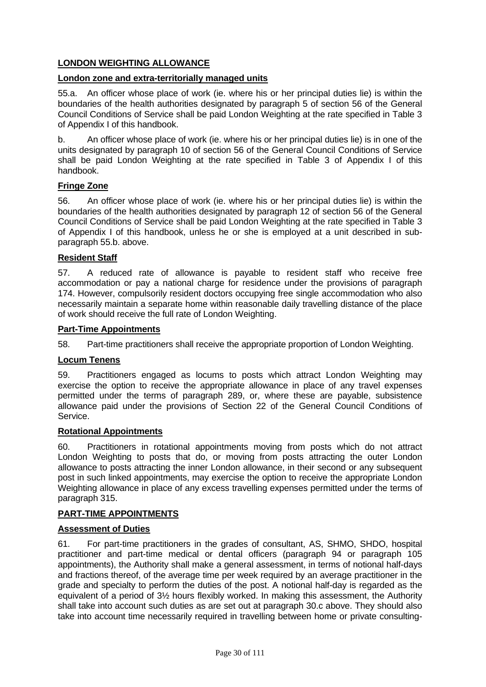# **LONDON WEIGHTING ALLOWANCE**

### **London zone and extra-territorially managed units**

55.a. An officer whose place of work (ie. where his or her principal duties lie) is within the boundaries of the health authorities designated by paragraph 5 of section 56 of the General Council Conditions of Service shall be paid London Weighting at the rate specified in Table 3 of Appendix I of this handbook.

b. An officer whose place of work (ie. where his or her principal duties lie) is in one of the units designated by paragraph 10 of section 56 of the General Council Conditions of Service shall be paid London Weighting at the rate specified in Table 3 of Appendix I of this handbook.

#### **Fringe Zone**

56. An officer whose place of work (ie. where his or her principal duties lie) is within the boundaries of the health authorities designated by paragraph 12 of section 56 of the General Council Conditions of Service shall be paid London Weighting at the rate specified in Table 3 of Appendix I of this handbook, unless he or she is employed at a unit described in subparagraph 55.b. above.

#### **Resident Staff**

57. A reduced rate of allowance is payable to resident staff who receive free accommodation or pay a national charge for residence under the provisions of paragraph 174. However, compulsorily resident doctors occupying free single accommodation who also necessarily maintain a separate home within reasonable daily travelling distance of the place of work should receive the full rate of London Weighting.

#### **Part-Time Appointments**

58. Part-time practitioners shall receive the appropriate proportion of London Weighting.

#### **Locum Tenens**

59. Practitioners engaged as locums to posts which attract London Weighting may exercise the option to receive the appropriate allowance in place of any travel expenses permitted under the terms of paragraph 289, or, where these are payable, subsistence allowance paid under the provisions of Section 22 of the General Council Conditions of Service.

#### **Rotational Appointments**

60. Practitioners in rotational appointments moving from posts which do not attract London Weighting to posts that do, or moving from posts attracting the outer London allowance to posts attracting the inner London allowance, in their second or any subsequent post in such linked appointments, may exercise the option to receive the appropriate London Weighting allowance in place of any excess travelling expenses permitted under the terms of paragraph 315.

#### **PART-TIME APPOINTMENTS**

#### **Assessment of Duties**

61. For part-time practitioners in the grades of consultant, AS, SHMO, SHDO, hospital practitioner and part-time medical or dental officers (paragraph 94 or paragraph 105 appointments), the Authority shall make a general assessment, in terms of notional half-days and fractions thereof, of the average time per week required by an average practitioner in the grade and specialty to perform the duties of the post. A notional half-day is regarded as the equivalent of a period of 3½ hours flexibly worked. In making this assessment, the Authority shall take into account such duties as are set out at paragraph 30.c above. They should also take into account time necessarily required in travelling between home or private consulting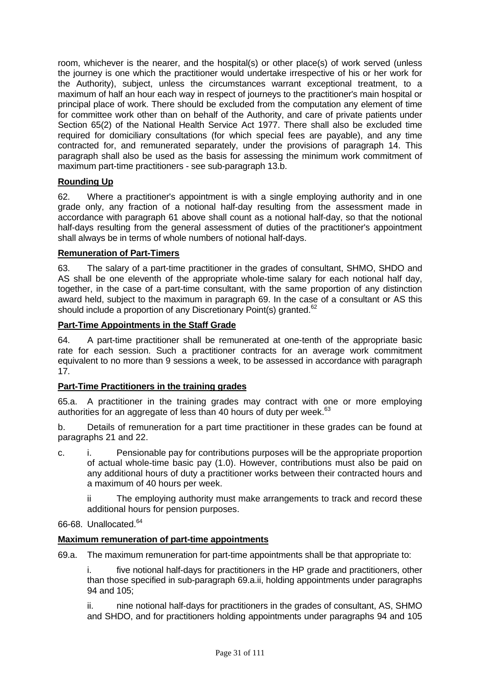room, whichever is the nearer, and the hospital(s) or other place(s) of work served (unless the journey is one which the practitioner would undertake irrespective of his or her work for the Authority), subject, unless the circumstances warrant exceptional treatment, to a maximum of half an hour each way in respect of journeys to the practitioner's main hospital or principal place of work. There should be excluded from the computation any element of time for committee work other than on behalf of the Authority, and care of private patients under Section 65(2) of the National Health Service Act 1977. There shall also be excluded time required for domiciliary consultations (for which special fees are payable), and any time contracted for, and remunerated separately, under the provisions of paragraph 14. This paragraph shall also be used as the basis for assessing the minimum work commitment of maximum part-time practitioners - see sub-paragraph 13.b.

# **Rounding Up**

62. Where a practitioner's appointment is with a single employing authority and in one grade only, any fraction of a notional half-day resulting from the assessment made in accordance with paragraph 61 above shall count as a notional half-day, so that the notional half-days resulting from the general assessment of duties of the practitioner's appointment shall always be in terms of whole numbers of notional half-days.

# **Remuneration of Part-Timers**

63. The salary of a part-time practitioner in the grades of consultant, SHMO, SHDO and AS shall be one eleventh of the appropriate whole-time salary for each notional half day, together, in the case of a part-time consultant, with the same proportion of any distinction award held, subject to the maximum in paragraph 69. In the case of a consultant or AS this should include a proportion of any Discretionary Point(s) granted.<sup>62</sup>

# **Part-Time Appointments in the Staff Grade**

64. A part-time practitioner shall be remunerated at one-tenth of the appropriate basic rate for each session. Such a practitioner contracts for an average work commitment equivalent to no more than 9 sessions a week, to be assessed in accordance with paragraph 17.

# **Part-Time Practitioners in the training grades**

65.a. A practitioner in the training grades may contract with one or more employing authorities for an aggregate of less than 40 hours of duty per week.<sup>63</sup>

b. Details of remuneration for a part time practitioner in these grades can be found at paragraphs 21 and 22.

c. i. Pensionable pay for contributions purposes will be the appropriate proportion of actual whole-time basic pay (1.0). However, contributions must also be paid on any additional hours of duty a practitioner works between their contracted hours and a maximum of 40 hours per week.

ii The employing authority must make arrangements to track and record these additional hours for pension purposes.

66-68. Unallocated.64

# **Maximum remuneration of part-time appointments**

69.a. The maximum remuneration for part-time appointments shall be that appropriate to:

i. five notional half-days for practitioners in the HP grade and practitioners, other than those specified in sub-paragraph 69.a.ii, holding appointments under paragraphs 94 and 105;

ii. nine notional half-days for practitioners in the grades of consultant, AS, SHMO and SHDO, and for practitioners holding appointments under paragraphs 94 and 105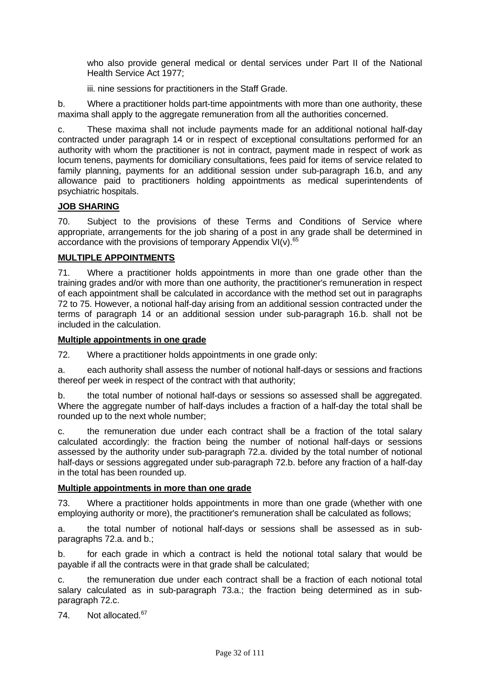who also provide general medical or dental services under Part II of the National Health Service Act 1977;

iii. nine sessions for practitioners in the Staff Grade.

b. Where a practitioner holds part-time appointments with more than one authority, these maxima shall apply to the aggregate remuneration from all the authorities concerned.

c. These maxima shall not include payments made for an additional notional half-day contracted under paragraph 14 or in respect of exceptional consultations performed for an authority with whom the practitioner is not in contract, payment made in respect of work as locum tenens, payments for domiciliary consultations, fees paid for items of service related to family planning, payments for an additional session under sub-paragraph 16.b, and any allowance paid to practitioners holding appointments as medical superintendents of psychiatric hospitals.

# **JOB SHARING**

70. Subject to the provisions of these Terms and Conditions of Service where appropriate, arrangements for the job sharing of a post in any grade shall be determined in accordance with the provisions of temporary Appendix VI(v). $65$ 

# **MULTIPLE APPOINTMENTS**

71. Where a practitioner holds appointments in more than one grade other than the training grades and/or with more than one authority, the practitioner's remuneration in respect of each appointment shall be calculated in accordance with the method set out in paragraphs 72 to 75. However, a notional half-day arising from an additional session contracted under the terms of paragraph 14 or an additional session under sub-paragraph 16.b. shall not be included in the calculation.

# **Multiple appointments in one grade**

72. Where a practitioner holds appointments in one grade only:

a. each authority shall assess the number of notional half-days or sessions and fractions thereof per week in respect of the contract with that authority;

b. the total number of notional half-days or sessions so assessed shall be aggregated. Where the aggregate number of half-days includes a fraction of a half-day the total shall be rounded up to the next whole number;

c. the remuneration due under each contract shall be a fraction of the total salary calculated accordingly: the fraction being the number of notional half-days or sessions assessed by the authority under sub-paragraph 72.a. divided by the total number of notional half-days or sessions aggregated under sub-paragraph 72.b. before any fraction of a half-day in the total has been rounded up.

# **Multiple appointments in more than one grade**

73. Where a practitioner holds appointments in more than one grade (whether with one employing authority or more), the practitioner's remuneration shall be calculated as follows;

a. the total number of notional half-days or sessions shall be assessed as in subparagraphs 72.a. and b.;

b. for each grade in which a contract is held the notional total salary that would be payable if all the contracts were in that grade shall be calculated;

c. the remuneration due under each contract shall be a fraction of each notional total salary calculated as in sub-paragraph 73.a.; the fraction being determined as in subparagraph 72.c.

74. Not allocated.<sup>67</sup>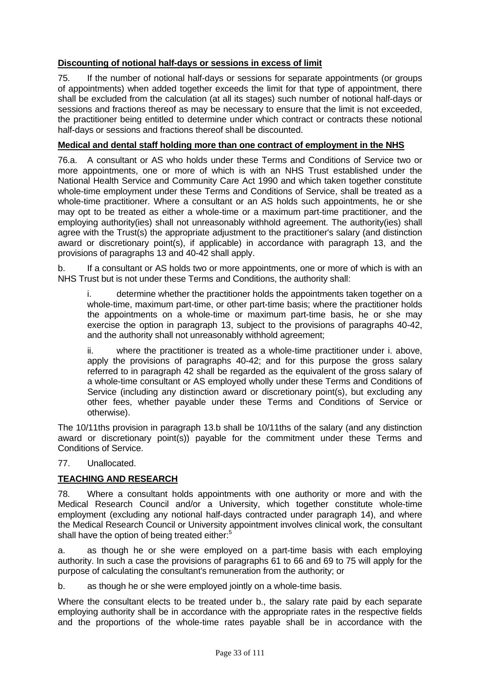# **Discounting of notional half-days or sessions in excess of limit**

75. If the number of notional half-days or sessions for separate appointments (or groups of appointments) when added together exceeds the limit for that type of appointment, there shall be excluded from the calculation (at all its stages) such number of notional half-days or sessions and fractions thereof as may be necessary to ensure that the limit is not exceeded, the practitioner being entitled to determine under which contract or contracts these notional half-days or sessions and fractions thereof shall be discounted.

# **Medical and dental staff holding more than one contract of employment in the NHS**

76.a. A consultant or AS who holds under these Terms and Conditions of Service two or more appointments, one or more of which is with an NHS Trust established under the National Health Service and Community Care Act 1990 and which taken together constitute whole-time employment under these Terms and Conditions of Service, shall be treated as a whole-time practitioner. Where a consultant or an AS holds such appointments, he or she may opt to be treated as either a whole-time or a maximum part-time practitioner, and the employing authority(ies) shall not unreasonably withhold agreement. The authority(ies) shall agree with the Trust(s) the appropriate adjustment to the practitioner's salary (and distinction award or discretionary point(s), if applicable) in accordance with paragraph 13, and the provisions of paragraphs 13 and 40-42 shall apply.

b. If a consultant or AS holds two or more appointments, one or more of which is with an NHS Trust but is not under these Terms and Conditions, the authority shall:

i. determine whether the practitioner holds the appointments taken together on a whole-time, maximum part-time, or other part-time basis; where the practitioner holds the appointments on a whole-time or maximum part-time basis, he or she may exercise the option in paragraph 13, subject to the provisions of paragraphs 40-42, and the authority shall not unreasonably withhold agreement;

ii. where the practitioner is treated as a whole-time practitioner under i. above, apply the provisions of paragraphs 40-42; and for this purpose the gross salary referred to in paragraph 42 shall be regarded as the equivalent of the gross salary of a whole-time consultant or AS employed wholly under these Terms and Conditions of Service (including any distinction award or discretionary point(s), but excluding any other fees, whether payable under these Terms and Conditions of Service or otherwise).

The 10/11ths provision in paragraph 13.b shall be 10/11ths of the salary (and any distinction award or discretionary point(s)) payable for the commitment under these Terms and Conditions of Service.

# 77. Unallocated.

# **TEACHING AND RESEARCH**

78. Where a consultant holds appointments with one authority or more and with the Medical Research Council and/or a University, which together constitute whole-time employment (excluding any notional half-days contracted under paragraph 14), and where the Medical Research Council or University appointment involves clinical work, the consultant shall have the option of being treated either:<sup>5</sup>

a. as though he or she were employed on a part-time basis with each employing authority. In such a case the provisions of paragraphs 61 to 66 and 69 to 75 will apply for the purpose of calculating the consultant's remuneration from the authority; or

b. as though he or she were employed jointly on a whole-time basis.

Where the consultant elects to be treated under b., the salary rate paid by each separate employing authority shall be in accordance with the appropriate rates in the respective fields and the proportions of the whole-time rates payable shall be in accordance with the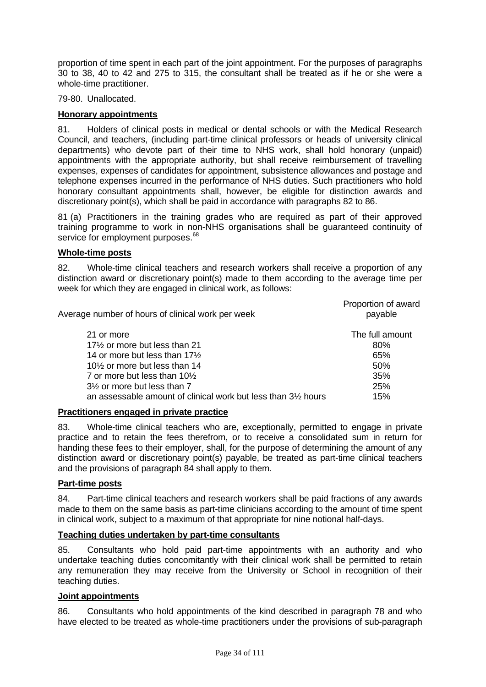proportion of time spent in each part of the joint appointment. For the purposes of paragraphs 30 to 38, 40 to 42 and 275 to 315, the consultant shall be treated as if he or she were a whole-time practitioner.

79-80. Unallocated.

### **Honorary appointments**

81. Holders of clinical posts in medical or dental schools or with the Medical Research Council, and teachers, (including part-time clinical professors or heads of university clinical departments) who devote part of their time to NHS work, shall hold honorary (unpaid) appointments with the appropriate authority, but shall receive reimbursement of travelling expenses, expenses of candidates for appointment, subsistence allowances and postage and telephone expenses incurred in the performance of NHS duties. Such practitioners who hold honorary consultant appointments shall, however, be eligible for distinction awards and discretionary point(s), which shall be paid in accordance with paragraphs 82 to 86.

81 (a) Practitioners in the training grades who are required as part of their approved training programme to work in non-NHS organisations shall be guaranteed continuity of service for employment purposes.<sup>68</sup>

#### **Whole-time posts**

82. Whole-time clinical teachers and research workers shall receive a proportion of any distinction award or discretionary point(s) made to them according to the average time per week for which they are engaged in clinical work, as follows:

| Average number of hours of clinical work per week                          | Proportion of award<br>payable |
|----------------------------------------------------------------------------|--------------------------------|
| 21 or more                                                                 | The full amount                |
| 17 <sup>1</sup> / <sub>2</sub> or more but less than 21                    | 80%                            |
| 14 or more but less than $17\frac{1}{2}$                                   | 65%                            |
| 10 <sup>1</sup> / <sub>2</sub> or more but less than 14                    | 50%                            |
| 7 or more but less than $10\%$                                             | 35%                            |
| $3\frac{1}{2}$ or more but less than 7                                     | 25%                            |
| an assessable amount of clinical work but less than 3 <sup>1/2</sup> hours | 15%                            |

#### **Practitioners engaged in private practice**

83. Whole-time clinical teachers who are, exceptionally, permitted to engage in private practice and to retain the fees therefrom, or to receive a consolidated sum in return for handing these fees to their employer, shall, for the purpose of determining the amount of any distinction award or discretionary point(s) payable, be treated as part-time clinical teachers and the provisions of paragraph 84 shall apply to them.

#### **Part-time posts**

84. Part-time clinical teachers and research workers shall be paid fractions of any awards made to them on the same basis as part-time clinicians according to the amount of time spent in clinical work, subject to a maximum of that appropriate for nine notional half-days.

# **Teaching duties undertaken by part-time consultants**

85. Consultants who hold paid part-time appointments with an authority and who undertake teaching duties concomitantly with their clinical work shall be permitted to retain any remuneration they may receive from the University or School in recognition of their teaching duties.

#### **Joint appointments**

86. Consultants who hold appointments of the kind described in paragraph 78 and who have elected to be treated as whole-time practitioners under the provisions of sub-paragraph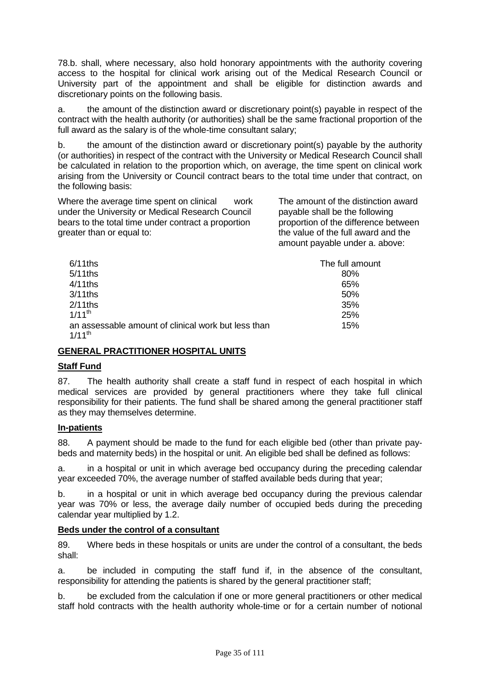78.b. shall, where necessary, also hold honorary appointments with the authority covering access to the hospital for clinical work arising out of the Medical Research Council or University part of the appointment and shall be eligible for distinction awards and discretionary points on the following basis.

a. the amount of the distinction award or discretionary point(s) payable in respect of the contract with the health authority (or authorities) shall be the same fractional proportion of the full award as the salary is of the whole-time consultant salary;

b. the amount of the distinction award or discretionary point(s) payable by the authority (or authorities) in respect of the contract with the University or Medical Research Council shall be calculated in relation to the proportion which, on average, the time spent on clinical work arising from the University or Council contract bears to the total time under that contract, on the following basis:

Where the average time spent on clinical work under the University or Medical Research Council bears to the total time under contract a proportion greater than or equal to:

The amount of the distinction award payable shall be the following proportion of the difference between the value of the full award and the amount payable under a. above:

| $6/11$ ths                                                         | The full amount |
|--------------------------------------------------------------------|-----------------|
| $5/11$ ths                                                         | 80%             |
| $4/11$ ths                                                         | 65%             |
| $3/11$ ths                                                         | 50%             |
| $2/11$ ths                                                         | 35%             |
| $1/11^{th}$                                                        | 25%             |
| an assessable amount of clinical work but less than<br>$1/11^{th}$ | 15%             |

# **GENERAL PRACTITIONER HOSPITAL UNITS**

# **Staff Fund**

87. The health authority shall create a staff fund in respect of each hospital in which medical services are provided by general practitioners where they take full clinical responsibility for their patients. The fund shall be shared among the general practitioner staff as they may themselves determine.

# **In-patients**

88. A payment should be made to the fund for each eligible bed (other than private paybeds and maternity beds) in the hospital or unit. An eligible bed shall be defined as follows:

a. in a hospital or unit in which average bed occupancy during the preceding calendar year exceeded 70%, the average number of staffed available beds during that year;

b. in a hospital or unit in which average bed occupancy during the previous calendar year was 70% or less, the average daily number of occupied beds during the preceding calendar year multiplied by 1.2.

# **Beds under the control of a consultant**

89. Where beds in these hospitals or units are under the control of a consultant, the beds shall:

a. be included in computing the staff fund if, in the absence of the consultant, responsibility for attending the patients is shared by the general practitioner staff;

b. be excluded from the calculation if one or more general practitioners or other medical staff hold contracts with the health authority whole-time or for a certain number of notional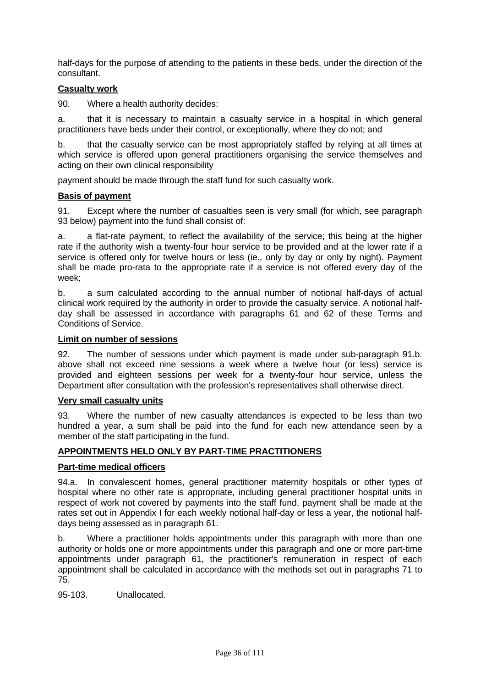half-days for the purpose of attending to the patients in these beds, under the direction of the consultant.

# **Casualty work**

90. Where a health authority decides:

a. that it is necessary to maintain a casualty service in a hospital in which general practitioners have beds under their control, or exceptionally, where they do not; and

b. that the casualty service can be most appropriately staffed by relying at all times at which service is offered upon general practitioners organising the service themselves and acting on their own clinical responsibility

payment should be made through the staff fund for such casualty work.

#### **Basis of payment**

91. Except where the number of casualties seen is very small (for which, see paragraph 93 below) payment into the fund shall consist of:

a. a flat-rate payment, to reflect the availability of the service; this being at the higher rate if the authority wish a twenty-four hour service to be provided and at the lower rate if a service is offered only for twelve hours or less (ie., only by day or only by night). Payment shall be made pro-rata to the appropriate rate if a service is not offered every day of the week;

b. a sum calculated according to the annual number of notional half-days of actual clinical work required by the authority in order to provide the casualty service. A notional halfday shall be assessed in accordance with paragraphs 61 and 62 of these Terms and Conditions of Service.

#### **Limit on number of sessions**

92. The number of sessions under which payment is made under sub-paragraph 91.b. above shall not exceed nine sessions a week where a twelve hour (or less) service is provided and eighteen sessions per week for a twenty-four hour service, unless the Department after consultation with the profession's representatives shall otherwise direct.

#### **Very small casualty units**

93. Where the number of new casualty attendances is expected to be less than two hundred a year, a sum shall be paid into the fund for each new attendance seen by a member of the staff participating in the fund.

# **APPOINTMENTS HELD ONLY BY PART-TIME PRACTITIONERS**

#### **Part-time medical officers**

94.a. In convalescent homes, general practitioner maternity hospitals or other types of hospital where no other rate is appropriate, including general practitioner hospital units in respect of work not covered by payments into the staff fund, payment shall be made at the rates set out in Appendix I for each weekly notional half-day or less a year, the notional halfdays being assessed as in paragraph 61.

b. Where a practitioner holds appointments under this paragraph with more than one authority or holds one or more appointments under this paragraph and one or more part-time appointments under paragraph 61, the practitioner's remuneration in respect of each appointment shall be calculated in accordance with the methods set out in paragraphs 71 to 75.

95-103. Unallocated.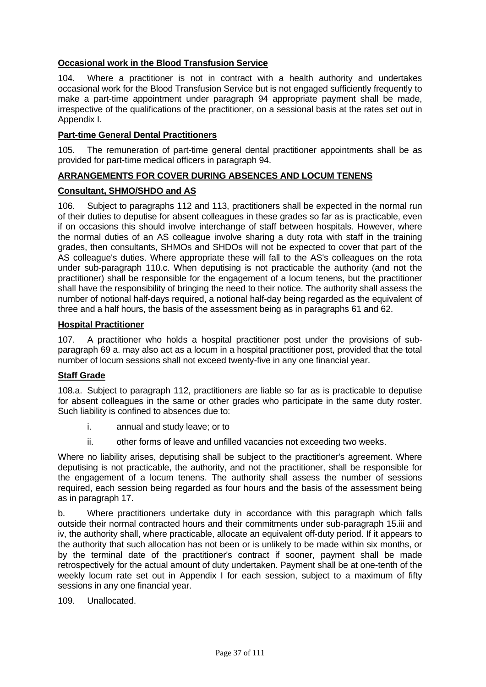# **Occasional work in the Blood Transfusion Service**

104. Where a practitioner is not in contract with a health authority and undertakes occasional work for the Blood Transfusion Service but is not engaged sufficiently frequently to make a part-time appointment under paragraph 94 appropriate payment shall be made, irrespective of the qualifications of the practitioner, on a sessional basis at the rates set out in Appendix I.

## **Part-time General Dental Practitioners**

105. The remuneration of part-time general dental practitioner appointments shall be as provided for part-time medical officers in paragraph 94.

# **ARRANGEMENTS FOR COVER DURING ABSENCES AND LOCUM TENENS**

## **Consultant, SHMO/SHDO and AS**

106. Subject to paragraphs 112 and 113, practitioners shall be expected in the normal run of their duties to deputise for absent colleagues in these grades so far as is practicable, even if on occasions this should involve interchange of staff between hospitals. However, where the normal duties of an AS colleague involve sharing a duty rota with staff in the training grades, then consultants, SHMOs and SHDOs will not be expected to cover that part of the AS colleague's duties. Where appropriate these will fall to the AS's colleagues on the rota under sub-paragraph 110.c. When deputising is not practicable the authority (and not the practitioner) shall be responsible for the engagement of a locum tenens, but the practitioner shall have the responsibility of bringing the need to their notice. The authority shall assess the number of notional half-days required, a notional half-day being regarded as the equivalent of three and a half hours, the basis of the assessment being as in paragraphs 61 and 62.

#### **Hospital Practitioner**

107. A practitioner who holds a hospital practitioner post under the provisions of subparagraph 69 a. may also act as a locum in a hospital practitioner post, provided that the total number of locum sessions shall not exceed twenty-five in any one financial year.

#### **Staff Grade**

108.a. Subject to paragraph 112, practitioners are liable so far as is practicable to deputise for absent colleagues in the same or other grades who participate in the same duty roster. Such liability is confined to absences due to:

- i. annual and study leave; or to
- ii. other forms of leave and unfilled vacancies not exceeding two weeks.

Where no liability arises, deputising shall be subject to the practitioner's agreement. Where deputising is not practicable, the authority, and not the practitioner, shall be responsible for the engagement of a locum tenens. The authority shall assess the number of sessions required, each session being regarded as four hours and the basis of the assessment being as in paragraph 17.

b. Where practitioners undertake duty in accordance with this paragraph which falls outside their normal contracted hours and their commitments under sub-paragraph 15.iii and iv, the authority shall, where practicable, allocate an equivalent off-duty period. If it appears to the authority that such allocation has not been or is unlikely to be made within six months, or by the terminal date of the practitioner's contract if sooner, payment shall be made retrospectively for the actual amount of duty undertaken. Payment shall be at one-tenth of the weekly locum rate set out in Appendix I for each session, subject to a maximum of fifty sessions in any one financial year.

109. Unallocated.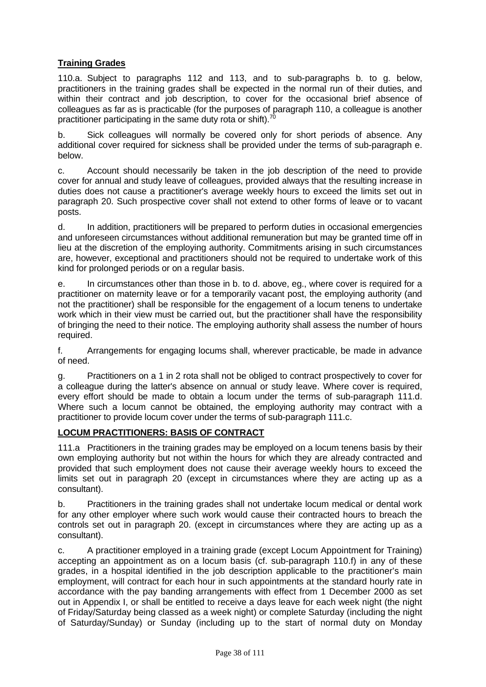# **Training Grades**

110.a. Subject to paragraphs 112 and 113, and to sub-paragraphs b. to g. below, practitioners in the training grades shall be expected in the normal run of their duties, and within their contract and job description, to cover for the occasional brief absence of colleagues as far as is practicable (for the purposes of paragraph 110, a colleague is another practitioner participating in the same duty rota or shift).<sup>7</sup>

b. Sick colleagues will normally be covered only for short periods of absence. Any additional cover required for sickness shall be provided under the terms of sub-paragraph e. below.

c. Account should necessarily be taken in the job description of the need to provide cover for annual and study leave of colleagues, provided always that the resulting increase in duties does not cause a practitioner's average weekly hours to exceed the limits set out in paragraph 20. Such prospective cover shall not extend to other forms of leave or to vacant posts.

d. In addition, practitioners will be prepared to perform duties in occasional emergencies and unforeseen circumstances without additional remuneration but may be granted time off in lieu at the discretion of the employing authority. Commitments arising in such circumstances are, however, exceptional and practitioners should not be required to undertake work of this kind for prolonged periods or on a regular basis.

e. In circumstances other than those in b. to d. above, eg., where cover is required for a practitioner on maternity leave or for a temporarily vacant post, the employing authority (and not the practitioner) shall be responsible for the engagement of a locum tenens to undertake work which in their view must be carried out, but the practitioner shall have the responsibility of bringing the need to their notice. The employing authority shall assess the number of hours required.

f. Arrangements for engaging locums shall, wherever practicable, be made in advance of need.

g. Practitioners on a 1 in 2 rota shall not be obliged to contract prospectively to cover for a colleague during the latter's absence on annual or study leave. Where cover is required, every effort should be made to obtain a locum under the terms of sub-paragraph 111.d. Where such a locum cannot be obtained, the employing authority may contract with a practitioner to provide locum cover under the terms of sub-paragraph 111.c.

# **LOCUM PRACTITIONERS: BASIS OF CONTRACT**

111.a Practitioners in the training grades may be employed on a locum tenens basis by their own employing authority but not within the hours for which they are already contracted and provided that such employment does not cause their average weekly hours to exceed the limits set out in paragraph 20 (except in circumstances where they are acting up as a consultant).

b. Practitioners in the training grades shall not undertake locum medical or dental work for any other employer where such work would cause their contracted hours to breach the controls set out in paragraph 20. (except in circumstances where they are acting up as a consultant).

c. A practitioner employed in a training grade (except Locum Appointment for Training) accepting an appointment as on a locum basis (cf. sub-paragraph 110.f) in any of these grades, in a hospital identified in the job description applicable to the practitioner's main employment, will contract for each hour in such appointments at the standard hourly rate in accordance with the pay banding arrangements with effect from 1 December 2000 as set out in Appendix I, or shall be entitled to receive a days leave for each week night (the night of Friday/Saturday being classed as a week night) or complete Saturday (including the night of Saturday/Sunday) or Sunday (including up to the start of normal duty on Monday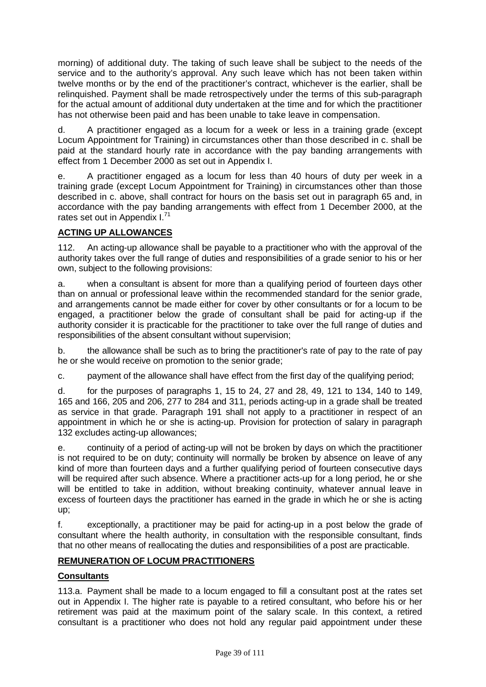morning) of additional duty. The taking of such leave shall be subject to the needs of the service and to the authority's approval. Any such leave which has not been taken within twelve months or by the end of the practitioner's contract, whichever is the earlier, shall be relinquished. Payment shall be made retrospectively under the terms of this sub-paragraph for the actual amount of additional duty undertaken at the time and for which the practitioner has not otherwise been paid and has been unable to take leave in compensation.

d. A practitioner engaged as a locum for a week or less in a training grade (except Locum Appointment for Training) in circumstances other than those described in c. shall be paid at the standard hourly rate in accordance with the pay banding arrangements with effect from 1 December 2000 as set out in Appendix I.

e. A practitioner engaged as a locum for less than 40 hours of duty per week in a training grade (except Locum Appointment for Training) in circumstances other than those described in c. above, shall contract for hours on the basis set out in paragraph 65 and, in accordance with the pay banding arrangements with effect from 1 December 2000, at the rates set out in Appendix  $I^{1}$ .

# **ACTING UP ALLOWANCES**

112. An acting-up allowance shall be payable to a practitioner who with the approval of the authority takes over the full range of duties and responsibilities of a grade senior to his or her own, subject to the following provisions:

a. when a consultant is absent for more than a qualifying period of fourteen days other than on annual or professional leave within the recommended standard for the senior grade, and arrangements cannot be made either for cover by other consultants or for a locum to be engaged, a practitioner below the grade of consultant shall be paid for acting-up if the authority consider it is practicable for the practitioner to take over the full range of duties and responsibilities of the absent consultant without supervision;

b. the allowance shall be such as to bring the practitioner's rate of pay to the rate of pay he or she would receive on promotion to the senior grade;

c. payment of the allowance shall have effect from the first day of the qualifying period;

d. for the purposes of paragraphs 1, 15 to 24, 27 and 28, 49, 121 to 134, 140 to 149, 165 and 166, 205 and 206, 277 to 284 and 311, periods acting-up in a grade shall be treated as service in that grade. Paragraph 191 shall not apply to a practitioner in respect of an appointment in which he or she is acting-up. Provision for protection of salary in paragraph 132 excludes acting-up allowances;

e. continuity of a period of acting-up will not be broken by days on which the practitioner is not required to be on duty; continuity will normally be broken by absence on leave of any kind of more than fourteen days and a further qualifying period of fourteen consecutive days will be required after such absence. Where a practitioner acts-up for a long period, he or she will be entitled to take in addition, without breaking continuity, whatever annual leave in excess of fourteen days the practitioner has earned in the grade in which he or she is acting up;

f. exceptionally, a practitioner may be paid for acting-up in a post below the grade of consultant where the health authority, in consultation with the responsible consultant, finds that no other means of reallocating the duties and responsibilities of a post are practicable.

# **REMUNERATION OF LOCUM PRACTITIONERS**

# **Consultants**

113.a. Payment shall be made to a locum engaged to fill a consultant post at the rates set out in Appendix I. The higher rate is payable to a retired consultant, who before his or her retirement was paid at the maximum point of the salary scale. In this context, a retired consultant is a practitioner who does not hold any regular paid appointment under these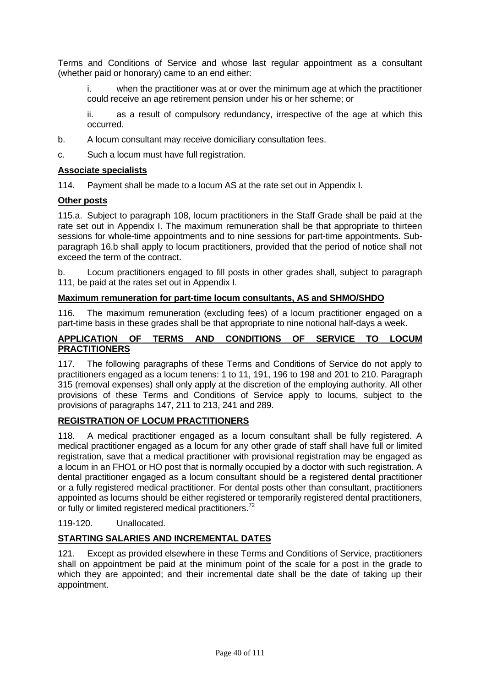Terms and Conditions of Service and whose last regular appointment as a consultant (whether paid or honorary) came to an end either:

i. when the practitioner was at or over the minimum age at which the practitioner could receive an age retirement pension under his or her scheme; or

ii. as a result of compulsory redundancy, irrespective of the age at which this occurred.

- b. A locum consultant may receive domiciliary consultation fees.
- c. Such a locum must have full registration.

#### **Associate specialists**

114. Payment shall be made to a locum AS at the rate set out in Appendix I.

#### **Other posts**

115.a. Subject to paragraph 108, locum practitioners in the Staff Grade shall be paid at the rate set out in Appendix I. The maximum remuneration shall be that appropriate to thirteen sessions for whole-time appointments and to nine sessions for part-time appointments. Subparagraph 16.b shall apply to locum practitioners, provided that the period of notice shall not exceed the term of the contract.

b. Locum practitioners engaged to fill posts in other grades shall, subject to paragraph 111, be paid at the rates set out in Appendix I.

#### **Maximum remuneration for part-time locum consultants, AS and SHMO/SHDO**

116. The maximum remuneration (excluding fees) of a locum practitioner engaged on a part-time basis in these grades shall be that appropriate to nine notional half-days a week.

#### **APPLICATION OF TERMS AND CONDITIONS OF SERVICE TO LOCUM PRACTITIONERS**

117. The following paragraphs of these Terms and Conditions of Service do not apply to practitioners engaged as a locum tenens: 1 to 11, 191, 196 to 198 and 201 to 210. Paragraph 315 (removal expenses) shall only apply at the discretion of the employing authority. All other provisions of these Terms and Conditions of Service apply to locums, subject to the provisions of paragraphs 147, 211 to 213, 241 and 289.

## **REGISTRATION OF LOCUM PRACTITIONERS**

118. A medical practitioner engaged as a locum consultant shall be fully registered. A medical practitioner engaged as a locum for any other grade of staff shall have full or limited registration, save that a medical practitioner with provisional registration may be engaged as a locum in an FHO1 or HO post that is normally occupied by a doctor with such registration. A dental practitioner engaged as a locum consultant should be a registered dental practitioner or a fully registered medical practitioner. For dental posts other than consultant, practitioners appointed as locums should be either registered or temporarily registered dental practitioners, or fully or limited registered medical practitioners.<sup>72</sup>

119-120. Unallocated.

## **STARTING SALARIES AND INCREMENTAL DATES**

121. Except as provided elsewhere in these Terms and Conditions of Service, practitioners shall on appointment be paid at the minimum point of the scale for a post in the grade to which they are appointed; and their incremental date shall be the date of taking up their appointment.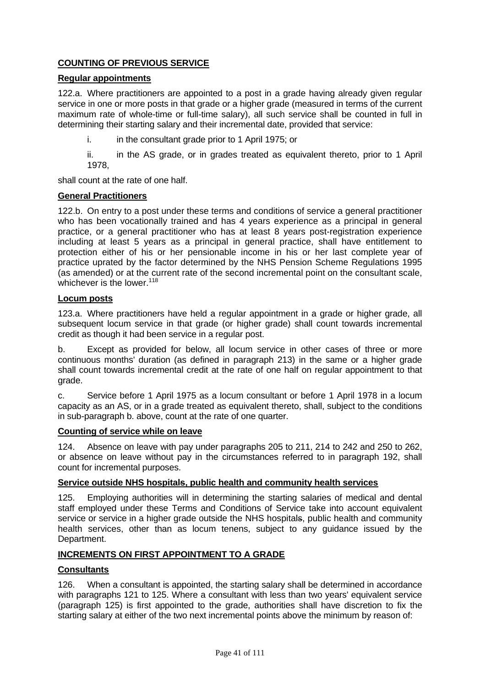# **COUNTING OF PREVIOUS SERVICE**

#### **Regular appointments**

122.a. Where practitioners are appointed to a post in a grade having already given regular service in one or more posts in that grade or a higher grade (measured in terms of the current maximum rate of whole-time or full-time salary), all such service shall be counted in full in determining their starting salary and their incremental date, provided that service:

i. in the consultant grade prior to 1 April 1975; or

ii. in the AS grade, or in grades treated as equivalent thereto, prior to 1 April 1978,

shall count at the rate of one half.

#### **General Practitioners**

122.b. On entry to a post under these terms and conditions of service a general practitioner who has been vocationally trained and has 4 years experience as a principal in general practice, or a general practitioner who has at least 8 years post-registration experience including at least 5 years as a principal in general practice, shall have entitlement to protection either of his or her pensionable income in his or her last complete year of practice uprated by the factor determined by the NHS Pension Scheme Regulations 1995 (as amended) or at the current rate of the second incremental point on the consultant scale, whichever is the lower. $118$ 

#### **Locum posts**

123.a. Where practitioners have held a regular appointment in a grade or higher grade, all subsequent locum service in that grade (or higher grade) shall count towards incremental credit as though it had been service in a regular post.

b. Except as provided for below, all locum service in other cases of three or more continuous months' duration (as defined in paragraph 213) in the same or a higher grade shall count towards incremental credit at the rate of one half on regular appointment to that grade.

c. Service before 1 April 1975 as a locum consultant or before 1 April 1978 in a locum capacity as an AS, or in a grade treated as equivalent thereto, shall, subject to the conditions in sub-paragraph b. above, count at the rate of one quarter.

#### **Counting of service while on leave**

124. Absence on leave with pay under paragraphs 205 to 211, 214 to 242 and 250 to 262, or absence on leave without pay in the circumstances referred to in paragraph 192, shall count for incremental purposes.

#### **Service outside NHS hospitals, public health and community health services**

125. Employing authorities will in determining the starting salaries of medical and dental staff employed under these Terms and Conditions of Service take into account equivalent service or service in a higher grade outside the NHS hospitals, public health and community health services, other than as locum tenens, subject to any guidance issued by the Department.

## **INCREMENTS ON FIRST APPOINTMENT TO A GRADE**

## **Consultants**

126. When a consultant is appointed, the starting salary shall be determined in accordance with paragraphs 121 to 125. Where a consultant with less than two years' equivalent service (paragraph 125) is first appointed to the grade, authorities shall have discretion to fix the starting salary at either of the two next incremental points above the minimum by reason of: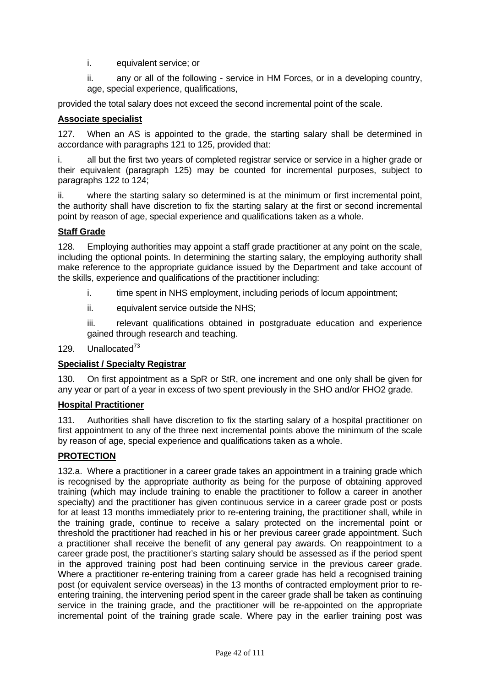- i. equivalent service; or
- ii. any or all of the following service in HM Forces, or in a developing country, age, special experience, qualifications,

provided the total salary does not exceed the second incremental point of the scale.

# **Associate specialist**

127. When an AS is appointed to the grade, the starting salary shall be determined in accordance with paragraphs 121 to 125, provided that:

i. all but the first two years of completed registrar service or service in a higher grade or their equivalent (paragraph 125) may be counted for incremental purposes, subject to paragraphs 122 to 124;

ii. where the starting salary so determined is at the minimum or first incremental point, the authority shall have discretion to fix the starting salary at the first or second incremental point by reason of age, special experience and qualifications taken as a whole.

# **Staff Grade**

128. Employing authorities may appoint a staff grade practitioner at any point on the scale, including the optional points. In determining the starting salary, the employing authority shall make reference to the appropriate guidance issued by the Department and take account of the skills, experience and qualifications of the practitioner including:

- i. time spent in NHS employment, including periods of locum appointment;
- ii. equivalent service outside the NHS;

iii. relevant qualifications obtained in postgraduate education and experience gained through research and teaching.

## 129. Unallocated<sup>73</sup>

## **Specialist / Specialty Registrar**

130. On first appointment as a SpR or StR, one increment and one only shall be given for any year or part of a year in excess of two spent previously in the SHO and/or FHO2 grade.

## **Hospital Practitioner**

131. Authorities shall have discretion to fix the starting salary of a hospital practitioner on first appointment to any of the three next incremental points above the minimum of the scale by reason of age, special experience and qualifications taken as a whole.

## **PROTECTION**

132.a. Where a practitioner in a career grade takes an appointment in a training grade which is recognised by the appropriate authority as being for the purpose of obtaining approved training (which may include training to enable the practitioner to follow a career in another specialty) and the practitioner has given continuous service in a career grade post or posts for at least 13 months immediately prior to re-entering training, the practitioner shall, while in the training grade, continue to receive a salary protected on the incremental point or threshold the practitioner had reached in his or her previous career grade appointment. Such a practitioner shall receive the benefit of any general pay awards. On reappointment to a career grade post, the practitioner's starting salary should be assessed as if the period spent in the approved training post had been continuing service in the previous career grade. Where a practitioner re-entering training from a career grade has held a recognised training post (or equivalent service overseas) in the 13 months of contracted employment prior to reentering training, the intervening period spent in the career grade shall be taken as continuing service in the training grade, and the practitioner will be re-appointed on the appropriate incremental point of the training grade scale. Where pay in the earlier training post was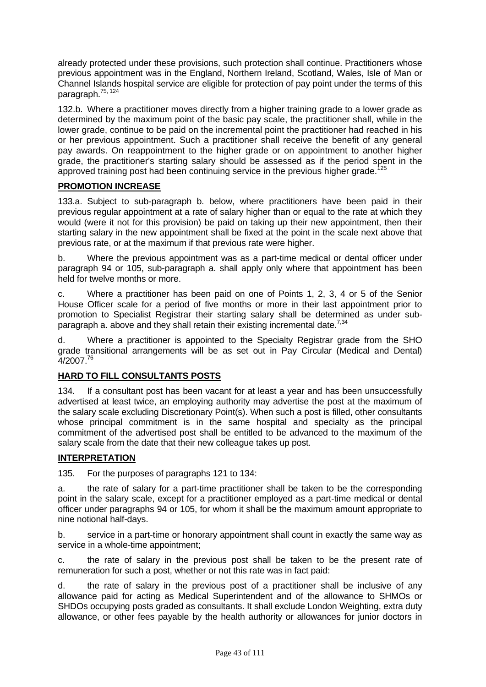already protected under these provisions, such protection shall continue. Practitioners whose previous appointment was in the England, Northern Ireland, Scotland, Wales, Isle of Man or Channel Islands hospital service are eligible for protection of pay point under the terms of this paragraph.75, 124

132.b. Where a practitioner moves directly from a higher training grade to a lower grade as determined by the maximum point of the basic pay scale, the practitioner shall, while in the lower grade, continue to be paid on the incremental point the practitioner had reached in his or her previous appointment. Such a practitioner shall receive the benefit of any general pay awards. On reappointment to the higher grade or on appointment to another higher grade, the practitioner's starting salary should be assessed as if the period spent in the approved training post had been continuing service in the previous higher grade.<sup>125</sup>

# **PROMOTION INCREASE**

133.a. Subject to sub-paragraph b. below, where practitioners have been paid in their previous regular appointment at a rate of salary higher than or equal to the rate at which they would (were it not for this provision) be paid on taking up their new appointment, then their starting salary in the new appointment shall be fixed at the point in the scale next above that previous rate, or at the maximum if that previous rate were higher.

b. Where the previous appointment was as a part-time medical or dental officer under paragraph 94 or 105, sub-paragraph a. shall apply only where that appointment has been held for twelve months or more.

c. Where a practitioner has been paid on one of Points 1, 2, 3, 4 or 5 of the Senior House Officer scale for a period of five months or more in their last appointment prior to promotion to Specialist Registrar their starting salary shall be determined as under subparagraph a. above and they shall retain their existing incremental date.<sup>7,34</sup>

d. Where a practitioner is appointed to the Specialty Registrar grade from the SHO grade transitional arrangements will be as set out in Pay Circular (Medical and Dental)  $4/2007.<sup>76</sup>$ 

## **HARD TO FILL CONSULTANTS POSTS**

134. If a consultant post has been vacant for at least a year and has been unsuccessfully advertised at least twice, an employing authority may advertise the post at the maximum of the salary scale excluding Discretionary Point(s). When such a post is filled, other consultants whose principal commitment is in the same hospital and specialty as the principal commitment of the advertised post shall be entitled to be advanced to the maximum of the salary scale from the date that their new colleague takes up post.

## **INTERPRETATION**

135. For the purposes of paragraphs 121 to 134:

a. the rate of salary for a part-time practitioner shall be taken to be the corresponding point in the salary scale, except for a practitioner employed as a part-time medical or dental officer under paragraphs 94 or 105, for whom it shall be the maximum amount appropriate to nine notional half-days.

b. service in a part-time or honorary appointment shall count in exactly the same way as service in a whole-time appointment;

c. the rate of salary in the previous post shall be taken to be the present rate of remuneration for such a post, whether or not this rate was in fact paid:

d. the rate of salary in the previous post of a practitioner shall be inclusive of any allowance paid for acting as Medical Superintendent and of the allowance to SHMOs or SHDOs occupying posts graded as consultants. It shall exclude London Weighting, extra duty allowance, or other fees payable by the health authority or allowances for junior doctors in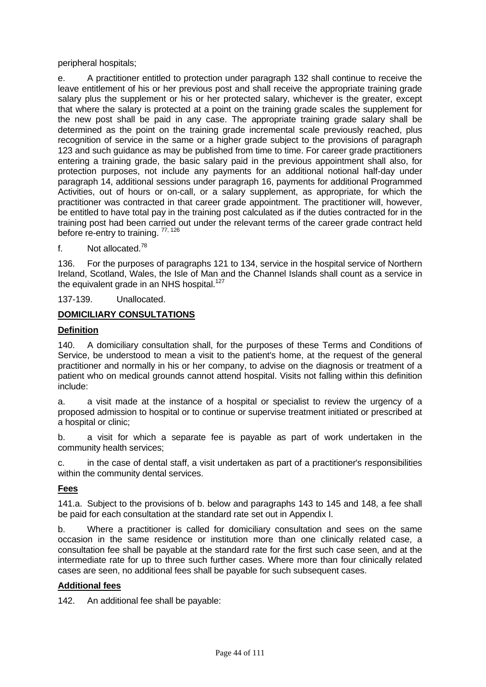peripheral hospitals;

e. A practitioner entitled to protection under paragraph 132 shall continue to receive the leave entitlement of his or her previous post and shall receive the appropriate training grade salary plus the supplement or his or her protected salary, whichever is the greater, except that where the salary is protected at a point on the training grade scales the supplement for the new post shall be paid in any case. The appropriate training grade salary shall be determined as the point on the training grade incremental scale previously reached, plus recognition of service in the same or a higher grade subject to the provisions of paragraph 123 and such guidance as may be published from time to time. For career grade practitioners entering a training grade, the basic salary paid in the previous appointment shall also, for protection purposes, not include any payments for an additional notional half-day under paragraph 14, additional sessions under paragraph 16, payments for additional Programmed Activities, out of hours or on-call, or a salary supplement, as appropriate, for which the practitioner was contracted in that career grade appointment. The practitioner will, however, be entitled to have total pay in the training post calculated as if the duties contracted for in the training post had been carried out under the relevant terms of the career grade contract held before re-entry to training. 77, 126

f. Not allocated.78

136. For the purposes of paragraphs 121 to 134, service in the hospital service of Northern Ireland, Scotland, Wales, the Isle of Man and the Channel Islands shall count as a service in the equivalent grade in an NHS hospital.<sup>127</sup>

137-139. Unallocated.

# **DOMICILIARY CONSULTATIONS**

#### **Definition**

140. A domiciliary consultation shall, for the purposes of these Terms and Conditions of Service, be understood to mean a visit to the patient's home, at the request of the general practitioner and normally in his or her company, to advise on the diagnosis or treatment of a patient who on medical grounds cannot attend hospital. Visits not falling within this definition include:

a. a visit made at the instance of a hospital or specialist to review the urgency of a proposed admission to hospital or to continue or supervise treatment initiated or prescribed at a hospital or clinic;

b. a visit for which a separate fee is payable as part of work undertaken in the community health services;

c. in the case of dental staff, a visit undertaken as part of a practitioner's responsibilities within the community dental services.

## **Fees**

141.a. Subject to the provisions of b. below and paragraphs 143 to 145 and 148, a fee shall be paid for each consultation at the standard rate set out in Appendix I.

b. Where a practitioner is called for domiciliary consultation and sees on the same occasion in the same residence or institution more than one clinically related case, a consultation fee shall be payable at the standard rate for the first such case seen, and at the intermediate rate for up to three such further cases. Where more than four clinically related cases are seen, no additional fees shall be payable for such subsequent cases.

#### **Additional fees**

142. An additional fee shall be payable: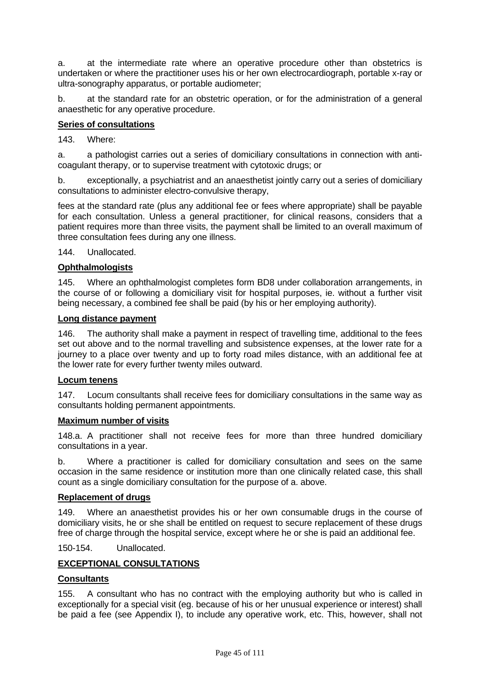a. at the intermediate rate where an operative procedure other than obstetrics is undertaken or where the practitioner uses his or her own electrocardiograph, portable x-ray or ultra-sonography apparatus, or portable audiometer;

b. at the standard rate for an obstetric operation, or for the administration of a general anaesthetic for any operative procedure.

#### **Series of consultations**

143. Where:

a. a pathologist carries out a series of domiciliary consultations in connection with anticoagulant therapy, or to supervise treatment with cytotoxic drugs; or

b. exceptionally, a psychiatrist and an anaesthetist jointly carry out a series of domiciliary consultations to administer electro-convulsive therapy,

fees at the standard rate (plus any additional fee or fees where appropriate) shall be payable for each consultation. Unless a general practitioner, for clinical reasons, considers that a patient requires more than three visits, the payment shall be limited to an overall maximum of three consultation fees during any one illness.

144. Unallocated.

#### **Ophthalmologists**

145. Where an ophthalmologist completes form BD8 under collaboration arrangements, in the course of or following a domiciliary visit for hospital purposes, ie. without a further visit being necessary, a combined fee shall be paid (by his or her employing authority).

#### **Long distance payment**

146. The authority shall make a payment in respect of travelling time, additional to the fees set out above and to the normal travelling and subsistence expenses, at the lower rate for a journey to a place over twenty and up to forty road miles distance, with an additional fee at the lower rate for every further twenty miles outward.

#### **Locum tenens**

147. Locum consultants shall receive fees for domiciliary consultations in the same way as consultants holding permanent appointments.

#### **Maximum number of visits**

148.a. A practitioner shall not receive fees for more than three hundred domiciliary consultations in a year.

b. Where a practitioner is called for domiciliary consultation and sees on the same occasion in the same residence or institution more than one clinically related case, this shall count as a single domiciliary consultation for the purpose of a. above.

#### **Replacement of drugs**

149. Where an anaesthetist provides his or her own consumable drugs in the course of domiciliary visits, he or she shall be entitled on request to secure replacement of these drugs free of charge through the hospital service, except where he or she is paid an additional fee.

150-154. Unallocated.

## **EXCEPTIONAL CONSULTATIONS**

#### **Consultants**

155. A consultant who has no contract with the employing authority but who is called in exceptionally for a special visit (eg. because of his or her unusual experience or interest) shall be paid a fee (see Appendix I), to include any operative work, etc. This, however, shall not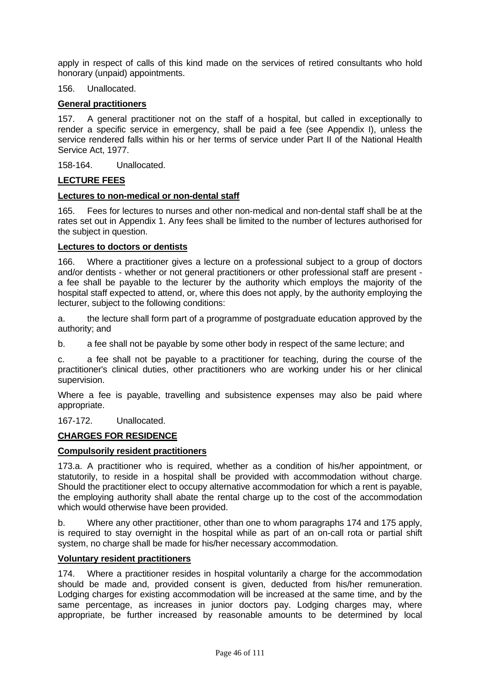apply in respect of calls of this kind made on the services of retired consultants who hold honorary (unpaid) appointments.

#### 156. Unallocated.

#### **General practitioners**

157. A general practitioner not on the staff of a hospital, but called in exceptionally to render a specific service in emergency, shall be paid a fee (see Appendix I), unless the service rendered falls within his or her terms of service under Part II of the National Health Service Act, 1977.

158-164. Unallocated.

#### **LECTURE FEES**

#### **Lectures to non-medical or non-dental staff**

165. Fees for lectures to nurses and other non-medical and non-dental staff shall be at the rates set out in Appendix 1. Any fees shall be limited to the number of lectures authorised for the subject in question.

#### **Lectures to doctors or dentists**

166. Where a practitioner gives a lecture on a professional subject to a group of doctors and/or dentists - whether or not general practitioners or other professional staff are present a fee shall be payable to the lecturer by the authority which employs the majority of the hospital staff expected to attend, or, where this does not apply, by the authority employing the lecturer, subject to the following conditions:

a. the lecture shall form part of a programme of postgraduate education approved by the authority; and

b. a fee shall not be payable by some other body in respect of the same lecture; and

c. a fee shall not be payable to a practitioner for teaching, during the course of the practitioner's clinical duties, other practitioners who are working under his or her clinical supervision.

Where a fee is payable, travelling and subsistence expenses may also be paid where appropriate.

167-172. Unallocated.

## **CHARGES FOR RESIDENCE**

#### **Compulsorily resident practitioners**

173.a. A practitioner who is required, whether as a condition of his/her appointment, or statutorily, to reside in a hospital shall be provided with accommodation without charge. Should the practitioner elect to occupy alternative accommodation for which a rent is payable, the employing authority shall abate the rental charge up to the cost of the accommodation which would otherwise have been provided.

b. Where any other practitioner, other than one to whom paragraphs 174 and 175 apply, is required to stay overnight in the hospital while as part of an on-call rota or partial shift system, no charge shall be made for his/her necessary accommodation.

#### **Voluntary resident practitioners**

174. Where a practitioner resides in hospital voluntarily a charge for the accommodation should be made and, provided consent is given, deducted from his/her remuneration. Lodging charges for existing accommodation will be increased at the same time, and by the same percentage, as increases in junior doctors pay. Lodging charges may, where appropriate, be further increased by reasonable amounts to be determined by local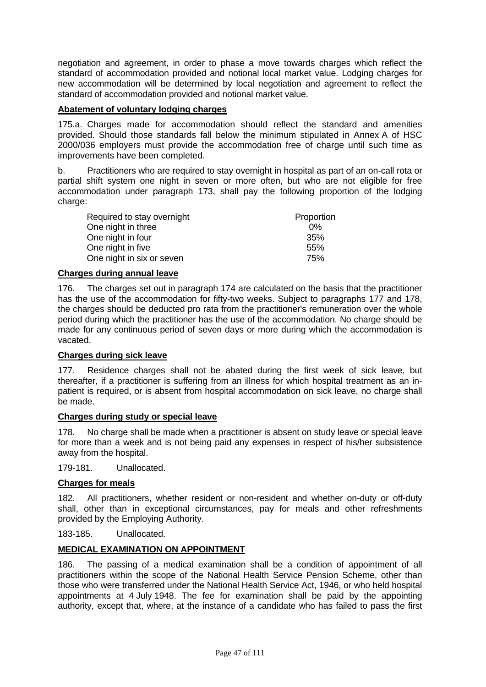negotiation and agreement, in order to phase a move towards charges which reflect the standard of accommodation provided and notional local market value. Lodging charges for new accommodation will be determined by local negotiation and agreement to reflect the standard of accommodation provided and notional market value.

## **Abatement of voluntary lodging charges**

175.a. Charges made for accommodation should reflect the standard and amenities provided. Should those standards fall below the minimum stipulated in Annex A of HSC 2000/036 employers must provide the accommodation free of charge until such time as improvements have been completed.

b. Practitioners who are required to stay overnight in hospital as part of an on-call rota or partial shift system one night in seven or more often, but who are not eligible for free accommodation under paragraph 173, shall pay the following proportion of the lodging charge:

| Required to stay overnight | Proportion |
|----------------------------|------------|
| One night in three         | $0\%$      |
| One night in four          | 35%        |
| One night in five          | 55%        |
| One night in six or seven  | 75%        |

## **Charges during annual leave**

176. The charges set out in paragraph 174 are calculated on the basis that the practitioner has the use of the accommodation for fifty-two weeks. Subject to paragraphs 177 and 178, the charges should be deducted pro rata from the practitioner's remuneration over the whole period during which the practitioner has the use of the accommodation. No charge should be made for any continuous period of seven days or more during which the accommodation is vacated.

# **Charges during sick leave**

177. Residence charges shall not be abated during the first week of sick leave, but thereafter, if a practitioner is suffering from an illness for which hospital treatment as an inpatient is required, or is absent from hospital accommodation on sick leave, no charge shall be made.

#### **Charges during study or special leave**

178. No charge shall be made when a practitioner is absent on study leave or special leave for more than a week and is not being paid any expenses in respect of his/her subsistence away from the hospital.

179-181. Unallocated.

## **Charges for meals**

182. All practitioners, whether resident or non-resident and whether on-duty or off-duty shall, other than in exceptional circumstances, pay for meals and other refreshments provided by the Employing Authority.

183-185. Unallocated.

#### **MEDICAL EXAMINATION ON APPOINTMENT**

186. The passing of a medical examination shall be a condition of appointment of all practitioners within the scope of the National Health Service Pension Scheme, other than those who were transferred under the National Health Service Act, 1946, or who held hospital appointments at 4 July 1948. The fee for examination shall be paid by the appointing authority, except that, where, at the instance of a candidate who has failed to pass the first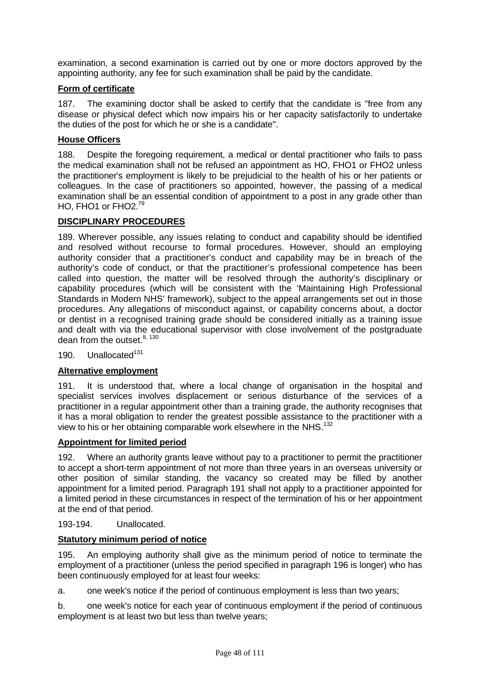examination, a second examination is carried out by one or more doctors approved by the appointing authority, any fee for such examination shall be paid by the candidate.

# **Form of certificate**

187. The examining doctor shall be asked to certify that the candidate is "free from any disease or physical defect which now impairs his or her capacity satisfactorily to undertake the duties of the post for which he or she is a candidate".

# **House Officers**

188. Despite the foregoing requirement, a medical or dental practitioner who fails to pass the medical examination shall not be refused an appointment as HO, FHO1 or FHO2 unless the practitioner's employment is likely to be prejudicial to the health of his or her patients or colleagues. In the case of practitioners so appointed, however, the passing of a medical examination shall be an essential condition of appointment to a post in any grade other than HO, FHO1 or FHO2.<sup>79</sup>

# **DISCIPLINARY PROCEDURES**

189. Wherever possible, any issues relating to conduct and capability should be identified and resolved without recourse to formal procedures. However, should an employing authority consider that a practitioner's conduct and capability may be in breach of the authority's code of conduct, or that the practitioner's professional competence has been called into question, the matter will be resolved through the authority's disciplinary or capability procedures (which will be consistent with the 'Maintaining High Professional Standards in Modern NHS' framework), subject to the appeal arrangements set out in those procedures. Any allegations of misconduct against, or capability concerns about, a doctor or dentist in a recognised training grade should be considered initially as a training issue and dealt with via the educational supervisor with close involvement of the postgraduate dean from the outset. $8,130$ 

190. Unallocated<sup>131</sup>

## **Alternative employment**

191. It is understood that, where a local change of organisation in the hospital and specialist services involves displacement or serious disturbance of the services of a practitioner in a regular appointment other than a training grade, the authority recognises that it has a moral obligation to render the greatest possible assistance to the practitioner with a view to his or her obtaining comparable work elsewhere in the NHS.<sup>132</sup>

## **Appointment for limited period**

192. Where an authority grants leave without pay to a practitioner to permit the practitioner to accept a short-term appointment of not more than three years in an overseas university or other position of similar standing, the vacancy so created may be filled by another appointment for a limited period. Paragraph 191 shall not apply to a practitioner appointed for a limited period in these circumstances in respect of the termination of his or her appointment at the end of that period.

193-194. Unallocated.

## **Statutory minimum period of notice**

195. An employing authority shall give as the minimum period of notice to terminate the employment of a practitioner (unless the period specified in paragraph 196 is longer) who has been continuously employed for at least four weeks:

a. one week's notice if the period of continuous employment is less than two years;

b. one week's notice for each year of continuous employment if the period of continuous employment is at least two but less than twelve years;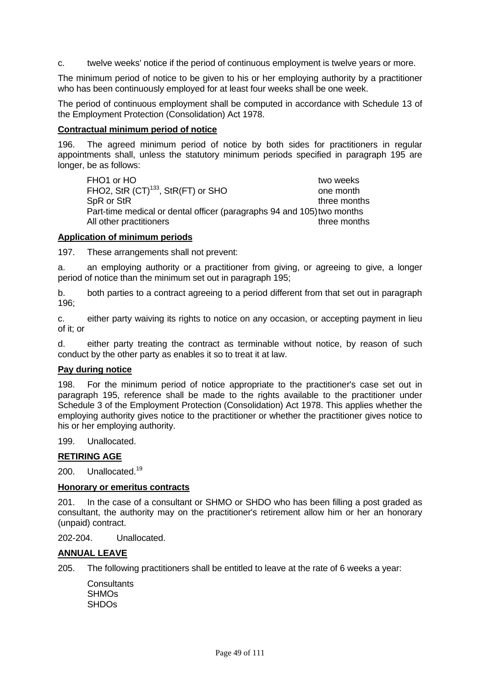c. twelve weeks' notice if the period of continuous employment is twelve years or more.

The minimum period of notice to be given to his or her employing authority by a practitioner who has been continuously employed for at least four weeks shall be one week.

The period of continuous employment shall be computed in accordance with Schedule 13 of the Employment Protection (Consolidation) Act 1978.

#### **Contractual minimum period of notice**

196. The agreed minimum period of notice by both sides for practitioners in regular appointments shall, unless the statutory minimum periods specified in paragraph 195 are longer, be as follows:

FHO1 or HO two weeks and two weeks and two weeks and two weeks are two weeks and two weeks are two weeks and two weeks are two weeks and two weeks are two weeks and two weeks are two weeks and two weeks are two weeks and t FHO2, StR (CT)<sup>133</sup>, StR(FT) or SHO one month SpR or StR three months Part-time medical or dental officer (paragraphs 94 and 105) two months All other practitioners three months

#### **Application of minimum periods**

197. These arrangements shall not prevent:

a. an employing authority or a practitioner from giving, or agreeing to give, a longer period of notice than the minimum set out in paragraph 195;

b. both parties to a contract agreeing to a period different from that set out in paragraph 196;

c. either party waiving its rights to notice on any occasion, or accepting payment in lieu of it; or

d. either party treating the contract as terminable without notice, by reason of such conduct by the other party as enables it so to treat it at law.

#### **Pay during notice**

198. For the minimum period of notice appropriate to the practitioner's case set out in paragraph 195, reference shall be made to the rights available to the practitioner under Schedule 3 of the Employment Protection (Consolidation) Act 1978. This applies whether the employing authority gives notice to the practitioner or whether the practitioner gives notice to his or her employing authority.

199. Unallocated.

#### **RETIRING AGE**

200. Unallocated.<sup>19</sup>

#### **Honorary or emeritus contracts**

201. In the case of a consultant or SHMO or SHDO who has been filling a post graded as consultant, the authority may on the practitioner's retirement allow him or her an honorary (unpaid) contract.

202-204. Unallocated.

## **ANNUAL LEAVE**

- 205. The following practitioners shall be entitled to leave at the rate of 6 weeks a year:
	- **Consultants SHMOs SHDOs**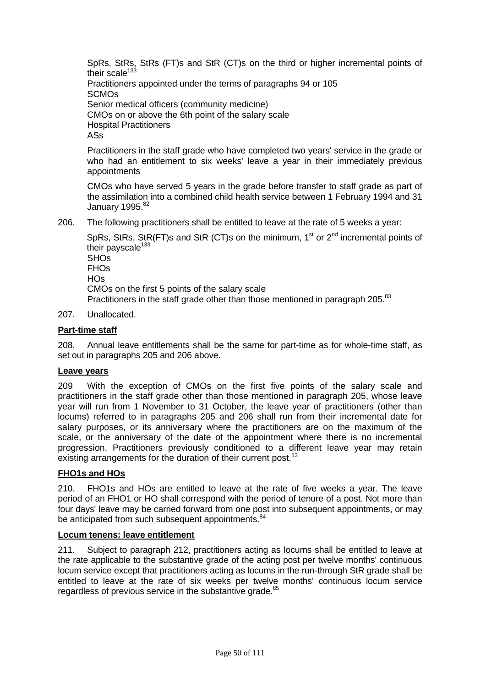SpRs, StRs, StRs (FT)s and StR (CT)s on the third or higher incremental points of their scale<sup>133</sup>

Practitioners appointed under the terms of paragraphs 94 or 105 **SCMOs** Senior medical officers (community medicine) CMOs on or above the 6th point of the salary scale Hospital Practitioners ASs

Practitioners in the staff grade who have completed two years' service in the grade or who had an entitlement to six weeks' leave a year in their immediately previous appointments

CMOs who have served 5 years in the grade before transfer to staff grade as part of the assimilation into a combined child health service between 1 February 1994 and 31 January 1995.<sup>82</sup>

206. The following practitioners shall be entitled to leave at the rate of 5 weeks a year:

SpRs, StRs, StR(FT)s and StR (CT)s on the minimum.  $1<sup>st</sup>$  or  $2<sup>nd</sup>$  incremental points of their payscale $133$ **SHO<sub>s</sub>** FHOs HOs CMOs on the first 5 points of the salary scale Practitioners in the staff grade other than those mentioned in paragraph 205.<sup>83</sup>

207. Unallocated.

# **Part-time staff**

208. Annual leave entitlements shall be the same for part-time as for whole-time staff, as set out in paragraphs 205 and 206 above.

## **Leave years**

209 With the exception of CMOs on the first five points of the salary scale and practitioners in the staff grade other than those mentioned in paragraph 205, whose leave year will run from 1 November to 31 October, the leave year of practitioners (other than locums) referred to in paragraphs 205 and 206 shall run from their incremental date for salary purposes, or its anniversary where the practitioners are on the maximum of the scale, or the anniversary of the date of the appointment where there is no incremental progression. Practitioners previously conditioned to a different leave year may retain existing arrangements for the duration of their current post.<sup>13</sup>

## **FHO1s and HOs**

210. FHO1s and HOs are entitled to leave at the rate of five weeks a year. The leave period of an FHO1 or HO shall correspond with the period of tenure of a post. Not more than four days' leave may be carried forward from one post into subsequent appointments, or may be anticipated from such subsequent appointments.<sup>84</sup>

## **Locum tenens: leave entitlement**

211. Subject to paragraph 212, practitioners acting as locums shall be entitled to leave at the rate applicable to the substantive grade of the acting post per twelve months' continuous locum service except that practitioners acting as locums in the run-through StR grade shall be entitled to leave at the rate of six weeks per twelve months' continuous locum service regardless of previous service in the substantive grade.<sup>85</sup>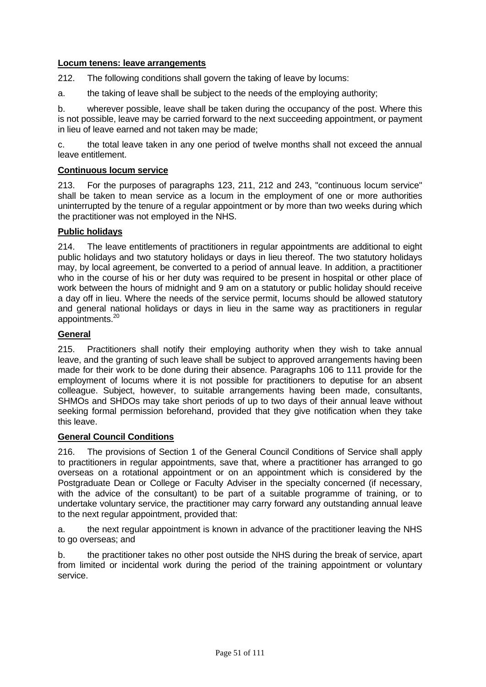## **Locum tenens: leave arrangements**

212. The following conditions shall govern the taking of leave by locums:

a. the taking of leave shall be subject to the needs of the employing authority;

b. wherever possible, leave shall be taken during the occupancy of the post. Where this is not possible, leave may be carried forward to the next succeeding appointment, or payment in lieu of leave earned and not taken may be made;

c. the total leave taken in any one period of twelve months shall not exceed the annual leave entitlement.

#### **Continuous locum service**

213. For the purposes of paragraphs 123, 211, 212 and 243, "continuous locum service" shall be taken to mean service as a locum in the employment of one or more authorities uninterrupted by the tenure of a regular appointment or by more than two weeks during which the practitioner was not employed in the NHS.

## **Public holidays**

214. The leave entitlements of practitioners in regular appointments are additional to eight public holidays and two statutory holidays or days in lieu thereof. The two statutory holidays may, by local agreement, be converted to a period of annual leave. In addition, a practitioner who in the course of his or her duty was required to be present in hospital or other place of work between the hours of midnight and 9 am on a statutory or public holiday should receive a day off in lieu. Where the needs of the service permit, locums should be allowed statutory and general national holidays or days in lieu in the same way as practitioners in regular appointments.20

## **General**

215. Practitioners shall notify their employing authority when they wish to take annual leave, and the granting of such leave shall be subject to approved arrangements having been made for their work to be done during their absence. Paragraphs 106 to 111 provide for the employment of locums where it is not possible for practitioners to deputise for an absent colleague. Subject, however, to suitable arrangements having been made, consultants, SHMOs and SHDOs may take short periods of up to two days of their annual leave without seeking formal permission beforehand, provided that they give notification when they take this leave.

#### **General Council Conditions**

216. The provisions of Section 1 of the General Council Conditions of Service shall apply to practitioners in regular appointments, save that, where a practitioner has arranged to go overseas on a rotational appointment or on an appointment which is considered by the Postgraduate Dean or College or Faculty Adviser in the specialty concerned (if necessary, with the advice of the consultant) to be part of a suitable programme of training, or to undertake voluntary service, the practitioner may carry forward any outstanding annual leave to the next regular appointment, provided that:

a. the next regular appointment is known in advance of the practitioner leaving the NHS to go overseas; and

b. the practitioner takes no other post outside the NHS during the break of service, apart from limited or incidental work during the period of the training appointment or voluntary service.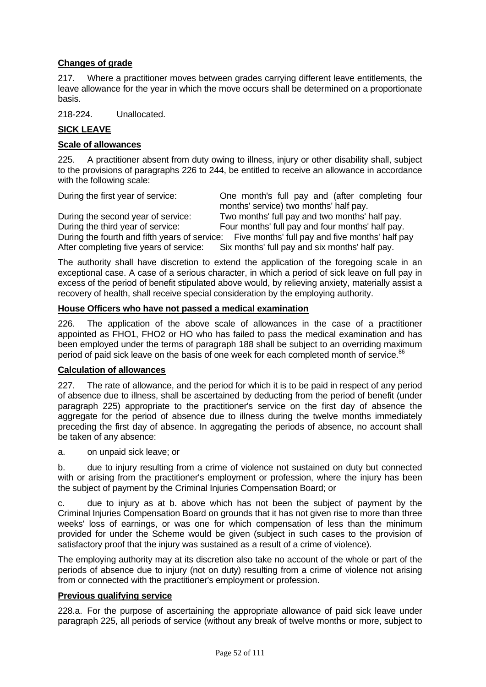# **Changes of grade**

217. Where a practitioner moves between grades carrying different leave entitlements, the leave allowance for the year in which the move occurs shall be determined on a proportionate basis.

218-224. Unallocated.

# **SICK LEAVE**

#### **Scale of allowances**

225. A practitioner absent from duty owing to illness, injury or other disability shall, subject to the provisions of paragraphs 226 to 244, be entitled to receive an allowance in accordance with the following scale:

During the first year of service: One month's full pay and (after completing four months' service) two months' half pay. During the second year of service: Two months' full pay and two months' half pay. During the third year of service:<br>
During the fourth and fifth vears of service: Five months' full pay and five months' half pay. During the fourth and fifth years of service: Five months' full pay and five months' half pay<br>After completing five years of service: Six months' full pay and six months' half pay. Six months' full pay and six months' half pay.

The authority shall have discretion to extend the application of the foregoing scale in an exceptional case. A case of a serious character, in which a period of sick leave on full pay in excess of the period of benefit stipulated above would, by relieving anxiety, materially assist a recovery of health, shall receive special consideration by the employing authority.

#### **House Officers who have not passed a medical examination**

226. The application of the above scale of allowances in the case of a practitioner appointed as FHO1, FHO2 or HO who has failed to pass the medical examination and has been employed under the terms of paragraph 188 shall be subject to an overriding maximum period of paid sick leave on the basis of one week for each completed month of service.<sup>86</sup>

#### **Calculation of allowances**

227. The rate of allowance, and the period for which it is to be paid in respect of any period of absence due to illness, shall be ascertained by deducting from the period of benefit (under paragraph 225) appropriate to the practitioner's service on the first day of absence the aggregate for the period of absence due to illness during the twelve months immediately preceding the first day of absence. In aggregating the periods of absence, no account shall be taken of any absence:

a. on unpaid sick leave; or

b. due to injury resulting from a crime of violence not sustained on duty but connected with or arising from the practitioner's employment or profession, where the injury has been the subject of payment by the Criminal Injuries Compensation Board; or

c. due to injury as at b. above which has not been the subject of payment by the Criminal Injuries Compensation Board on grounds that it has not given rise to more than three weeks' loss of earnings, or was one for which compensation of less than the minimum provided for under the Scheme would be given (subject in such cases to the provision of satisfactory proof that the injury was sustained as a result of a crime of violence).

The employing authority may at its discretion also take no account of the whole or part of the periods of absence due to injury (not on duty) resulting from a crime of violence not arising from or connected with the practitioner's employment or profession.

#### **Previous qualifying service**

228.a. For the purpose of ascertaining the appropriate allowance of paid sick leave under paragraph 225, all periods of service (without any break of twelve months or more, subject to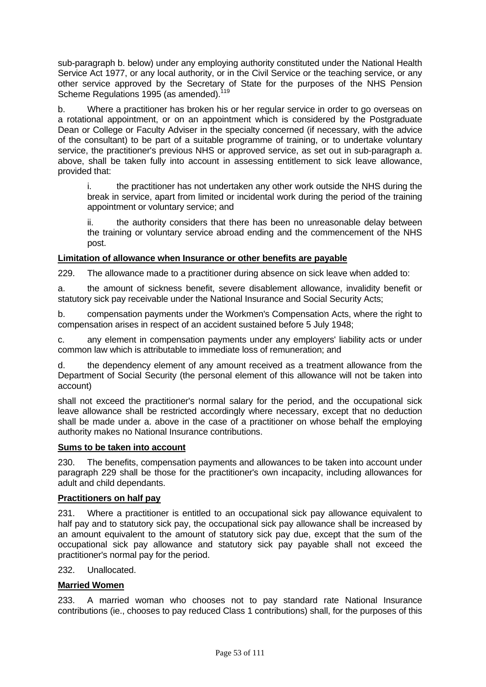sub-paragraph b. below) under any employing authority constituted under the National Health Service Act 1977, or any local authority, or in the Civil Service or the teaching service, or any other service approved by the Secretary of State for the purposes of the NHS Pension Scheme Regulations 1995 (as amended).<sup>119</sup>

b. Where a practitioner has broken his or her regular service in order to go overseas on a rotational appointment, or on an appointment which is considered by the Postgraduate Dean or College or Faculty Adviser in the specialty concerned (if necessary, with the advice of the consultant) to be part of a suitable programme of training, or to undertake voluntary service, the practitioner's previous NHS or approved service, as set out in sub-paragraph a. above, shall be taken fully into account in assessing entitlement to sick leave allowance, provided that:

i. the practitioner has not undertaken any other work outside the NHS during the break in service, apart from limited or incidental work during the period of the training appointment or voluntary service; and

ii. the authority considers that there has been no unreasonable delay between the training or voluntary service abroad ending and the commencement of the NHS post.

#### **Limitation of allowance when Insurance or other benefits are payable**

229. The allowance made to a practitioner during absence on sick leave when added to:

a. the amount of sickness benefit, severe disablement allowance, invalidity benefit or statutory sick pay receivable under the National Insurance and Social Security Acts;

b. compensation payments under the Workmen's Compensation Acts, where the right to compensation arises in respect of an accident sustained before 5 July 1948;

c. any element in compensation payments under any employers' liability acts or under common law which is attributable to immediate loss of remuneration; and

d. the dependency element of any amount received as a treatment allowance from the Department of Social Security (the personal element of this allowance will not be taken into account)

shall not exceed the practitioner's normal salary for the period, and the occupational sick leave allowance shall be restricted accordingly where necessary, except that no deduction shall be made under a. above in the case of a practitioner on whose behalf the employing authority makes no National Insurance contributions.

#### **Sums to be taken into account**

230. The benefits, compensation payments and allowances to be taken into account under paragraph 229 shall be those for the practitioner's own incapacity, including allowances for adult and child dependants.

#### **Practitioners on half pay**

231. Where a practitioner is entitled to an occupational sick pay allowance equivalent to half pay and to statutory sick pay, the occupational sick pay allowance shall be increased by an amount equivalent to the amount of statutory sick pay due, except that the sum of the occupational sick pay allowance and statutory sick pay payable shall not exceed the practitioner's normal pay for the period.

232. Unallocated.

#### **Married Women**

233. A married woman who chooses not to pay standard rate National Insurance contributions (ie., chooses to pay reduced Class 1 contributions) shall, for the purposes of this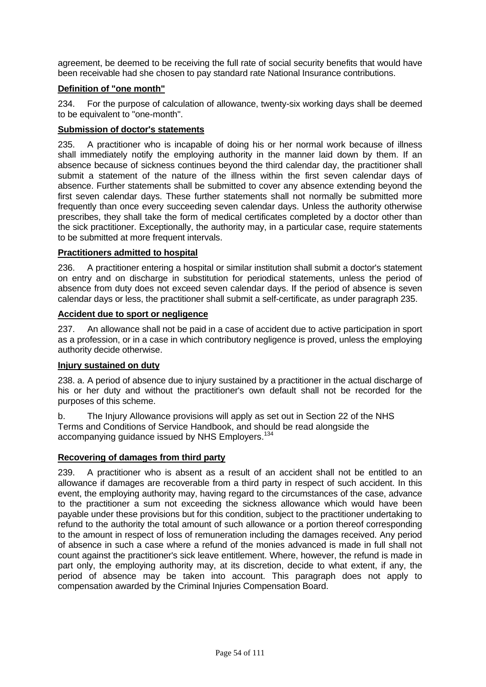agreement, be deemed to be receiving the full rate of social security benefits that would have been receivable had she chosen to pay standard rate National Insurance contributions.

# **Definition of "one month"**

234. For the purpose of calculation of allowance, twenty-six working days shall be deemed to be equivalent to "one-month".

## **Submission of doctor's statements**

235. A practitioner who is incapable of doing his or her normal work because of illness shall immediately notify the employing authority in the manner laid down by them. If an absence because of sickness continues beyond the third calendar day, the practitioner shall submit a statement of the nature of the illness within the first seven calendar days of absence. Further statements shall be submitted to cover any absence extending beyond the first seven calendar days. These further statements shall not normally be submitted more frequently than once every succeeding seven calendar days. Unless the authority otherwise prescribes, they shall take the form of medical certificates completed by a doctor other than the sick practitioner. Exceptionally, the authority may, in a particular case, require statements to be submitted at more frequent intervals.

# **Practitioners admitted to hospital**

236. A practitioner entering a hospital or similar institution shall submit a doctor's statement on entry and on discharge in substitution for periodical statements, unless the period of absence from duty does not exceed seven calendar days. If the period of absence is seven calendar days or less, the practitioner shall submit a self-certificate, as under paragraph 235.

## **Accident due to sport or negligence**

237. An allowance shall not be paid in a case of accident due to active participation in sport as a profession, or in a case in which contributory negligence is proved, unless the employing authority decide otherwise.

## **Injury sustained on duty**

238. a. A period of absence due to injury sustained by a practitioner in the actual discharge of his or her duty and without the practitioner's own default shall not be recorded for the purposes of this scheme.

b. The Injury Allowance provisions will apply as set out in Section 22 of the NHS Terms and Conditions of Service Handbook, and should be read alongside the accompanying guidance issued by NHS Employers.<sup>134</sup>

## **Recovering of damages from third party**

239. A practitioner who is absent as a result of an accident shall not be entitled to an allowance if damages are recoverable from a third party in respect of such accident. In this event, the employing authority may, having regard to the circumstances of the case, advance to the practitioner a sum not exceeding the sickness allowance which would have been payable under these provisions but for this condition, subject to the practitioner undertaking to refund to the authority the total amount of such allowance or a portion thereof corresponding to the amount in respect of loss of remuneration including the damages received. Any period of absence in such a case where a refund of the monies advanced is made in full shall not count against the practitioner's sick leave entitlement. Where, however, the refund is made in part only, the employing authority may, at its discretion, decide to what extent, if any, the period of absence may be taken into account. This paragraph does not apply to compensation awarded by the Criminal Injuries Compensation Board.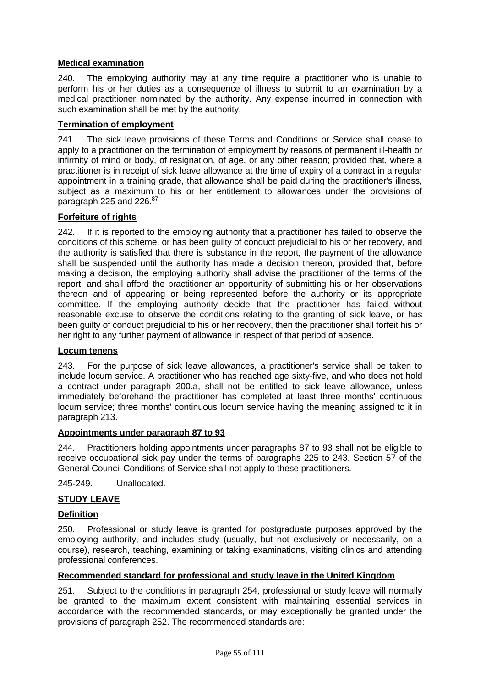# **Medical examination**

240. The employing authority may at any time require a practitioner who is unable to perform his or her duties as a consequence of illness to submit to an examination by a medical practitioner nominated by the authority. Any expense incurred in connection with such examination shall be met by the authority.

# **Termination of employment**

241. The sick leave provisions of these Terms and Conditions or Service shall cease to apply to a practitioner on the termination of employment by reasons of permanent ill-health or infirmity of mind or body, of resignation, of age, or any other reason; provided that, where a practitioner is in receipt of sick leave allowance at the time of expiry of a contract in a regular appointment in a training grade, that allowance shall be paid during the practitioner's illness, subject as a maximum to his or her entitlement to allowances under the provisions of paragraph 225 and 226.<sup>87</sup>

## **Forfeiture of rights**

242. If it is reported to the employing authority that a practitioner has failed to observe the conditions of this scheme, or has been guilty of conduct prejudicial to his or her recovery, and the authority is satisfied that there is substance in the report, the payment of the allowance shall be suspended until the authority has made a decision thereon, provided that, before making a decision, the employing authority shall advise the practitioner of the terms of the report, and shall afford the practitioner an opportunity of submitting his or her observations thereon and of appearing or being represented before the authority or its appropriate committee. If the employing authority decide that the practitioner has failed without reasonable excuse to observe the conditions relating to the granting of sick leave, or has been guilty of conduct prejudicial to his or her recovery, then the practitioner shall forfeit his or her right to any further payment of allowance in respect of that period of absence.

## **Locum tenens**

243. For the purpose of sick leave allowances, a practitioner's service shall be taken to include locum service. A practitioner who has reached age sixty-five, and who does not hold a contract under paragraph 200.a, shall not be entitled to sick leave allowance, unless immediately beforehand the practitioner has completed at least three months' continuous locum service; three months' continuous locum service having the meaning assigned to it in paragraph 213.

## **Appointments under paragraph 87 to 93**

244. Practitioners holding appointments under paragraphs 87 to 93 shall not be eligible to receive occupational sick pay under the terms of paragraphs 225 to 243. Section 57 of the General Council Conditions of Service shall not apply to these practitioners.

245-249. Unallocated.

# **STUDY LEAVE**

## **Definition**

250. Professional or study leave is granted for postgraduate purposes approved by the employing authority, and includes study (usually, but not exclusively or necessarily, on a course), research, teaching, examining or taking examinations, visiting clinics and attending professional conferences.

## **Recommended standard for professional and study leave in the United Kingdom**

251. Subject to the conditions in paragraph 254, professional or study leave will normally be granted to the maximum extent consistent with maintaining essential services in accordance with the recommended standards, or may exceptionally be granted under the provisions of paragraph 252. The recommended standards are: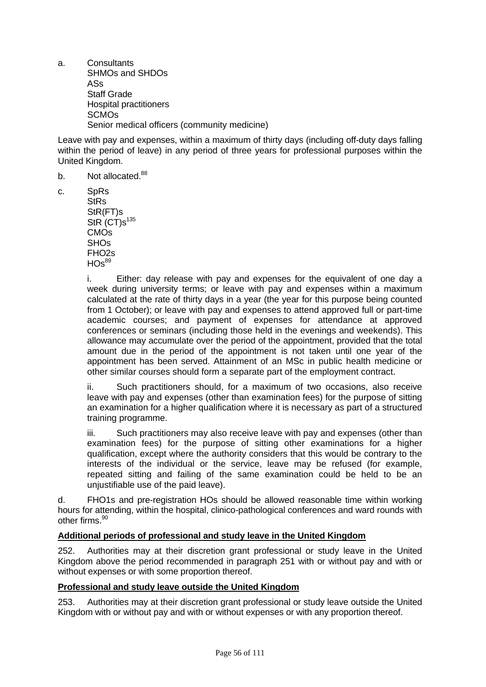a. Consultants SHMOs and SHDOs ASs Staff Grade Hospital practitioners **SCMO<sub>s</sub>** Senior medical officers (community medicine)

Leave with pay and expenses, within a maximum of thirty days (including off-duty days falling within the period of leave) in any period of three years for professional purposes within the United Kingdom.

- b. Not allocated.<sup>88</sup>
- c. SpRs
	- **StRs** StR(FT)s  $StR$  (CT) $s^{135}$ CMOs SHOs FHO2s  $HOS^{89}$

i. Either: day release with pay and expenses for the equivalent of one day a week during university terms; or leave with pay and expenses within a maximum calculated at the rate of thirty days in a year (the year for this purpose being counted from 1 October); or leave with pay and expenses to attend approved full or part-time academic courses; and payment of expenses for attendance at approved conferences or seminars (including those held in the evenings and weekends). This allowance may accumulate over the period of the appointment, provided that the total amount due in the period of the appointment is not taken until one year of the appointment has been served. Attainment of an MSc in public health medicine or other similar courses should form a separate part of the employment contract.

ii. Such practitioners should, for a maximum of two occasions, also receive leave with pay and expenses (other than examination fees) for the purpose of sitting an examination for a higher qualification where it is necessary as part of a structured training programme.

iii. Such practitioners may also receive leave with pay and expenses (other than examination fees) for the purpose of sitting other examinations for a higher qualification, except where the authority considers that this would be contrary to the interests of the individual or the service, leave may be refused (for example, repeated sitting and failing of the same examination could be held to be an unjustifiable use of the paid leave).

d. FHO1s and pre-registration HOs should be allowed reasonable time within working hours for attending, within the hospital, clinico-pathological conferences and ward rounds with other firms.90

## **Additional periods of professional and study leave in the United Kingdom**

252. Authorities may at their discretion grant professional or study leave in the United Kingdom above the period recommended in paragraph 251 with or without pay and with or without expenses or with some proportion thereof.

#### **Professional and study leave outside the United Kingdom**

253. Authorities may at their discretion grant professional or study leave outside the United Kingdom with or without pay and with or without expenses or with any proportion thereof.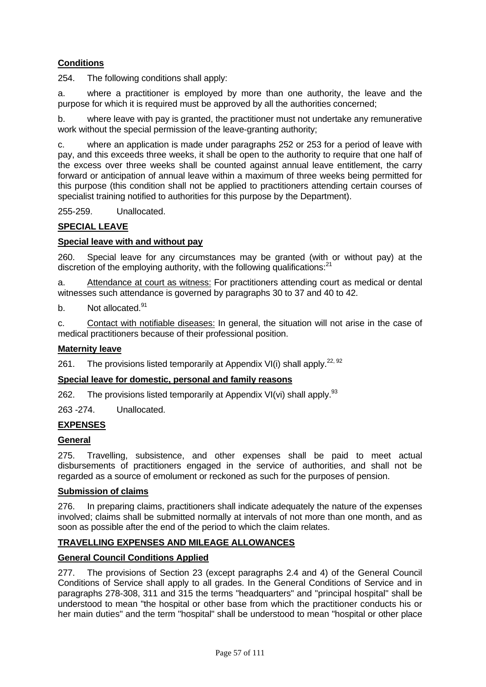# **Conditions**

254. The following conditions shall apply:

a. where a practitioner is employed by more than one authority, the leave and the purpose for which it is required must be approved by all the authorities concerned;

b. where leave with pay is granted, the practitioner must not undertake any remunerative work without the special permission of the leave-granting authority;

c. where an application is made under paragraphs 252 or 253 for a period of leave with pay, and this exceeds three weeks, it shall be open to the authority to require that one half of the excess over three weeks shall be counted against annual leave entitlement, the carry forward or anticipation of annual leave within a maximum of three weeks being permitted for this purpose (this condition shall not be applied to practitioners attending certain courses of specialist training notified to authorities for this purpose by the Department).

255-259. Unallocated.

## **SPECIAL LEAVE**

## **Special leave with and without pay**

260. Special leave for any circumstances may be granted (with or without pay) at the discretion of the employing authority, with the following qualifications: $^{21}$ 

a. Attendance at court as witness: For practitioners attending court as medical or dental witnesses such attendance is governed by paragraphs 30 to 37 and 40 to 42.

b. Not allocated.<sup>91</sup>

c. Contact with notifiable diseases: In general, the situation will not arise in the case of medical practitioners because of their professional position.

## **Maternity leave**

261. The provisions listed temporarily at Appendix VI(i) shall apply.<sup>22, 92</sup>

## **Special leave for domestic, personal and family reasons**

262. The provisions listed temporarily at Appendix VI(vi) shall apply. $93$ 

263 -274. Unallocated.

## **EXPENSES**

#### **General**

275. Travelling, subsistence, and other expenses shall be paid to meet actual disbursements of practitioners engaged in the service of authorities, and shall not be regarded as a source of emolument or reckoned as such for the purposes of pension.

#### **Submission of claims**

276. In preparing claims, practitioners shall indicate adequately the nature of the expenses involved; claims shall be submitted normally at intervals of not more than one month, and as soon as possible after the end of the period to which the claim relates.

## **TRAVELLING EXPENSES AND MILEAGE ALLOWANCES**

# **General Council Conditions Applied**

277. The provisions of Section 23 (except paragraphs 2.4 and 4) of the General Council Conditions of Service shall apply to all grades. In the General Conditions of Service and in paragraphs 278-308, 311 and 315 the terms "headquarters" and "principal hospital" shall be understood to mean "the hospital or other base from which the practitioner conducts his or her main duties" and the term "hospital" shall be understood to mean "hospital or other place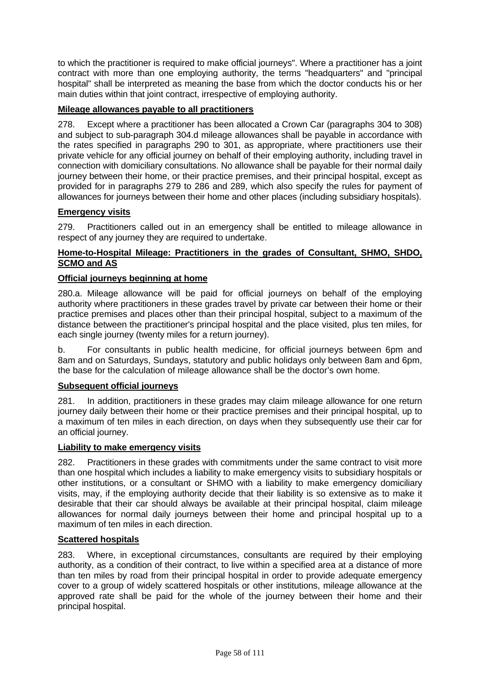to which the practitioner is required to make official journeys". Where a practitioner has a joint contract with more than one employing authority, the terms "headquarters" and "principal hospital" shall be interpreted as meaning the base from which the doctor conducts his or her main duties within that joint contract, irrespective of employing authority.

# **Mileage allowances payable to all practitioners**

278. Except where a practitioner has been allocated a Crown Car (paragraphs 304 to 308) and subject to sub-paragraph 304.d mileage allowances shall be payable in accordance with the rates specified in paragraphs 290 to 301, as appropriate, where practitioners use their private vehicle for any official journey on behalf of their employing authority, including travel in connection with domiciliary consultations. No allowance shall be payable for their normal daily journey between their home, or their practice premises, and their principal hospital, except as provided for in paragraphs 279 to 286 and 289, which also specify the rules for payment of allowances for journeys between their home and other places (including subsidiary hospitals).

## **Emergency visits**

279. Practitioners called out in an emergency shall be entitled to mileage allowance in respect of any journey they are required to undertake.

# **Home-to-Hospital Mileage: Practitioners in the grades of Consultant, SHMO, SHDO, SCMO and AS**

## **Official journeys beginning at home**

280.a. Mileage allowance will be paid for official journeys on behalf of the employing authority where practitioners in these grades travel by private car between their home or their practice premises and places other than their principal hospital, subject to a maximum of the distance between the practitioner's principal hospital and the place visited, plus ten miles, for each single journey (twenty miles for a return journey).

b. For consultants in public health medicine, for official journeys between 6pm and 8am and on Saturdays, Sundays, statutory and public holidays only between 8am and 6pm, the base for the calculation of mileage allowance shall be the doctor's own home.

## **Subsequent official journeys**

281. In addition, practitioners in these grades may claim mileage allowance for one return journey daily between their home or their practice premises and their principal hospital, up to a maximum of ten miles in each direction, on days when they subsequently use their car for an official journey.

#### **Liability to make emergency visits**

282. Practitioners in these grades with commitments under the same contract to visit more than one hospital which includes a liability to make emergency visits to subsidiary hospitals or other institutions, or a consultant or SHMO with a liability to make emergency domiciliary visits, may, if the employing authority decide that their liability is so extensive as to make it desirable that their car should always be available at their principal hospital, claim mileage allowances for normal daily journeys between their home and principal hospital up to a maximum of ten miles in each direction.

## **Scattered hospitals**

283. Where, in exceptional circumstances, consultants are required by their employing authority, as a condition of their contract, to live within a specified area at a distance of more than ten miles by road from their principal hospital in order to provide adequate emergency cover to a group of widely scattered hospitals or other institutions, mileage allowance at the approved rate shall be paid for the whole of the journey between their home and their principal hospital.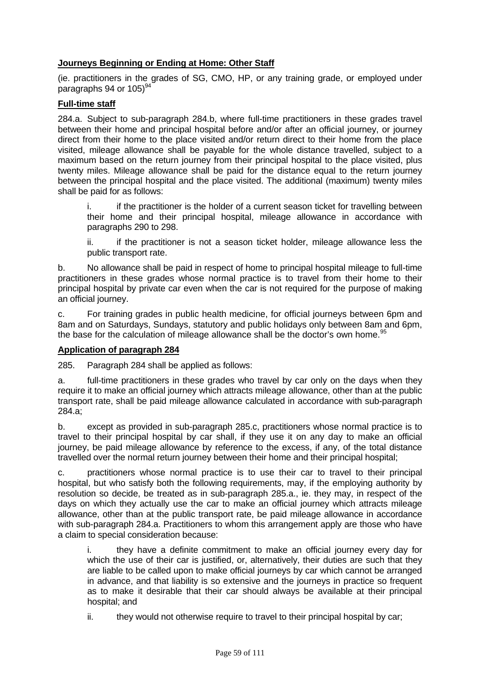# **Journeys Beginning or Ending at Home: Other Staff**

(ie. practitioners in the grades of SG, CMO, HP, or any training grade, or employed under paragraphs 94 or  $105$ <sup>94</sup>

# **Full-time staff**

284.a. Subject to sub-paragraph 284.b, where full-time practitioners in these grades travel between their home and principal hospital before and/or after an official journey, or journey direct from their home to the place visited and/or return direct to their home from the place visited, mileage allowance shall be payable for the whole distance travelled, subject to a maximum based on the return journey from their principal hospital to the place visited, plus twenty miles. Mileage allowance shall be paid for the distance equal to the return journey between the principal hospital and the place visited. The additional (maximum) twenty miles shall be paid for as follows:

i. if the practitioner is the holder of a current season ticket for travelling between their home and their principal hospital, mileage allowance in accordance with paragraphs 290 to 298.

ii. if the practitioner is not a season ticket holder, mileage allowance less the public transport rate.

b. No allowance shall be paid in respect of home to principal hospital mileage to full-time practitioners in these grades whose normal practice is to travel from their home to their principal hospital by private car even when the car is not required for the purpose of making an official journey.

c. For training grades in public health medicine, for official journeys between 6pm and 8am and on Saturdays, Sundays, statutory and public holidays only between 8am and 6pm, the base for the calculation of mileage allowance shall be the doctor's own home.<sup>95</sup>

## **Application of paragraph 284**

285. Paragraph 284 shall be applied as follows:

a. full-time practitioners in these grades who travel by car only on the days when they require it to make an official journey which attracts mileage allowance, other than at the public transport rate, shall be paid mileage allowance calculated in accordance with sub-paragraph 284.a;

b. except as provided in sub-paragraph 285.c, practitioners whose normal practice is to travel to their principal hospital by car shall, if they use it on any day to make an official journey, be paid mileage allowance by reference to the excess, if any, of the total distance travelled over the normal return journey between their home and their principal hospital;

c. practitioners whose normal practice is to use their car to travel to their principal hospital, but who satisfy both the following requirements, may, if the employing authority by resolution so decide, be treated as in sub-paragraph 285.a., ie. they may, in respect of the days on which they actually use the car to make an official journey which attracts mileage allowance, other than at the public transport rate, be paid mileage allowance in accordance with sub-paragraph 284.a. Practitioners to whom this arrangement apply are those who have a claim to special consideration because:

i. they have a definite commitment to make an official journey every day for which the use of their car is justified, or, alternatively, their duties are such that they are liable to be called upon to make official journeys by car which cannot be arranged in advance, and that liability is so extensive and the journeys in practice so frequent as to make it desirable that their car should always be available at their principal hospital; and

ii. they would not otherwise require to travel to their principal hospital by car;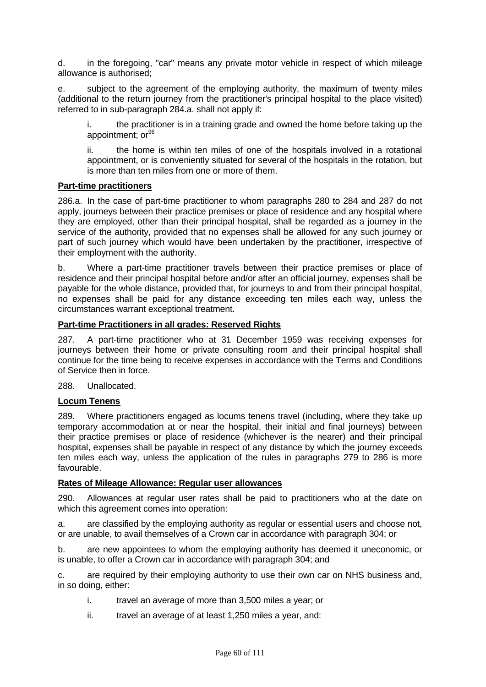d. in the foregoing, "car" means any private motor vehicle in respect of which mileage allowance is authorised;

e. subject to the agreement of the employing authority, the maximum of twenty miles (additional to the return journey from the practitioner's principal hospital to the place visited) referred to in sub-paragraph 284.a. shall not apply if:

i. the practitioner is in a training grade and owned the home before taking up the appointment; or<sup>96</sup>

ii. the home is within ten miles of one of the hospitals involved in a rotational appointment, or is conveniently situated for several of the hospitals in the rotation, but is more than ten miles from one or more of them.

#### **Part-time practitioners**

286.a. In the case of part-time practitioner to whom paragraphs 280 to 284 and 287 do not apply, journeys between their practice premises or place of residence and any hospital where they are employed, other than their principal hospital, shall be regarded as a journey in the service of the authority, provided that no expenses shall be allowed for any such journey or part of such journey which would have been undertaken by the practitioner, irrespective of their employment with the authority.

b. Where a part-time practitioner travels between their practice premises or place of residence and their principal hospital before and/or after an official journey, expenses shall be payable for the whole distance, provided that, for journeys to and from their principal hospital, no expenses shall be paid for any distance exceeding ten miles each way, unless the circumstances warrant exceptional treatment.

# **Part-time Practitioners in all grades: Reserved Rights**

287. A part-time practitioner who at 31 December 1959 was receiving expenses for journeys between their home or private consulting room and their principal hospital shall continue for the time being to receive expenses in accordance with the Terms and Conditions of Service then in force.

288. Unallocated.

#### **Locum Tenens**

289. Where practitioners engaged as locums tenens travel (including, where they take up temporary accommodation at or near the hospital, their initial and final journeys) between their practice premises or place of residence (whichever is the nearer) and their principal hospital, expenses shall be payable in respect of any distance by which the journey exceeds ten miles each way, unless the application of the rules in paragraphs 279 to 286 is more favourable.

#### **Rates of Mileage Allowance: Regular user allowances**

290. Allowances at regular user rates shall be paid to practitioners who at the date on which this agreement comes into operation:

a. are classified by the employing authority as regular or essential users and choose not, or are unable, to avail themselves of a Crown car in accordance with paragraph 304; or

b. are new appointees to whom the employing authority has deemed it uneconomic, or is unable, to offer a Crown car in accordance with paragraph 304; and

c. are required by their employing authority to use their own car on NHS business and, in so doing, either:

- i. travel an average of more than 3,500 miles a year; or
- ii. travel an average of at least 1,250 miles a year, and: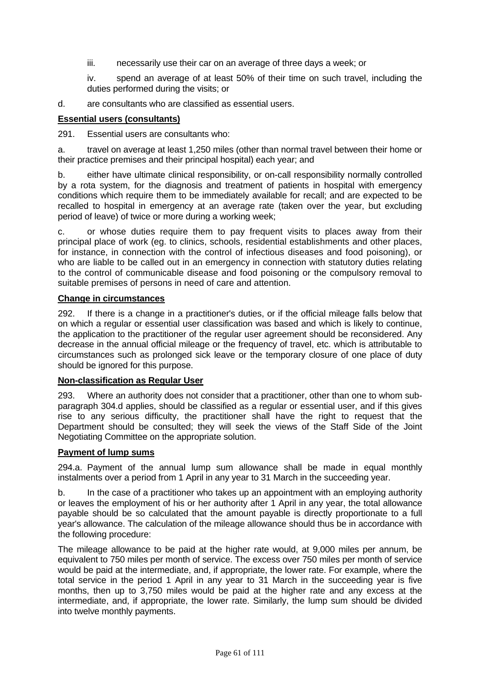- iii. necessarily use their car on an average of three days a week; or
- iv. spend an average of at least 50% of their time on such travel, including the duties performed during the visits; or
- d. are consultants who are classified as essential users.

# **Essential users (consultants)**

291. Essential users are consultants who:

a. travel on average at least 1,250 miles (other than normal travel between their home or their practice premises and their principal hospital) each year; and

b. either have ultimate clinical responsibility, or on-call responsibility normally controlled by a rota system, for the diagnosis and treatment of patients in hospital with emergency conditions which require them to be immediately available for recall; and are expected to be recalled to hospital in emergency at an average rate (taken over the year, but excluding period of leave) of twice or more during a working week;

c. or whose duties require them to pay frequent visits to places away from their principal place of work (eg. to clinics, schools, residential establishments and other places, for instance, in connection with the control of infectious diseases and food poisoning), or who are liable to be called out in an emergency in connection with statutory duties relating to the control of communicable disease and food poisoning or the compulsory removal to suitable premises of persons in need of care and attention.

## **Change in circumstances**

292. If there is a change in a practitioner's duties, or if the official mileage falls below that on which a regular or essential user classification was based and which is likely to continue, the application to the practitioner of the regular user agreement should be reconsidered. Any decrease in the annual official mileage or the frequency of travel, etc. which is attributable to circumstances such as prolonged sick leave or the temporary closure of one place of duty should be ignored for this purpose.

## **Non-classification as Regular User**

293. Where an authority does not consider that a practitioner, other than one to whom subparagraph 304.d applies, should be classified as a regular or essential user, and if this gives rise to any serious difficulty, the practitioner shall have the right to request that the Department should be consulted; they will seek the views of the Staff Side of the Joint Negotiating Committee on the appropriate solution.

## **Payment of lump sums**

294.a. Payment of the annual lump sum allowance shall be made in equal monthly instalments over a period from 1 April in any year to 31 March in the succeeding year.

b. In the case of a practitioner who takes up an appointment with an employing authority or leaves the employment of his or her authority after 1 April in any year, the total allowance payable should be so calculated that the amount payable is directly proportionate to a full year's allowance. The calculation of the mileage allowance should thus be in accordance with the following procedure:

The mileage allowance to be paid at the higher rate would, at 9,000 miles per annum, be equivalent to 750 miles per month of service. The excess over 750 miles per month of service would be paid at the intermediate, and, if appropriate, the lower rate. For example, where the total service in the period 1 April in any year to 31 March in the succeeding year is five months, then up to 3,750 miles would be paid at the higher rate and any excess at the intermediate, and, if appropriate, the lower rate. Similarly, the lump sum should be divided into twelve monthly payments.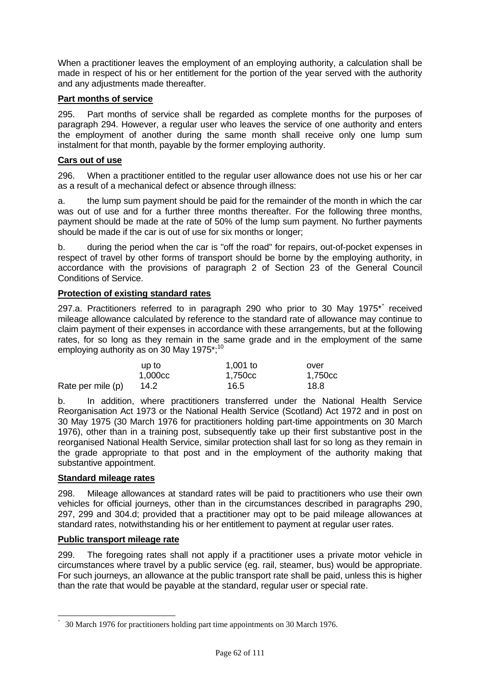When a practitioner leaves the employment of an employing authority, a calculation shall be made in respect of his or her entitlement for the portion of the year served with the authority and any adjustments made thereafter.

#### **Part months of service**

295. Part months of service shall be regarded as complete months for the purposes of paragraph 294. However, a regular user who leaves the service of one authority and enters the employment of another during the same month shall receive only one lump sum instalment for that month, payable by the former employing authority.

## **Cars out of use**

296. When a practitioner entitled to the regular user allowance does not use his or her car as a result of a mechanical defect or absence through illness:

a. the lump sum payment should be paid for the remainder of the month in which the car was out of use and for a further three months thereafter. For the following three months, payment should be made at the rate of 50% of the lump sum payment. No further payments should be made if the car is out of use for six months or longer;

b. during the period when the car is "off the road" for repairs, out-of-pocket expenses in respect of travel by other forms of transport should be borne by the employing authority, in accordance with the provisions of paragraph 2 of Section 23 of the General Council Conditions of Service.

#### **Protection of existing standard rates**

297.a. Practitioners referred to in paragraph 290 who prior to 30 May 1975<sup>[\\*](#page-61-0)</sup> received mileage allowance calculated by reference to the standard rate of allowance may continue to claim payment of their expenses in accordance with these arrangements, but at the following rates, for so long as they remain in the same grade and in the employment of the same employing authority as on 30 May 1975 $^{\star}$ ;<sup>10</sup>

|                   | up to   | 1,001 to | over    |
|-------------------|---------|----------|---------|
|                   | 1,000cc | 1.750cc  | 1,750cc |
| Rate per mile (p) | 14.2    | 16.5     | 18.8    |

b. In addition, where practitioners transferred under the National Health Service Reorganisation Act 1973 or the National Health Service (Scotland) Act 1972 and in post on 30 May 1975 (30 March 1976 for practitioners holding part-time appointments on 30 March 1976), other than in a training post, subsequently take up their first substantive post in the reorganised National Health Service, similar protection shall last for so long as they remain in the grade appropriate to that post and in the employment of the authority making that substantive appointment.

#### **Standard mileage rates**

-

298. Mileage allowances at standard rates will be paid to practitioners who use their own vehicles for official journeys, other than in the circumstances described in paragraphs 290, 297, 299 and 304.d; provided that a practitioner may opt to be paid mileage allowances at standard rates, notwithstanding his or her entitlement to payment at regular user rates.

#### **Public transport mileage rate**

299. The foregoing rates shall not apply if a practitioner uses a private motor vehicle in circumstances where travel by a public service (eg. rail, steamer, bus) would be appropriate. For such journeys, an allowance at the public transport rate shall be paid, unless this is higher than the rate that would be payable at the standard, regular user or special rate.

<span id="page-61-0"></span><sup>\*</sup> 30 March 1976 for practitioners holding part time appointments on 30 March 1976.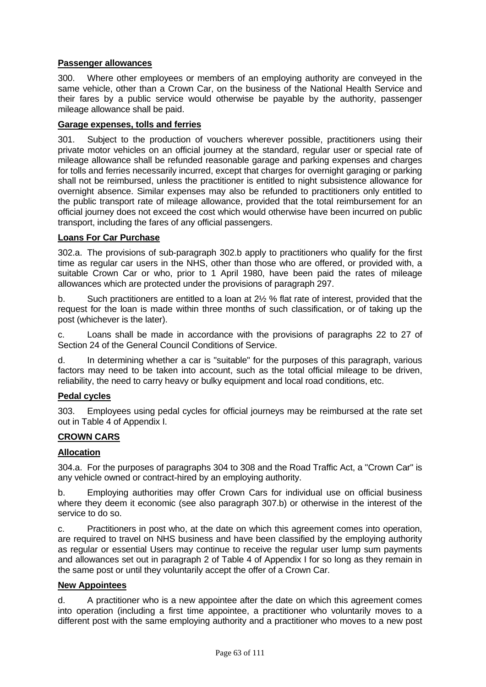# **Passenger allowances**

300. Where other employees or members of an employing authority are conveyed in the same vehicle, other than a Crown Car, on the business of the National Health Service and their fares by a public service would otherwise be payable by the authority, passenger mileage allowance shall be paid.

## **Garage expenses, tolls and ferries**

301. Subject to the production of vouchers wherever possible, practitioners using their private motor vehicles on an official journey at the standard, regular user or special rate of mileage allowance shall be refunded reasonable garage and parking expenses and charges for tolls and ferries necessarily incurred, except that charges for overnight garaging or parking shall not be reimbursed, unless the practitioner is entitled to night subsistence allowance for overnight absence. Similar expenses may also be refunded to practitioners only entitled to the public transport rate of mileage allowance, provided that the total reimbursement for an official journey does not exceed the cost which would otherwise have been incurred on public transport, including the fares of any official passengers.

## **Loans For Car Purchase**

302.a. The provisions of sub-paragraph 302.b apply to practitioners who qualify for the first time as regular car users in the NHS, other than those who are offered, or provided with, a suitable Crown Car or who, prior to 1 April 1980, have been paid the rates of mileage allowances which are protected under the provisions of paragraph 297.

b. Such practitioners are entitled to a loan at 2½ % flat rate of interest, provided that the request for the loan is made within three months of such classification, or of taking up the post (whichever is the later).

c. Loans shall be made in accordance with the provisions of paragraphs 22 to 27 of Section 24 of the General Council Conditions of Service.

d. In determining whether a car is "suitable" for the purposes of this paragraph, various factors may need to be taken into account, such as the total official mileage to be driven, reliability, the need to carry heavy or bulky equipment and local road conditions, etc.

## **Pedal cycles**

303. Employees using pedal cycles for official journeys may be reimbursed at the rate set out in Table 4 of Appendix I.

## **CROWN CARS**

## **Allocation**

304.a. For the purposes of paragraphs 304 to 308 and the Road Traffic Act, a "Crown Car" is any vehicle owned or contract-hired by an employing authority.

b. Employing authorities may offer Crown Cars for individual use on official business where they deem it economic (see also paragraph 307.b) or otherwise in the interest of the service to do so.

c. Practitioners in post who, at the date on which this agreement comes into operation, are required to travel on NHS business and have been classified by the employing authority as regular or essential Users may continue to receive the regular user lump sum payments and allowances set out in paragraph 2 of Table 4 of Appendix I for so long as they remain in the same post or until they voluntarily accept the offer of a Crown Car.

## **New Appointees**

d. A practitioner who is a new appointee after the date on which this agreement comes into operation (including a first time appointee, a practitioner who voluntarily moves to a different post with the same employing authority and a practitioner who moves to a new post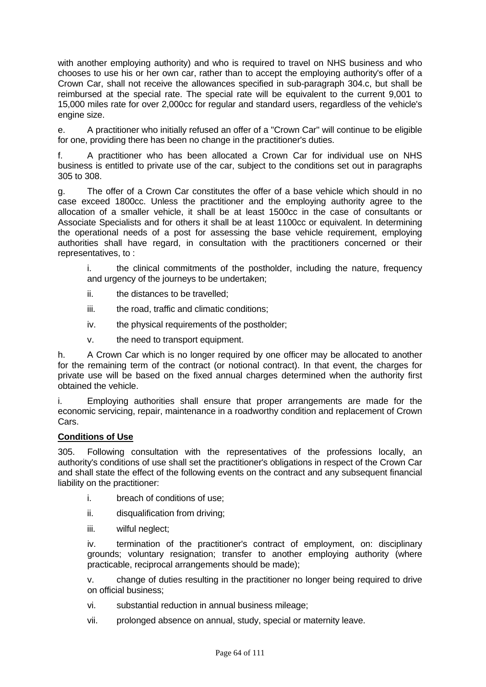with another employing authority) and who is required to travel on NHS business and who chooses to use his or her own car, rather than to accept the employing authority's offer of a Crown Car, shall not receive the allowances specified in sub-paragraph 304.c, but shall be reimbursed at the special rate. The special rate will be equivalent to the current 9,001 to 15,000 miles rate for over 2,000cc for regular and standard users, regardless of the vehicle's engine size.

e. A practitioner who initially refused an offer of a "Crown Car" will continue to be eligible for one, providing there has been no change in the practitioner's duties.

f. A practitioner who has been allocated a Crown Car for individual use on NHS business is entitled to private use of the car, subject to the conditions set out in paragraphs 305 to 308.

g. The offer of a Crown Car constitutes the offer of a base vehicle which should in no case exceed 1800cc. Unless the practitioner and the employing authority agree to the allocation of a smaller vehicle, it shall be at least 1500cc in the case of consultants or Associate Specialists and for others it shall be at least 1100cc or equivalent. In determining the operational needs of a post for assessing the base vehicle requirement, employing authorities shall have regard, in consultation with the practitioners concerned or their representatives, to :

i. the clinical commitments of the postholder, including the nature, frequency and urgency of the journeys to be undertaken;

- ii. the distances to be travelled;
- iii. the road, traffic and climatic conditions;
- iv. the physical requirements of the postholder;
- v. the need to transport equipment.

h. A Crown Car which is no longer required by one officer may be allocated to another for the remaining term of the contract (or notional contract). In that event, the charges for private use will be based on the fixed annual charges determined when the authority first obtained the vehicle.

i. Employing authorities shall ensure that proper arrangements are made for the economic servicing, repair, maintenance in a roadworthy condition and replacement of Crown Cars.

#### **Conditions of Use**

305. Following consultation with the representatives of the professions locally, an authority's conditions of use shall set the practitioner's obligations in respect of the Crown Car and shall state the effect of the following events on the contract and any subsequent financial liability on the practitioner:

- i. breach of conditions of use;
- ii. disqualification from driving:
- iii. wilful neglect;

iv. termination of the practitioner's contract of employment, on: disciplinary grounds; voluntary resignation; transfer to another employing authority (where practicable, reciprocal arrangements should be made);

v. change of duties resulting in the practitioner no longer being required to drive on official business;

- vi. substantial reduction in annual business mileage;
- vii. prolonged absence on annual, study, special or maternity leave.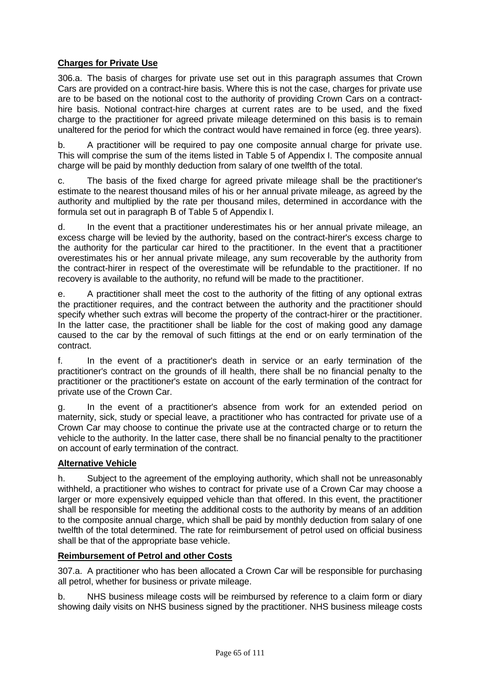# **Charges for Private Use**

306.a. The basis of charges for private use set out in this paragraph assumes that Crown Cars are provided on a contract-hire basis. Where this is not the case, charges for private use are to be based on the notional cost to the authority of providing Crown Cars on a contracthire basis. Notional contract-hire charges at current rates are to be used, and the fixed charge to the practitioner for agreed private mileage determined on this basis is to remain unaltered for the period for which the contract would have remained in force (eg. three years).

b. A practitioner will be required to pay one composite annual charge for private use. This will comprise the sum of the items listed in Table 5 of Appendix I. The composite annual charge will be paid by monthly deduction from salary of one twelfth of the total.

c. The basis of the fixed charge for agreed private mileage shall be the practitioner's estimate to the nearest thousand miles of his or her annual private mileage, as agreed by the authority and multiplied by the rate per thousand miles, determined in accordance with the formula set out in paragraph B of Table 5 of Appendix I.

d. In the event that a practitioner underestimates his or her annual private mileage, an excess charge will be levied by the authority, based on the contract-hirer's excess charge to the authority for the particular car hired to the practitioner. In the event that a practitioner overestimates his or her annual private mileage, any sum recoverable by the authority from the contract-hirer in respect of the overestimate will be refundable to the practitioner. If no recovery is available to the authority, no refund will be made to the practitioner.

e. A practitioner shall meet the cost to the authority of the fitting of any optional extras the practitioner requires, and the contract between the authority and the practitioner should specify whether such extras will become the property of the contract-hirer or the practitioner. In the latter case, the practitioner shall be liable for the cost of making good any damage caused to the car by the removal of such fittings at the end or on early termination of the contract.

f. In the event of a practitioner's death in service or an early termination of the practitioner's contract on the grounds of ill health, there shall be no financial penalty to the practitioner or the practitioner's estate on account of the early termination of the contract for private use of the Crown Car.

g. In the event of a practitioner's absence from work for an extended period on maternity, sick, study or special leave, a practitioner who has contracted for private use of a Crown Car may choose to continue the private use at the contracted charge or to return the vehicle to the authority. In the latter case, there shall be no financial penalty to the practitioner on account of early termination of the contract.

# **Alternative Vehicle**

h. Subject to the agreement of the employing authority, which shall not be unreasonably withheld, a practitioner who wishes to contract for private use of a Crown Car may choose a larger or more expensively equipped vehicle than that offered. In this event, the practitioner shall be responsible for meeting the additional costs to the authority by means of an addition to the composite annual charge, which shall be paid by monthly deduction from salary of one twelfth of the total determined. The rate for reimbursement of petrol used on official business shall be that of the appropriate base vehicle.

## **Reimbursement of Petrol and other Costs**

307.a. A practitioner who has been allocated a Crown Car will be responsible for purchasing all petrol, whether for business or private mileage.

b. NHS business mileage costs will be reimbursed by reference to a claim form or diary showing daily visits on NHS business signed by the practitioner. NHS business mileage costs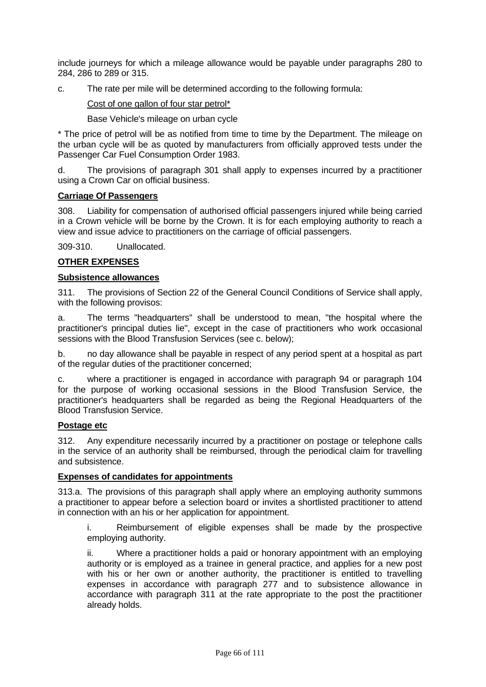include journeys for which a mileage allowance would be payable under paragraphs 280 to 284, 286 to 289 or 315.

c. The rate per mile will be determined according to the following formula:

Cost of one gallon of four star petrol\*

Base Vehicle's mileage on urban cycle

\* The price of petrol will be as notified from time to time by the Department. The mileage on the urban cycle will be as quoted by manufacturers from officially approved tests under the Passenger Car Fuel Consumption Order 1983.

d. The provisions of paragraph 301 shall apply to expenses incurred by a practitioner using a Crown Car on official business.

# **Carriage Of Passengers**

308. Liability for compensation of authorised official passengers injured while being carried in a Crown vehicle will be borne by the Crown. It is for each employing authority to reach a view and issue advice to practitioners on the carriage of official passengers.

309-310. Unallocated.

# **OTHER EXPENSES**

## **Subsistence allowances**

311. The provisions of Section 22 of the General Council Conditions of Service shall apply, with the following provisos:

a. The terms "headquarters" shall be understood to mean, "the hospital where the practitioner's principal duties lie", except in the case of practitioners who work occasional sessions with the Blood Transfusion Services (see c. below);

b. no day allowance shall be payable in respect of any period spent at a hospital as part of the regular duties of the practitioner concerned;

c. where a practitioner is engaged in accordance with paragraph 94 or paragraph 104 for the purpose of working occasional sessions in the Blood Transfusion Service, the practitioner's headquarters shall be regarded as being the Regional Headquarters of the Blood Transfusion Service.

## **Postage etc**

312. Any expenditure necessarily incurred by a practitioner on postage or telephone calls in the service of an authority shall be reimbursed, through the periodical claim for travelling and subsistence.

## **Expenses of candidates for appointments**

313.a. The provisions of this paragraph shall apply where an employing authority summons a practitioner to appear before a selection board or invites a shortlisted practitioner to attend in connection with an his or her application for appointment.

i. Reimbursement of eligible expenses shall be made by the prospective employing authority.

ii. Where a practitioner holds a paid or honorary appointment with an employing authority or is employed as a trainee in general practice, and applies for a new post with his or her own or another authority, the practitioner is entitled to travelling expenses in accordance with paragraph 277 and to subsistence allowance in accordance with paragraph 311 at the rate appropriate to the post the practitioner already holds.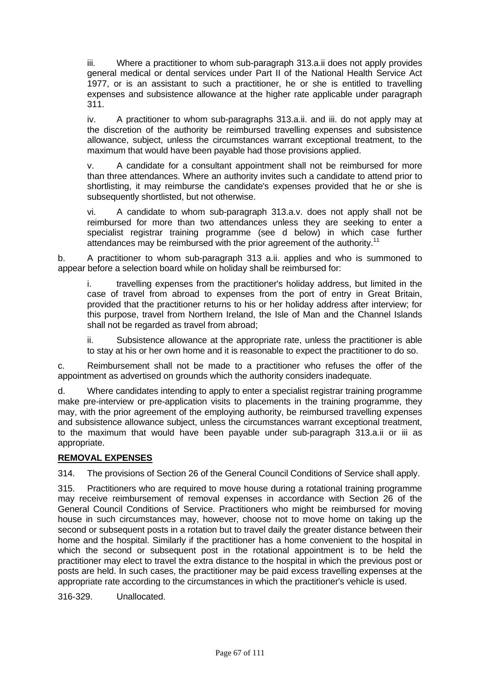iii. Where a practitioner to whom sub-paragraph 313.a.ii does not apply provides general medical or dental services under Part II of the National Health Service Act 1977, or is an assistant to such a practitioner, he or she is entitled to travelling expenses and subsistence allowance at the higher rate applicable under paragraph 311.

iv. A practitioner to whom sub-paragraphs 313.a.ii. and iii. do not apply may at the discretion of the authority be reimbursed travelling expenses and subsistence allowance, subject, unless the circumstances warrant exceptional treatment, to the maximum that would have been payable had those provisions applied.

v. A candidate for a consultant appointment shall not be reimbursed for more than three attendances. Where an authority invites such a candidate to attend prior to shortlisting, it may reimburse the candidate's expenses provided that he or she is subsequently shortlisted, but not otherwise.

vi. A candidate to whom sub-paragraph 313.a.v. does not apply shall not be reimbursed for more than two attendances unless they are seeking to enter a specialist registrar training programme (see d below) in which case further attendances may be reimbursed with the prior agreement of the authority.<sup>11</sup>

b. A practitioner to whom sub-paragraph 313 a.ii. applies and who is summoned to appear before a selection board while on holiday shall be reimbursed for:

i. travelling expenses from the practitioner's holiday address, but limited in the case of travel from abroad to expenses from the port of entry in Great Britain, provided that the practitioner returns to his or her holiday address after interview; for this purpose, travel from Northern Ireland, the Isle of Man and the Channel Islands shall not be regarded as travel from abroad;

ii. Subsistence allowance at the appropriate rate, unless the practitioner is able to stay at his or her own home and it is reasonable to expect the practitioner to do so.

c. Reimbursement shall not be made to a practitioner who refuses the offer of the appointment as advertised on grounds which the authority considers inadequate.

d. Where candidates intending to apply to enter a specialist registrar training programme make pre-interview or pre-application visits to placements in the training programme, they may, with the prior agreement of the employing authority, be reimbursed travelling expenses and subsistence allowance subject, unless the circumstances warrant exceptional treatment, to the maximum that would have been payable under sub-paragraph 313.a.ii or iii as appropriate.

# **REMOVAL EXPENSES**

314. The provisions of Section 26 of the General Council Conditions of Service shall apply.

315. Practitioners who are required to move house during a rotational training programme may receive reimbursement of removal expenses in accordance with Section 26 of the General Council Conditions of Service. Practitioners who might be reimbursed for moving house in such circumstances may, however, choose not to move home on taking up the second or subsequent posts in a rotation but to travel daily the greater distance between their home and the hospital. Similarly if the practitioner has a home convenient to the hospital in which the second or subsequent post in the rotational appointment is to be held the practitioner may elect to travel the extra distance to the hospital in which the previous post or posts are held. In such cases, the practitioner may be paid excess travelling expenses at the appropriate rate according to the circumstances in which the practitioner's vehicle is used.

316-329. Unallocated.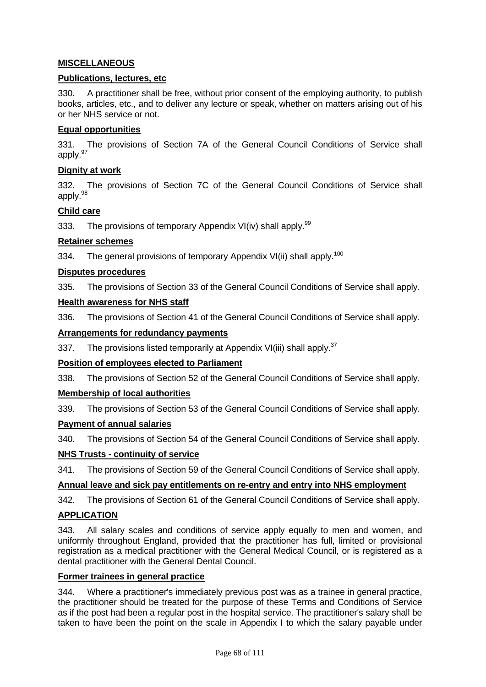# **MISCELLANEOUS**

#### **Publications, lectures, etc**

330. A practitioner shall be free, without prior consent of the employing authority, to publish books, articles, etc., and to deliver any lecture or speak, whether on matters arising out of his or her NHS service or not.

#### **Equal opportunities**

331. The provisions of Section 7A of the General Council Conditions of Service shall apply.<sup>97</sup>

#### **Dignity at work**

332. The provisions of Section 7C of the General Council Conditions of Service shall apply.98

#### **Child care**

333. The provisions of temporary Appendix VI(iv) shall apply.<sup>99</sup>

#### **Retainer schemes**

334. The general provisions of temporary Appendix VI(ii) shall apply.<sup>100</sup>

#### **Disputes procedures**

335. The provisions of Section 33 of the General Council Conditions of Service shall apply.

#### **Health awareness for NHS staff**

336. The provisions of Section 41 of the General Council Conditions of Service shall apply.

#### **Arrangements for redundancy payments**

337. The provisions listed temporarily at Appendix VI(iii) shall apply.<sup>37</sup>

## **Position of employees elected to Parliament**

338. The provisions of Section 52 of the General Council Conditions of Service shall apply.

#### **Membership of local authorities**

339. The provisions of Section 53 of the General Council Conditions of Service shall apply.

#### **Payment of annual salaries**

340. The provisions of Section 54 of the General Council Conditions of Service shall apply.

#### **NHS Trusts - continuity of service**

341. The provisions of Section 59 of the General Council Conditions of Service shall apply.

## **Annual leave and sick pay entitlements on re-entry and entry into NHS employment**

342. The provisions of Section 61 of the General Council Conditions of Service shall apply.

#### **APPLICATION**

343. All salary scales and conditions of service apply equally to men and women, and uniformly throughout England, provided that the practitioner has full, limited or provisional registration as a medical practitioner with the General Medical Council, or is registered as a dental practitioner with the General Dental Council.

#### **Former trainees in general practice**

344. Where a practitioner's immediately previous post was as a trainee in general practice, the practitioner should be treated for the purpose of these Terms and Conditions of Service as if the post had been a regular post in the hospital service. The practitioner's salary shall be taken to have been the point on the scale in Appendix I to which the salary payable under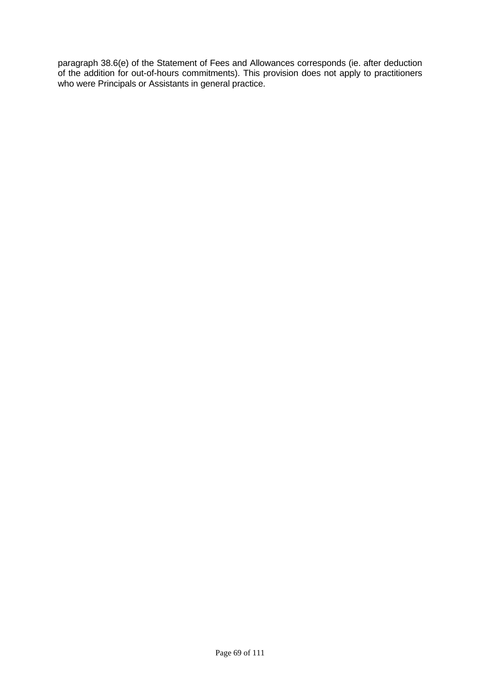paragraph 38.6(e) of the Statement of Fees and Allowances corresponds (ie. after deduction of the addition for out-of-hours commitments). This provision does not apply to practitioners who were Principals or Assistants in general practice.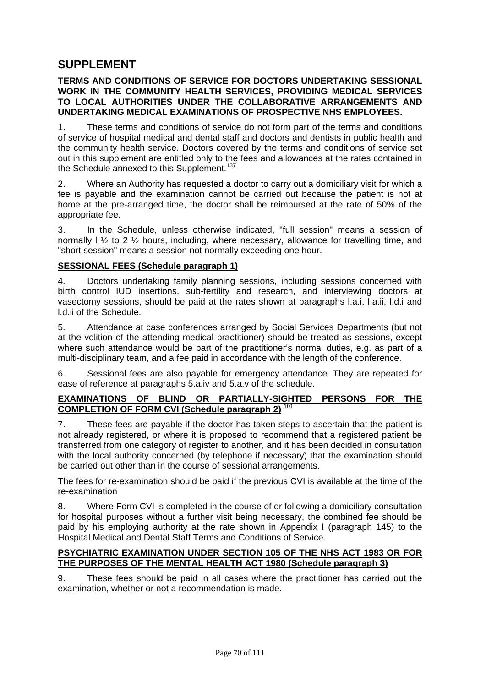# **SUPPLEMENT**

#### **TERMS AND CONDITIONS OF SERVICE FOR DOCTORS UNDERTAKING SESSIONAL WORK IN THE COMMUNITY HEALTH SERVICES, PROVIDING MEDICAL SERVICES TO LOCAL AUTHORITIES UNDER THE COLLABORATIVE ARRANGEMENTS AND UNDERTAKING MEDICAL EXAMINATIONS OF PROSPECTIVE NHS EMPLOYEES.**

1. These terms and conditions of service do not form part of the terms and conditions of service of hospital medical and dental staff and doctors and dentists in public health and the community health service. Doctors covered by the terms and conditions of service set out in this supplement are entitled only to the fees and allowances at the rates contained in the Schedule annexed to this Supplement.<sup>137</sup>

2. Where an Authority has requested a doctor to carry out a domiciliary visit for which a fee is payable and the examination cannot be carried out because the patient is not at home at the pre-arranged time, the doctor shall be reimbursed at the rate of 50% of the appropriate fee.

3. In the Schedule, unless otherwise indicated, "full session" means a session of normally  $1\frac{1}{2}$  to 2  $\frac{1}{2}$  hours, including, where necessary, allowance for travelling time, and "short session" means a session not normally exceeding one hour.

## **SESSIONAL FEES (Schedule paragraph 1)**

4. Doctors undertaking family planning sessions, including sessions concerned with birth control IUD insertions, sub-fertility and research, and interviewing doctors at vasectomy sessions, should be paid at the rates shown at paragraphs l.a.i, l.a.ii, l.d.i and l.d.ii of the Schedule.

5. Attendance at case conferences arranged by Social Services Departments (but not at the volition of the attending medical practitioner) should be treated as sessions, except where such attendance would be part of the practitioner's normal duties, e.g. as part of a multi-disciplinary team, and a fee paid in accordance with the length of the conference.

6. Sessional fees are also payable for emergency attendance. They are repeated for ease of reference at paragraphs 5.a.iv and 5.a.v of the schedule.

#### **EXAMINATIONS OF BLIND OR PARTIALLY-SIGHTED PERSONS FOR THE COMPLETION OF FORM CVI (Schedule paragraph 2)** <sup>10</sup>

7. These fees are payable if the doctor has taken steps to ascertain that the patient is not already registered, or where it is proposed to recommend that a registered patient be transferred from one category of register to another, and it has been decided in consultation with the local authority concerned (by telephone if necessary) that the examination should be carried out other than in the course of sessional arrangements.

The fees for re-examination should be paid if the previous CVI is available at the time of the re-examination

8. Where Form CVI is completed in the course of or following a domiciliary consultation for hospital purposes without a further visit being necessary, the combined fee should be paid by his employing authority at the rate shown in Appendix I (paragraph 145) to the Hospital Medical and Dental Staff Terms and Conditions of Service.

## **PSYCHIATRIC EXAMINATION UNDER SECTION 105 OF THE NHS ACT 1983 OR FOR THE PURPOSES OF THE MENTAL HEALTH ACT 1980 (Schedule paragraph 3)**

9. These fees should be paid in all cases where the practitioner has carried out the examination, whether or not a recommendation is made.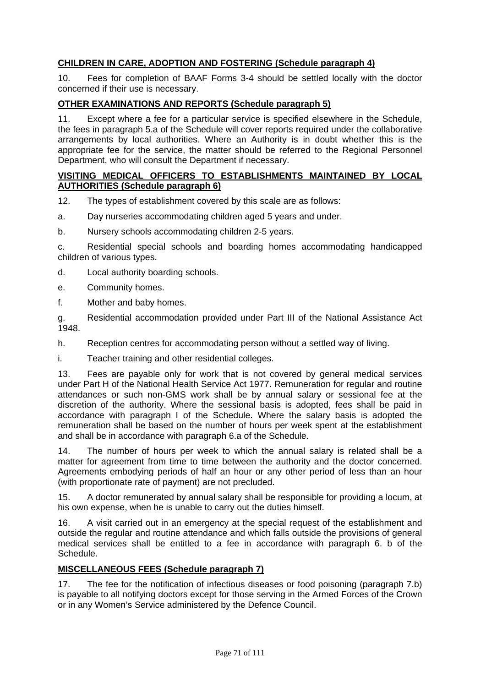# **CHILDREN IN CARE, ADOPTION AND FOSTERING (Schedule paragraph 4)**

10. Fees for completion of BAAF Forms 3-4 should be settled locally with the doctor concerned if their use is necessary.

# **OTHER EXAMINATIONS AND REPORTS (Schedule paragraph 5)**

11. Except where a fee for a particular service is specified elsewhere in the Schedule, the fees in paragraph 5.a of the Schedule will cover reports required under the collaborative arrangements by local authorities. Where an Authority is in doubt whether this is the appropriate fee for the service, the matter should be referred to the Regional Personnel Department, who will consult the Department if necessary.

# **VISITING MEDICAL OFFICERS TO ESTABLISHMENTS MAINTAINED BY LOCAL AUTHORITIES (Schedule paragraph 6)**

- 12. The types of establishment covered by this scale are as follows:
- a. Day nurseries accommodating children aged 5 years and under.
- b. Nursery schools accommodating children 2-5 years.

c. Residential special schools and boarding homes accommodating handicapped children of various types.

- d. Local authority boarding schools.
- e. Community homes.
- f. Mother and baby homes.

g. Residential accommodation provided under Part III of the National Assistance Act 1948.

h. Reception centres for accommodating person without a settled way of living.

i. Teacher training and other residential colleges.

13. Fees are payable only for work that is not covered by general medical services under Part H of the National Health Service Act 1977. Remuneration for regular and routine attendances or such non-GMS work shall be by annual salary or sessional fee at the discretion of the authority. Where the sessional basis is adopted, fees shall be paid in accordance with paragraph I of the Schedule. Where the salary basis is adopted the remuneration shall be based on the number of hours per week spent at the establishment and shall be in accordance with paragraph 6.a of the Schedule.

14. The number of hours per week to which the annual salary is related shall be a matter for agreement from time to time between the authority and the doctor concerned. Agreements embodying periods of half an hour or any other period of less than an hour (with proportionate rate of payment) are not precluded.

15. A doctor remunerated by annual salary shall be responsible for providing a locum, at his own expense, when he is unable to carry out the duties himself.

16. A visit carried out in an emergency at the special request of the establishment and outside the regular and routine attendance and which falls outside the provisions of general medical services shall be entitled to a fee in accordance with paragraph 6. b of the Schedule.

## **MISCELLANEOUS FEES (Schedule paragraph 7)**

17. The fee for the notification of infectious diseases or food poisoning (paragraph 7.b) is payable to all notifying doctors except for those serving in the Armed Forces of the Crown or in any Women's Service administered by the Defence Council.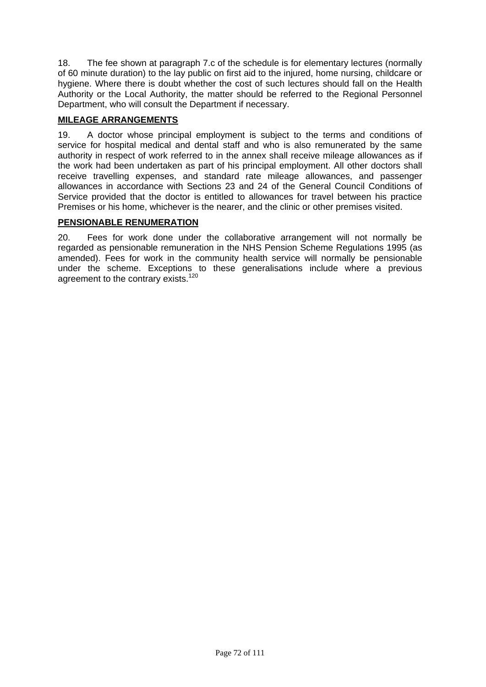18. The fee shown at paragraph 7.c of the schedule is for elementary lectures (normally of 60 minute duration) to the lay public on first aid to the injured, home nursing, childcare or hygiene. Where there is doubt whether the cost of such lectures should fall on the Health Authority or the Local Authority, the matter should be referred to the Regional Personnel Department, who will consult the Department if necessary.

# **MILEAGE ARRANGEMENTS**

19. A doctor whose principal employment is subject to the terms and conditions of service for hospital medical and dental staff and who is also remunerated by the same authority in respect of work referred to in the annex shall receive mileage allowances as if the work had been undertaken as part of his principal employment. All other doctors shall receive travelling expenses, and standard rate mileage allowances, and passenger allowances in accordance with Sections 23 and 24 of the General Council Conditions of Service provided that the doctor is entitled to allowances for travel between his practice Premises or his home, whichever is the nearer, and the clinic or other premises visited.

# **PENSIONABLE RENUMERATION**

20. Fees for work done under the collaborative arrangement will not normally be regarded as pensionable remuneration in the NHS Pension Scheme Regulations 1995 (as amended). Fees for work in the community health service will normally be pensionable under the scheme. Exceptions to these generalisations include where a previous agreement to the contrary exists.<sup>120</sup>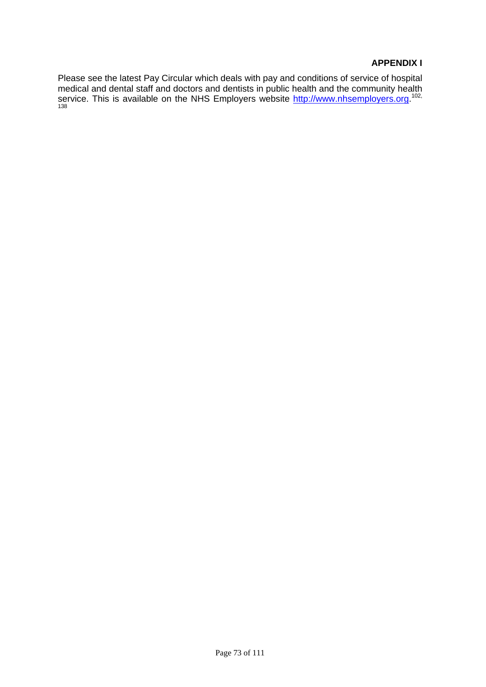## **APPENDIX I**

Please see the latest Pay Circular which deals with pay and conditions of service of hospital medical and dental staff and doctors and dentists in public health and the community health service. This is available on the NHS Employers website [http://www.nhsemployers.org.](http://www.nhsemployers.org/)<sup>102,</sup> 138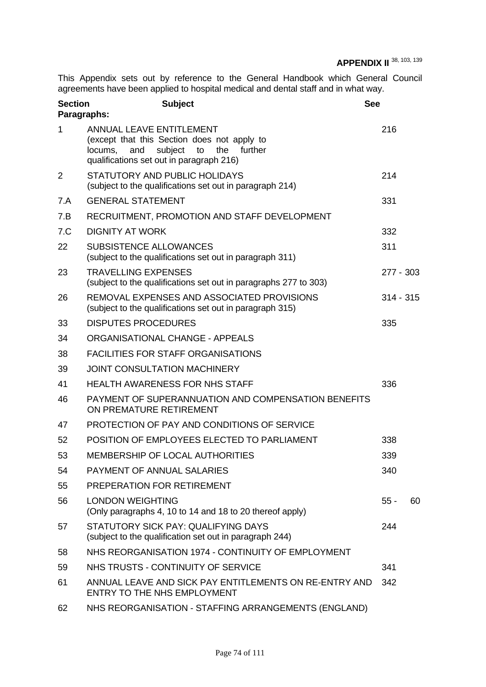# **APPENDIX II** <sup>38, 103, 139</sup>

This Appendix sets out by reference to the General Handbook which General Council agreements have been applied to hospital medical and dental staff and in what way.

| <b>Section</b><br><b>Subject</b><br>Paragraphs:                                                                                                                              |             |                                                                      |
|------------------------------------------------------------------------------------------------------------------------------------------------------------------------------|-------------|----------------------------------------------------------------------|
| <b>ANNUAL LEAVE ENTITLEMENT</b><br>(except that this Section does not apply to<br>subject<br>to<br>the further<br>locums,<br>and<br>qualifications set out in paragraph 216) | 216         |                                                                      |
| STATUTORY AND PUBLIC HOLIDAYS<br>(subject to the qualifications set out in paragraph 214)                                                                                    | 214         |                                                                      |
| <b>GENERAL STATEMENT</b>                                                                                                                                                     | 331         |                                                                      |
| RECRUITMENT, PROMOTION AND STAFF DEVELOPMENT                                                                                                                                 |             |                                                                      |
| <b>DIGNITY AT WORK</b>                                                                                                                                                       | 332         |                                                                      |
| <b>SUBSISTENCE ALLOWANCES</b><br>(subject to the qualifications set out in paragraph 311)                                                                                    | 311         |                                                                      |
| <b>TRAVELLING EXPENSES</b><br>(subject to the qualifications set out in paragraphs 277 to 303)                                                                               | 277 - 303   |                                                                      |
| REMOVAL EXPENSES AND ASSOCIATED PROVISIONS<br>(subject to the qualifications set out in paragraph 315)                                                                       | $314 - 315$ |                                                                      |
| <b>DISPUTES PROCEDURES</b>                                                                                                                                                   | 335         |                                                                      |
| ORGANISATIONAL CHANGE - APPEALS                                                                                                                                              |             |                                                                      |
| <b>FACILITIES FOR STAFF ORGANISATIONS</b>                                                                                                                                    |             |                                                                      |
| <b>JOINT CONSULTATION MACHINERY</b>                                                                                                                                          |             |                                                                      |
| <b>HEALTH AWARENESS FOR NHS STAFF</b>                                                                                                                                        | 336         |                                                                      |
| PAYMENT OF SUPERANNUATION AND COMPENSATION BENEFITS<br>ON PREMATURE RETIREMENT                                                                                               |             |                                                                      |
| PROTECTION OF PAY AND CONDITIONS OF SERVICE                                                                                                                                  |             |                                                                      |
| POSITION OF EMPLOYEES ELECTED TO PARLIAMENT                                                                                                                                  | 338         |                                                                      |
| MEMBERSHIP OF LOCAL AUTHORITIES                                                                                                                                              | 339         |                                                                      |
| <b>PAYMENT OF ANNUAL SALARIES</b>                                                                                                                                            | 340         |                                                                      |
| PREPERATION FOR RETIREMENT                                                                                                                                                   |             |                                                                      |
| <b>LONDON WEIGHTING</b><br>(Only paragraphs 4, 10 to 14 and 18 to 20 thereof apply)                                                                                          | $55 -$      | 60                                                                   |
| STATUTORY SICK PAY: QUALIFYING DAYS<br>(subject to the qualification set out in paragraph 244)                                                                               | 244         |                                                                      |
| NHS REORGANISATION 1974 - CONTINUITY OF EMPLOYMENT                                                                                                                           |             |                                                                      |
| NHS TRUSTS - CONTINUITY OF SERVICE                                                                                                                                           | 341         |                                                                      |
| ENTRY TO THE NHS EMPLOYMENT                                                                                                                                                  | 342         |                                                                      |
| NHS REORGANISATION - STAFFING ARRANGEMENTS (ENGLAND)                                                                                                                         |             |                                                                      |
|                                                                                                                                                                              |             | <b>See</b><br>ANNUAL LEAVE AND SICK PAY ENTITLEMENTS ON RE-ENTRY AND |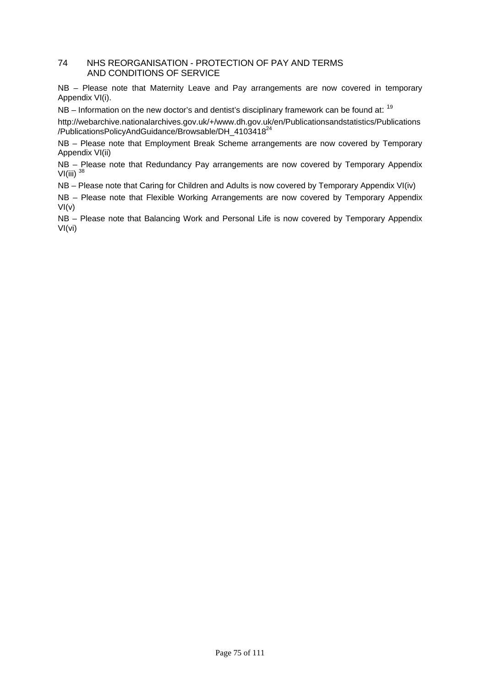#### 74 NHS REORGANISATION - PROTECTION OF PAY AND TERMS AND CONDITIONS OF SERVICE

NB - Please note that Maternity Leave and Pay arrangements are now covered in temporary Appendix VI(i).

 $NB - Information$  on the new doctor's and dentist's disciplinary framework can be found at:  $19$ 

http://webarchive.nationalarchives.gov.uk/+/www.dh.gov.uk/en/Publicationsandstatistics/Publications /PublicationsPolicyAndGuidance/Browsable/DH\_4103418<sup>24</sup>

NB – Please note that Employment Break Scheme arrangements are now covered by Temporary Appendix VI(ii)

NB – Please note that Redundancy Pay arrangements are now covered by Temporary Appendix VI(iii)  $38$ 

NB – Please note that Caring for Children and Adults is now covered by Temporary Appendix VI(iv)

NB – Please note that Flexible Working Arrangements are now covered by Temporary Appendix  $VI(v)$ 

NB - Please note that Balancing Work and Personal Life is now covered by Temporary Appendix VI(vi)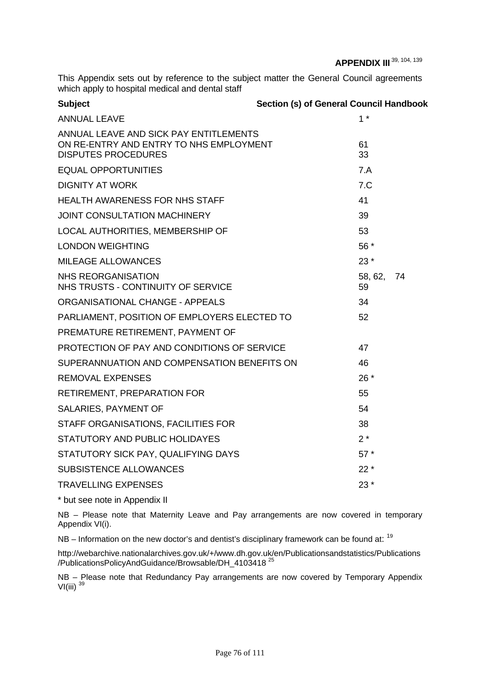This Appendix sets out by reference to the subject matter the General Council agreements which apply to hospital medical and dental staff

| <b>Subject</b>                                                                                                  | <b>Section (s) of General Council Handbook</b> |  |
|-----------------------------------------------------------------------------------------------------------------|------------------------------------------------|--|
| <b>ANNUAL LEAVE</b>                                                                                             | 1 *                                            |  |
| ANNUAL LEAVE AND SICK PAY ENTITLEMENTS<br>ON RE-ENTRY AND ENTRY TO NHS EMPLOYMENT<br><b>DISPUTES PROCEDURES</b> | 61<br>33                                       |  |
| <b>EQUAL OPPORTUNITIES</b>                                                                                      | 7.A                                            |  |
| <b>DIGNITY AT WORK</b>                                                                                          | 7.C                                            |  |
| <b>HEALTH AWARENESS FOR NHS STAFF</b>                                                                           | 41                                             |  |
| <b>JOINT CONSULTATION MACHINERY</b>                                                                             | 39                                             |  |
| LOCAL AUTHORITIES, MEMBERSHIP OF                                                                                | 53                                             |  |
| <b>LONDON WEIGHTING</b>                                                                                         | 56 *                                           |  |
| <b>MILEAGE ALLOWANCES</b>                                                                                       | $23*$                                          |  |
| <b>NHS REORGANISATION</b><br>NHS TRUSTS - CONTINUITY OF SERVICE                                                 | 58, 62,<br>74<br>59                            |  |
| ORGANISATIONAL CHANGE - APPEALS                                                                                 | 34                                             |  |
| PARLIAMENT, POSITION OF EMPLOYERS ELECTED TO                                                                    | 52                                             |  |
| PREMATURE RETIREMENT, PAYMENT OF                                                                                |                                                |  |
| PROTECTION OF PAY AND CONDITIONS OF SERVICE                                                                     | 47                                             |  |
| SUPERANNUATION AND COMPENSATION BENEFITS ON                                                                     | 46                                             |  |
| <b>REMOVAL EXPENSES</b>                                                                                         | $26*$                                          |  |
| RETIREMENT, PREPARATION FOR                                                                                     | 55                                             |  |
| SALARIES, PAYMENT OF                                                                                            | 54                                             |  |
| STAFF ORGANISATIONS, FACILITIES FOR                                                                             | 38                                             |  |
| STATUTORY AND PUBLIC HOLIDAYES                                                                                  | $2^*$                                          |  |
| STATUTORY SICK PAY, QUALIFYING DAYS                                                                             | $57*$                                          |  |
| <b>SUBSISTENCE ALLOWANCES</b>                                                                                   | $22*$                                          |  |
| <b>TRAVELLING EXPENSES</b>                                                                                      | $23*$                                          |  |
|                                                                                                                 |                                                |  |

\* but see note in Appendix II

NB – Please note that Maternity Leave and Pay arrangements are now covered in temporary Appendix VI(i).

 $NB - Information$  on the new doctor's and dentist's disciplinary framework can be found at:  $19$ 

http://webarchive.nationalarchives.gov.uk/+/www.dh.gov.uk/en/Publicationsandstatistics/Publications /PublicationsPolicyAndGuidance/Browsable/DH\_4103418 25

NB – Please note that Redundancy Pay arrangements are now covered by Temporary Appendix VI(iii) <sup>39</sup>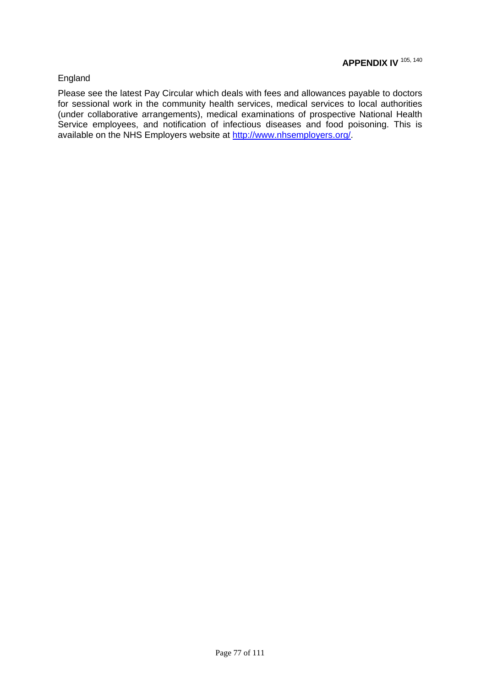## England

Please see the latest Pay Circular which deals with fees and allowances payable to doctors for sessional work in the community health services, medical services to local authorities (under collaborative arrangements), medical examinations of prospective National Health Service employees, and notification of infectious diseases and food poisoning. This is available on the NHS Employers website at [http://www.nhsemployers.org/.](http://www.nhsemployers.org/pay-conditions/pay-conditions-707.cfm)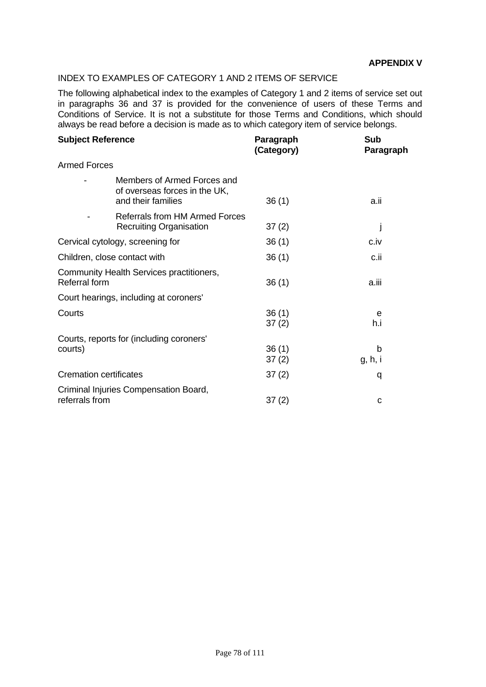## INDEX TO EXAMPLES OF CATEGORY 1 AND 2 ITEMS OF SERVICE

The following alphabetical index to the examples of Category 1 and 2 items of service set out in paragraphs 36 and 37 is provided for the convenience of users of these Terms and Conditions of Service. It is not a substitute for those Terms and Conditions, which should always be read before a decision is made as to which category item of service belongs.

| <b>Subject Reference</b>         |                                                                                    | Paragraph<br>(Category) | Sub<br>Paragraph |
|----------------------------------|------------------------------------------------------------------------------------|-------------------------|------------------|
| <b>Armed Forces</b>              |                                                                                    |                         |                  |
|                                  | Members of Armed Forces and<br>of overseas forces in the UK,<br>and their families | 36(1)                   | a.ii             |
|                                  | <b>Referrals from HM Armed Forces</b><br><b>Recruiting Organisation</b>            | 37(2)                   |                  |
| Cervical cytology, screening for |                                                                                    | 36(1)                   | c.iv             |
| Children, close contact with     |                                                                                    | 36(1)                   | c.ii             |
| <b>Referral form</b>             | Community Health Services practitioners,                                           | 36(1)                   | a.iii            |
|                                  | Court hearings, including at coroners'                                             |                         |                  |
| Courts                           |                                                                                    | 36(1)<br>37(2)          | e<br>h.i         |
| courts)                          | Courts, reports for (including coroners'                                           | 36(1)<br>37(2)          | b<br>g, h, i     |
| <b>Cremation certificates</b>    |                                                                                    | 37(2)                   | q                |
| referrals from                   | Criminal Injuries Compensation Board,                                              | 37(2)                   | C                |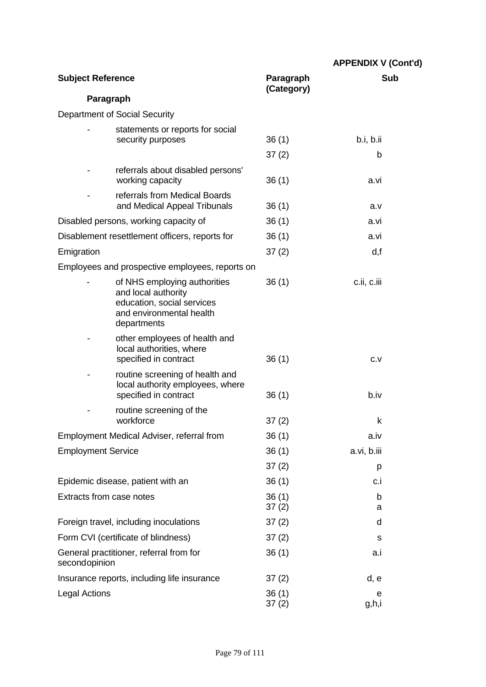|                                 |                                                                                                                              |                         | <b>APPENDIX V (Cont'd)</b> |
|---------------------------------|------------------------------------------------------------------------------------------------------------------------------|-------------------------|----------------------------|
| <b>Subject Reference</b>        |                                                                                                                              | Paragraph<br>(Category) | <b>Sub</b>                 |
| Paragraph                       |                                                                                                                              |                         |                            |
|                                 | Department of Social Security                                                                                                |                         |                            |
|                                 | statements or reports for social                                                                                             |                         |                            |
|                                 | security purposes                                                                                                            | 36(1)                   | b.i, b.ii                  |
|                                 |                                                                                                                              | 37(2)                   | b                          |
|                                 | referrals about disabled persons'<br>working capacity                                                                        | 36(1)                   | a.vi                       |
|                                 | referrals from Medical Boards<br>and Medical Appeal Tribunals                                                                | 36(1)                   | a.v                        |
|                                 | Disabled persons, working capacity of                                                                                        | 36(1)                   | a.vi                       |
|                                 | Disablement resettlement officers, reports for                                                                               | 36(1)                   | a.vi                       |
| Emigration                      |                                                                                                                              | 37(2)                   | d, f                       |
|                                 | Employees and prospective employees, reports on                                                                              |                         |                            |
|                                 | of NHS employing authorities<br>and local authority<br>education, social services<br>and environmental health<br>departments | 36(1)                   | c.ii, c.iii                |
|                                 | other employees of health and<br>local authorities, where<br>specified in contract                                           | 36(1)                   | C.V                        |
|                                 | routine screening of health and<br>local authority employees, where<br>specified in contract                                 | 36(1)                   | b.iv                       |
|                                 | routine screening of the<br>workforce                                                                                        | 37(2)                   | k                          |
|                                 | Employment Medical Adviser, referral from                                                                                    | 36(1)                   | a.iv                       |
| <b>Employment Service</b>       |                                                                                                                              | 36(1)                   | a.vi, b.iii                |
|                                 |                                                                                                                              | 37(2)                   | p                          |
|                                 | Epidemic disease, patient with an                                                                                            | 36(1)                   | c.i                        |
| <b>Extracts from case notes</b> |                                                                                                                              | 36(1)<br>37(2)          | b<br>а                     |
|                                 | Foreign travel, including inoculations                                                                                       | 37(2)                   | d                          |
|                                 | Form CVI (certificate of blindness)                                                                                          | 37(2)                   | S                          |
| secondopinion                   | General practitioner, referral from for                                                                                      | 36(1)                   | a.i                        |
|                                 | Insurance reports, including life insurance                                                                                  | 37(2)                   | d, e                       |
| <b>Legal Actions</b>            |                                                                                                                              | 36(1)<br>37(2)          | e<br>g,h,i                 |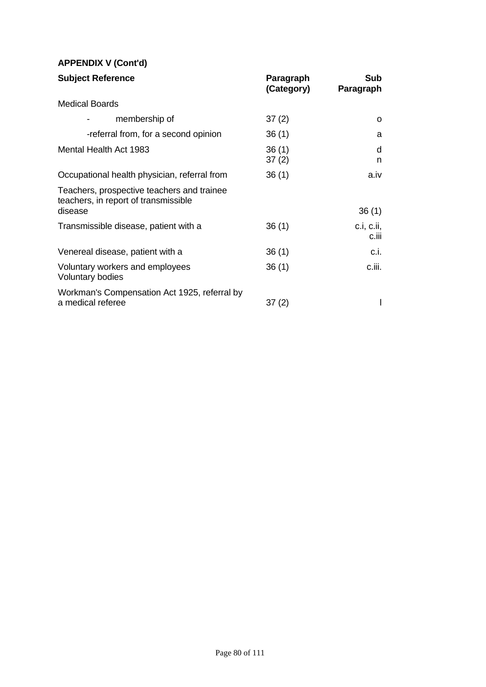# **APPENDIX V (Cont'd)**

| <b>Subject Reference</b>                                                           | Paragraph<br>(Category) | Sub<br>Paragraph    |
|------------------------------------------------------------------------------------|-------------------------|---------------------|
| <b>Medical Boards</b>                                                              |                         |                     |
| membership of                                                                      | 37(2)                   | O                   |
| -referral from, for a second opinion                                               | 36(1)                   | a                   |
| Mental Health Act 1983                                                             | 36(1)<br>37(2)          | d<br>n              |
| Occupational health physician, referral from                                       | 36(1)                   | a.iv                |
| Teachers, prospective teachers and trainee<br>teachers, in report of transmissible |                         |                     |
| disease                                                                            |                         | 36(1)               |
| Transmissible disease, patient with a                                              | 36(1)                   | c.i, c.ii,<br>c.iii |
| Venereal disease, patient with a                                                   | 36(1)                   | c.i.                |
| Voluntary workers and employees<br><b>Voluntary bodies</b>                         | 36(1)                   | c.iii.              |
| Workman's Compensation Act 1925, referral by<br>a medical referee                  | 37(2)                   |                     |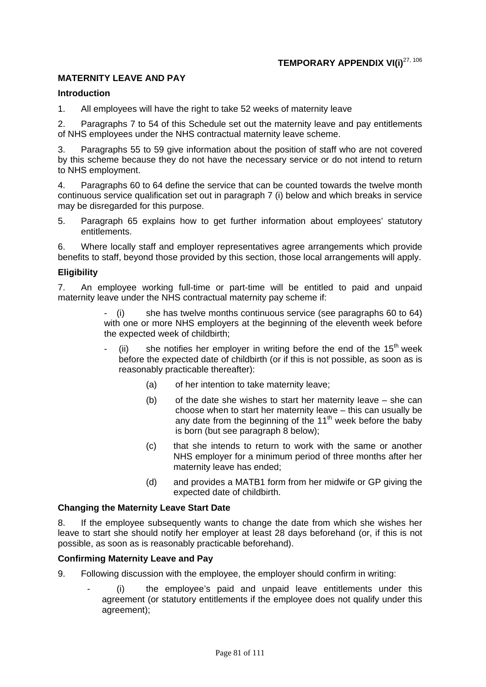## **MATERNITY LEAVE AND PAY**

#### **Introduction**

1. All employees will have the right to take 52 weeks of maternity leave

2. Paragraphs 7 to 54 of this Schedule set out the maternity leave and pay entitlements of NHS employees under the NHS contractual maternity leave scheme.

3. Paragraphs 55 to 59 give information about the position of staff who are not covered by this scheme because they do not have the necessary service or do not intend to return to NHS employment.

4. Paragraphs 60 to 64 define the service that can be counted towards the twelve month continuous service qualification set out in paragraph 7 (i) below and which breaks in service may be disregarded for this purpose.

5. Paragraph 65 explains how to get further information about employees' statutory entitlements.

6. Where locally staff and employer representatives agree arrangements which provide benefits to staff, beyond those provided by this section, those local arrangements will apply.

#### **Eligibility**

7. An employee working full-time or part-time will be entitled to paid and unpaid maternity leave under the NHS contractual maternity pay scheme if:

> she has twelve months continuous service (see paragraphs 60 to 64) with one or more NHS employers at the beginning of the eleventh week before the expected week of childbirth;

- $(iii)$  she notifies her employer in writing before the end of the 15<sup>th</sup> week before the expected date of childbirth (or if this is not possible, as soon as is reasonably practicable thereafter):
	- (a) of her intention to take maternity leave;
	- (b) of the date she wishes to start her maternity leave she can choose when to start her maternity leave – this can usually be any date from the beginning of the  $11<sup>th</sup>$  week before the baby is born (but see paragraph 8 below);
	- (c) that she intends to return to work with the same or another NHS employer for a minimum period of three months after her maternity leave has ended;
	- (d) and provides a MATB1 form from her midwife or GP giving the expected date of childbirth.

#### **Changing the Maternity Leave Start Date**

8. If the employee subsequently wants to change the date from which she wishes her leave to start she should notify her employer at least 28 days beforehand (or, if this is not possible, as soon as is reasonably practicable beforehand).

#### **Confirming Maternity Leave and Pay**

- 9. Following discussion with the employee, the employer should confirm in writing:
	- (i) the employee's paid and unpaid leave entitlements under this agreement (or statutory entitlements if the employee does not qualify under this agreement);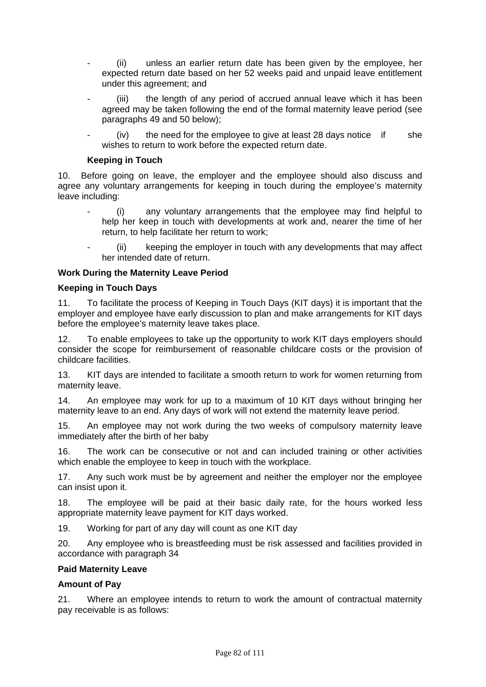- (ii) unless an earlier return date has been given by the employee, her expected return date based on her 52 weeks paid and unpaid leave entitlement under this agreement; and
- (iii) the length of any period of accrued annual leave which it has been agreed may be taken following the end of the formal maternity leave period (see paragraphs 49 and 50 below);
- $(iv)$  the need for the employee to give at least 28 days notice if she wishes to return to work before the expected return date.

#### **Keeping in Touch**

10. Before going on leave, the employer and the employee should also discuss and agree any voluntary arrangements for keeping in touch during the employee's maternity leave including:

- (i) any voluntary arrangements that the employee may find helpful to help her keep in touch with developments at work and, nearer the time of her return, to help facilitate her return to work;
- (ii) keeping the employer in touch with any developments that may affect her intended date of return.

#### **Work During the Maternity Leave Period**

#### **Keeping in Touch Days**

11. To facilitate the process of Keeping in Touch Days (KIT days) it is important that the employer and employee have early discussion to plan and make arrangements for KIT days before the employee's maternity leave takes place.

12. To enable employees to take up the opportunity to work KIT days employers should consider the scope for reimbursement of reasonable childcare costs or the provision of childcare facilities.

13. KIT days are intended to facilitate a smooth return to work for women returning from maternity leave.

14. An employee may work for up to a maximum of 10 KIT days without bringing her maternity leave to an end. Any days of work will not extend the maternity leave period.

15. An employee may not work during the two weeks of compulsory maternity leave immediately after the birth of her baby

16. The work can be consecutive or not and can included training or other activities which enable the employee to keep in touch with the workplace.

17. Any such work must be by agreement and neither the employer nor the employee can insist upon it.

18. The employee will be paid at their basic daily rate, for the hours worked less appropriate maternity leave payment for KIT days worked.

19. Working for part of any day will count as one KIT day

20. Any employee who is breastfeeding must be risk assessed and facilities provided in accordance with paragraph 34

#### **Paid Maternity Leave**

#### **Amount of Pay**

21. Where an employee intends to return to work the amount of contractual maternity pay receivable is as follows: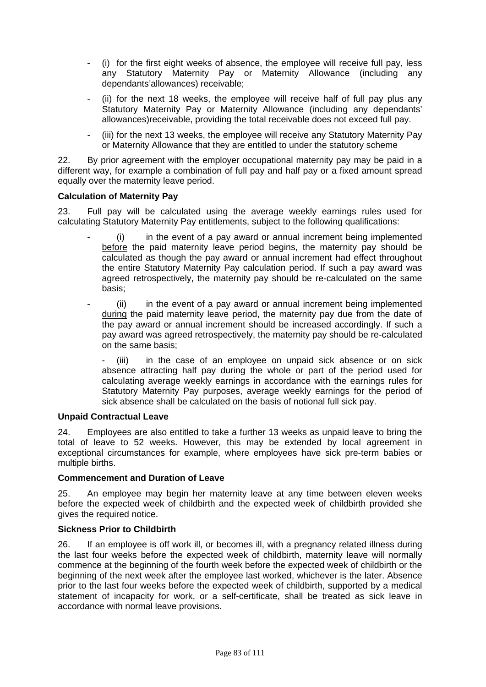- (i) for the first eight weeks of absence, the employee will receive full pay, less any Statutory Maternity Pay or Maternity Allowance (including any dependants'allowances) receivable;
- (ii) for the next 18 weeks, the employee will receive half of full pay plus any Statutory Maternity Pay or Maternity Allowance (including any dependants' allowances)receivable, providing the total receivable does not exceed full pay.
- (iii) for the next 13 weeks, the employee will receive any Statutory Maternity Pay or Maternity Allowance that they are entitled to under the statutory scheme

22. By prior agreement with the employer occupational maternity pay may be paid in a different way, for example a combination of full pay and half pay or a fixed amount spread equally over the maternity leave period.

## **Calculation of Maternity Pay**

23. Full pay will be calculated using the average weekly earnings rules used for calculating Statutory Maternity Pay entitlements, subject to the following qualifications:

- $(i)$  in the event of a pay award or annual increment being implemented before the paid maternity leave period begins, the maternity pay should be calculated as though the pay award or annual increment had effect throughout the entire Statutory Maternity Pay calculation period. If such a pay award was agreed retrospectively, the maternity pay should be re-calculated on the same basis;
- (ii) in the event of a pay award or annual increment being implemented during the paid maternity leave period, the maternity pay due from the date of the pay award or annual increment should be increased accordingly. If such a pay award was agreed retrospectively, the maternity pay should be re-calculated on the same basis;

- (iii) in the case of an employee on unpaid sick absence or on sick absence attracting half pay during the whole or part of the period used for calculating average weekly earnings in accordance with the earnings rules for Statutory Maternity Pay purposes, average weekly earnings for the period of sick absence shall be calculated on the basis of notional full sick pay.

## **Unpaid Contractual Leave**

24. Employees are also entitled to take a further 13 weeks as unpaid leave to bring the total of leave to 52 weeks. However, this may be extended by local agreement in exceptional circumstances for example, where employees have sick pre-term babies or multiple births.

## **Commencement and Duration of Leave**

25. An employee may begin her maternity leave at any time between eleven weeks before the expected week of childbirth and the expected week of childbirth provided she gives the required notice.

## **Sickness Prior to Childbirth**

26. If an employee is off work ill, or becomes ill, with a pregnancy related illness during the last four weeks before the expected week of childbirth, maternity leave will normally commence at the beginning of the fourth week before the expected week of childbirth or the beginning of the next week after the employee last worked, whichever is the later. Absence prior to the last four weeks before the expected week of childbirth, supported by a medical statement of incapacity for work, or a self-certificate, shall be treated as sick leave in accordance with normal leave provisions.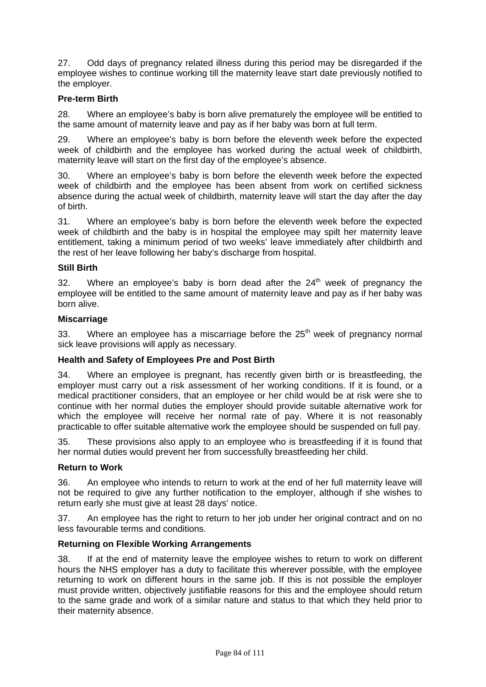27. Odd days of pregnancy related illness during this period may be disregarded if the employee wishes to continue working till the maternity leave start date previously notified to the employer.

## **Pre-term Birth**

28. Where an employee's baby is born alive prematurely the employee will be entitled to the same amount of maternity leave and pay as if her baby was born at full term.

29. Where an employee's baby is born before the eleventh week before the expected week of childbirth and the employee has worked during the actual week of childbirth, maternity leave will start on the first day of the employee's absence.

30. Where an employee's baby is born before the eleventh week before the expected week of childbirth and the employee has been absent from work on certified sickness absence during the actual week of childbirth, maternity leave will start the day after the day of birth.

31. Where an employee's baby is born before the eleventh week before the expected week of childbirth and the baby is in hospital the employee may spilt her maternity leave entitlement, taking a minimum period of two weeks' leave immediately after childbirth and the rest of her leave following her baby's discharge from hospital.

## **Still Birth**

32. Where an employee's baby is born dead after the  $24<sup>th</sup>$  week of pregnancy the employee will be entitled to the same amount of maternity leave and pay as if her baby was born alive.

## **Miscarriage**

33. Where an employee has a miscarriage before the  $25<sup>th</sup>$  week of pregnancy normal sick leave provisions will apply as necessary.

## **Health and Safety of Employees Pre and Post Birth**

34. Where an employee is pregnant, has recently given birth or is breastfeeding, the employer must carry out a risk assessment of her working conditions. If it is found, or a medical practitioner considers, that an employee or her child would be at risk were she to continue with her normal duties the employer should provide suitable alternative work for which the employee will receive her normal rate of pay. Where it is not reasonably practicable to offer suitable alternative work the employee should be suspended on full pay.

35. These provisions also apply to an employee who is breastfeeding if it is found that her normal duties would prevent her from successfully breastfeeding her child.

#### **Return to Work**

36. An employee who intends to return to work at the end of her full maternity leave will not be required to give any further notification to the employer, although if she wishes to return early she must give at least 28 days' notice.

37. An employee has the right to return to her job under her original contract and on no less favourable terms and conditions.

#### **Returning on Flexible Working Arrangements**

38. If at the end of maternity leave the employee wishes to return to work on different hours the NHS employer has a duty to facilitate this wherever possible, with the employee returning to work on different hours in the same job. If this is not possible the employer must provide written, objectively justifiable reasons for this and the employee should return to the same grade and work of a similar nature and status to that which they held prior to their maternity absence.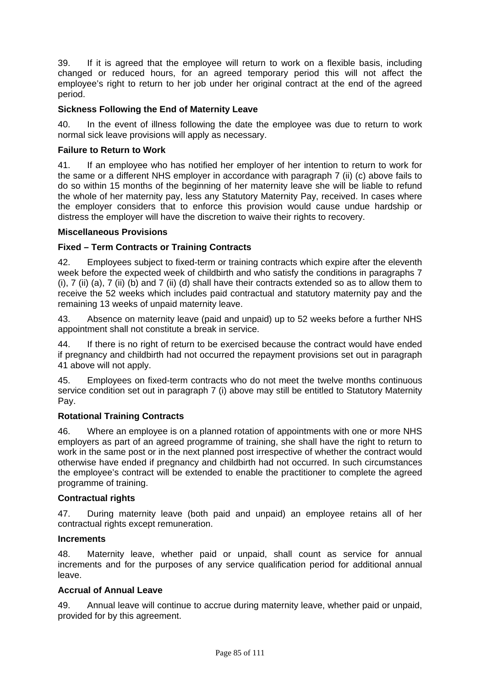39. If it is agreed that the employee will return to work on a flexible basis, including changed or reduced hours, for an agreed temporary period this will not affect the employee's right to return to her job under her original contract at the end of the agreed period.

## **Sickness Following the End of Maternity Leave**

40. In the event of illness following the date the employee was due to return to work normal sick leave provisions will apply as necessary.

## **Failure to Return to Work**

41. If an employee who has notified her employer of her intention to return to work for the same or a different NHS employer in accordance with paragraph 7 (ii) (c) above fails to do so within 15 months of the beginning of her maternity leave she will be liable to refund the whole of her maternity pay, less any Statutory Maternity Pay, received. In cases where the employer considers that to enforce this provision would cause undue hardship or distress the employer will have the discretion to waive their rights to recovery.

#### **Miscellaneous Provisions**

## **Fixed – Term Contracts or Training Contracts**

42. Employees subject to fixed-term or training contracts which expire after the eleventh week before the expected week of childbirth and who satisfy the conditions in paragraphs 7 (i), 7 (ii) (a), 7 (ii) (b) and 7 (ii) (d) shall have their contracts extended so as to allow them to receive the 52 weeks which includes paid contractual and statutory maternity pay and the remaining 13 weeks of unpaid maternity leave.

43. Absence on maternity leave (paid and unpaid) up to 52 weeks before a further NHS appointment shall not constitute a break in service.

44. If there is no right of return to be exercised because the contract would have ended if pregnancy and childbirth had not occurred the repayment provisions set out in paragraph 41 above will not apply.

45. Employees on fixed-term contracts who do not meet the twelve months continuous service condition set out in paragraph 7 (i) above may still be entitled to Statutory Maternity Pay.

#### **Rotational Training Contracts**

46. Where an employee is on a planned rotation of appointments with one or more NHS employers as part of an agreed programme of training, she shall have the right to return to work in the same post or in the next planned post irrespective of whether the contract would otherwise have ended if pregnancy and childbirth had not occurred. In such circumstances the employee's contract will be extended to enable the practitioner to complete the agreed programme of training.

## **Contractual rights**

47. During maternity leave (both paid and unpaid) an employee retains all of her contractual rights except remuneration.

#### **Increments**

48. Maternity leave, whether paid or unpaid, shall count as service for annual increments and for the purposes of any service qualification period for additional annual leave.

#### **Accrual of Annual Leave**

49. Annual leave will continue to accrue during maternity leave, whether paid or unpaid, provided for by this agreement.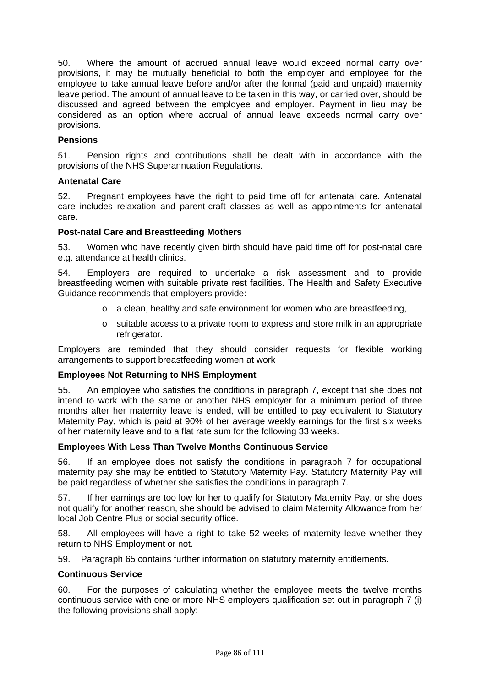50. Where the amount of accrued annual leave would exceed normal carry over provisions, it may be mutually beneficial to both the employer and employee for the employee to take annual leave before and/or after the formal (paid and unpaid) maternity leave period. The amount of annual leave to be taken in this way, or carried over, should be discussed and agreed between the employee and employer. Payment in lieu may be considered as an option where accrual of annual leave exceeds normal carry over provisions.

#### **Pensions**

51. Pension rights and contributions shall be dealt with in accordance with the provisions of the NHS Superannuation Regulations.

#### **Antenatal Care**

52. Pregnant employees have the right to paid time off for antenatal care. Antenatal care includes relaxation and parent-craft classes as well as appointments for antenatal care.

#### **Post-natal Care and Breastfeeding Mothers**

53. Women who have recently given birth should have paid time off for post-natal care e.g. attendance at health clinics.

54. Employers are required to undertake a risk assessment and to provide breastfeeding women with suitable private rest facilities. The Health and Safety Executive Guidance recommends that employers provide:

- $\circ$  a clean, healthy and safe environment for women who are breastfeeding.
- o suitable access to a private room to express and store milk in an appropriate refrigerator.

Employers are reminded that they should consider requests for flexible working arrangements to support breastfeeding women at work

#### **Employees Not Returning to NHS Employment**

55. An employee who satisfies the conditions in paragraph 7, except that she does not intend to work with the same or another NHS employer for a minimum period of three months after her maternity leave is ended, will be entitled to pay equivalent to Statutory Maternity Pay, which is paid at 90% of her average weekly earnings for the first six weeks of her maternity leave and to a flat rate sum for the following 33 weeks.

#### **Employees With Less Than Twelve Months Continuous Service**

56. If an employee does not satisfy the conditions in paragraph 7 for occupational maternity pay she may be entitled to Statutory Maternity Pay. Statutory Maternity Pay will be paid regardless of whether she satisfies the conditions in paragraph 7.

57. If her earnings are too low for her to qualify for Statutory Maternity Pay, or she does not qualify for another reason, she should be advised to claim Maternity Allowance from her local Job Centre Plus or social security office.

58. All employees will have a right to take 52 weeks of maternity leave whether they return to NHS Employment or not.

59. Paragraph 65 contains further information on statutory maternity entitlements.

#### **Continuous Service**

60. For the purposes of calculating whether the employee meets the twelve months continuous service with one or more NHS employers qualification set out in paragraph 7 (i) the following provisions shall apply: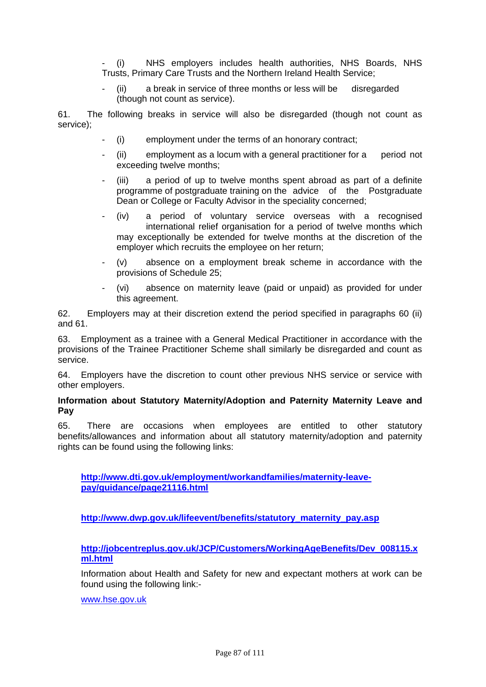- (i) NHS employers includes health authorities, NHS Boards, NHS Trusts, Primary Care Trusts and the Northern Ireland Health Service;

(ii) a break in service of three months or less will be disregarded (though not count as service).

61. The following breaks in service will also be disregarded (though not count as service);

- (i) employment under the terms of an honorary contract;
- (ii) employment as a locum with a general practitioner for a period not exceeding twelve months;
- (iii) a period of up to twelve months spent abroad as part of a definite programme of postgraduate training on the advice of the Postgraduate Dean or College or Faculty Advisor in the speciality concerned;
- (iv) a period of voluntary service overseas with a recognised international relief organisation for a period of twelve months which may exceptionally be extended for twelve months at the discretion of the employer which recruits the employee on her return;
- (v) absence on a employment break scheme in accordance with the provisions of Schedule 25;
- (vi) absence on maternity leave (paid or unpaid) as provided for under this agreement.

62. Employers may at their discretion extend the period specified in paragraphs 60 (ii) and 61.

63. Employment as a trainee with a General Medical Practitioner in accordance with the provisions of the Trainee Practitioner Scheme shall similarly be disregarded and count as service.

64. Employers have the discretion to count other previous NHS service or service with other employers.

## **Information about Statutory Maternity/Adoption and Paternity Maternity Leave and Pay**

65. There are occasions when employees are entitled to other statutory benefits/allowances and information about all statutory maternity/adoption and paternity rights can be found using the following links:

**[http://www.dti.gov.uk/employment/workandfamilies/maternity-leave](http://www.dti.gov.uk/employment/workandfamilies/maternity-leave-pay/guidance/page21116.html)[pay/guidance/page21116.html](http://www.dti.gov.uk/employment/workandfamilies/maternity-leave-pay/guidance/page21116.html)**

**[http://www.dwp.gov.uk/lifeevent/benefits/statutory\\_maternity\\_pay.asp](http://www.dwp.gov.uk/lifeevent/benefits/statutory_maternity_pay.asp)**

**[http://jobcentreplus.gov.uk/JCP/Customers/WorkingAgeBenefits/Dev\\_008115.x](http://jobcentreplus.gov.uk/JCP/Customers/WorkingAgeBenefits/Dev_008115.xml.html) [ml.html](http://jobcentreplus.gov.uk/JCP/Customers/WorkingAgeBenefits/Dev_008115.xml.html)**

Information about Health and Safety for new and expectant mothers at work can be found using the following link:-

[www.hse.gov.uk](http://www.hse.gov.uk/)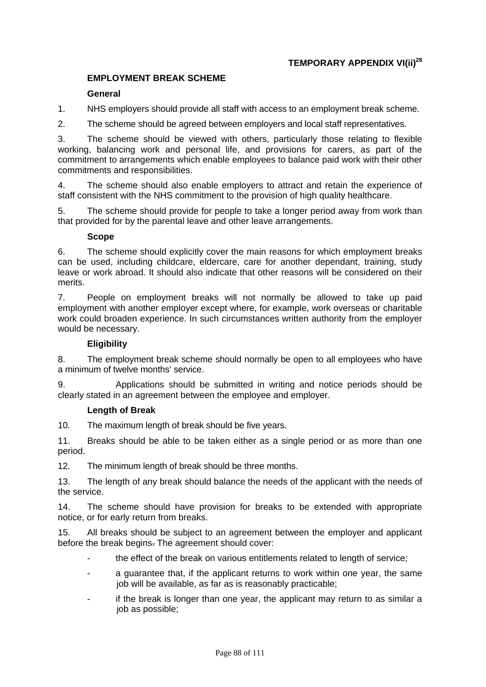## **TEMPORARY APPENDIX VI(ii)28**

## **EMPLOYMENT BREAK SCHEME**

## **General**

1. NHS employers should provide all staff with access to an employment break scheme.

2. The scheme should be agreed between employers and local staff representatives.

3. The scheme should be viewed with others, particularly those relating to flexible working, balancing work and personal life, and provisions for carers, as part of the commitment to arrangements which enable employees to balance paid work with their other commitments and responsibilities.

4. The scheme should also enable employers to attract and retain the experience of staff consistent with the NHS commitment to the provision of high quality healthcare.

5. The scheme should provide for people to take a longer period away from work than that provided for by the parental leave and other leave arrangements.

#### **Scope**

6. The scheme should explicitly cover the main reasons for which employment breaks can be used, including childcare, eldercare, care for another dependant, training, study leave or work abroad. It should also indicate that other reasons will be considered on their merits.

7. People on employment breaks will not normally be allowed to take up paid employment with another employer except where, for example, work overseas or charitable work could broaden experience. In such circumstances written authority from the employer would be necessary.

## **Eligibility**

8. The employment break scheme should normally be open to all employees who have a minimum of twelve months' service.

9. Applications should be submitted in writing and notice periods should be clearly stated in an agreement between the employee and employer.

#### **Length of Break**

10. The maximum length of break should be five years.

11. Breaks should be able to be taken either as a single period or as more than one period.

12. The minimum length of break should be three months.

13. The length of any break should balance the needs of the applicant with the needs of the service.

14. The scheme should have provision for breaks to be extended with appropriate notice, or for early return from breaks.

15. All breaks should be subject to an agreement between the employer and applicant before the break begins. The agreement should cover:

- the effect of the break on various entitlements related to length of service;
- a guarantee that, if the applicant returns to work within one year, the same job will be available, as far as is reasonably practicable;
- if the break is longer than one year, the applicant may return to as similar a job as possible;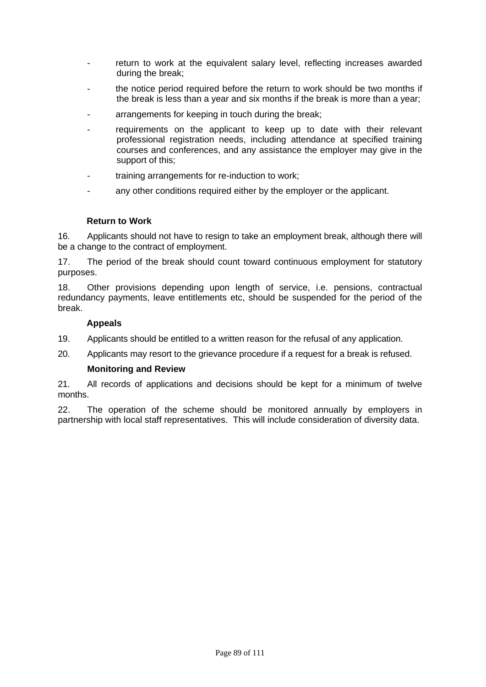- return to work at the equivalent salary level, reflecting increases awarded during the break;
- the notice period required before the return to work should be two months if the break is less than a year and six months if the break is more than a year;
- arrangements for keeping in touch during the break;
- requirements on the applicant to keep up to date with their relevant professional registration needs, including attendance at specified training courses and conferences, and any assistance the employer may give in the support of this;
- training arrangements for re-induction to work;
- any other conditions required either by the employer or the applicant.

#### **Return to Work**

16. Applicants should not have to resign to take an employment break, although there will be a change to the contract of employment.

17. The period of the break should count toward continuous employment for statutory purposes.

18. Other provisions depending upon length of service, i.e. pensions, contractual redundancy payments, leave entitlements etc, should be suspended for the period of the break.

#### **Appeals**

- 19. Applicants should be entitled to a written reason for the refusal of any application.
- 20. Applicants may resort to the grievance procedure if a request for a break is refused.

#### **Monitoring and Review**

21. All records of applications and decisions should be kept for a minimum of twelve months.

22. The operation of the scheme should be monitored annually by employers in partnership with local staff representatives. This will include consideration of diversity data.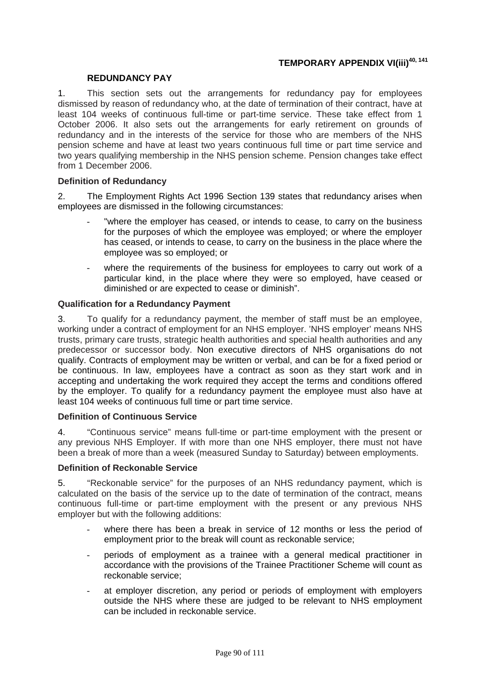# **TEMPORARY APPENDIX VI(iii)<sup>40, 141</sup>**

#### **REDUNDANCY PAY**

1. This section sets out the arrangements for redundancy pay for employees dismissed by reason of redundancy who, at the date of termination of their contract, have at least 104 weeks of continuous full-time or part-time service. These take effect from 1 October 2006. It also sets out the arrangements for early retirement on grounds of redundancy and in the interests of the service for those who are members of the NHS pension scheme and have at least two years continuous full time or part time service and two years qualifying membership in the NHS pension scheme. Pension changes take effect from 1 December 2006.

## **Definition of Redundancy**

2. The Employment Rights Act 1996 Section 139 states that redundancy arises when employees are dismissed in the following circumstances:

- "where the employer has ceased, or intends to cease, to carry on the business for the purposes of which the employee was employed; or where the employer has ceased, or intends to cease, to carry on the business in the place where the employee was so employed; or
- where the requirements of the business for employees to carry out work of a particular kind, in the place where they were so employed, have ceased or diminished or are expected to cease or diminish".

#### **Qualification for a Redundancy Payment**

3. To qualify for a redundancy payment, the member of staff must be an employee, working under a contract of employment for an NHS employer. 'NHS employer' means NHS trusts, primary care trusts, strategic health authorities and special health authorities and any predecessor or successor body. Non executive directors of NHS organisations do not qualify. Contracts of employment may be written or verbal, and can be for a fixed period or be continuous. In law, employees have a contract as soon as they start work and in accepting and undertaking the work required they accept the terms and conditions offered by the employer. To qualify for a redundancy payment the employee must also have at least 104 weeks of continuous full time or part time service.

#### **Definition of Continuous Service**

4. "Continuous service" means full-time or part-time employment with the present or any previous NHS Employer. If with more than one NHS employer, there must not have been a break of more than a week (measured Sunday to Saturday) between employments.

#### **Definition of Reckonable Service**

5. "Reckonable service" for the purposes of an NHS redundancy payment, which is calculated on the basis of the service up to the date of termination of the contract, means continuous full-time or part-time employment with the present or any previous NHS employer but with the following additions:

- where there has been a break in service of 12 months or less the period of employment prior to the break will count as reckonable service;
- periods of employment as a trainee with a general medical practitioner in accordance with the provisions of the Trainee Practitioner Scheme will count as reckonable service;
- at employer discretion, any period or periods of employment with employers outside the NHS where these are judged to be relevant to NHS employment can be included in reckonable service.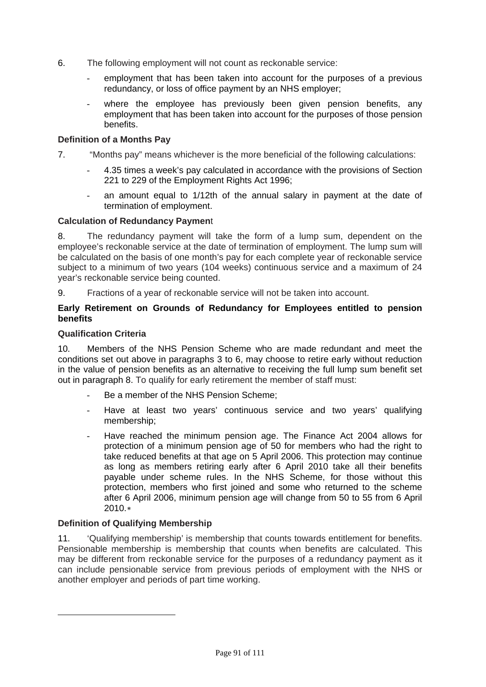- 6. The following employment will not count as reckonable service:
	- employment that has been taken into account for the purposes of a previous redundancy, or loss of office payment by an NHS employer;
	- where the employee has previously been given pension benefits, any employment that has been taken into account for the purposes of those pension benefits.

## **Definition of a Months Pay**

- 7. "Months pay" means whichever is the more beneficial of the following calculations:
	- 4.35 times a week's pay calculated in accordance with the provisions of Section 221 to 229 of the Employment Rights Act 1996;
	- an amount equal to 1/12th of the annual salary in payment at the date of termination of employment.

## **Calculation of Redundancy Paymen**t

8. The redundancy payment will take the form of a lump sum, dependent on the employee's reckonable service at the date of termination of employment. The lump sum will be calculated on the basis of one month's pay for each complete year of reckonable service subject to a minimum of two years (104 weeks) continuous service and a maximum of 24 year's reckonable service being counted.

9. Fractions of a year of reckonable service will not be taken into account.

#### **Early Retirement on Grounds of Redundancy for Employees entitled to pension benefits**

## **Qualification Criteria**

10. Members of the NHS Pension Scheme who are made redundant and meet the conditions set out above in paragraphs 3 to 6, may choose to retire early without reduction in the value of pension benefits as an alternative to receiving the full lump sum benefit set out in paragraph 8. To qualify for early retirement the member of staff must:

- Be a member of the NHS Pension Scheme;
- Have at least two years' continuous service and two years' qualifying membership;
- Have reached the minimum pension age. The Finance Act 2004 allows for protection of a minimum pension age of 50 for members who had the right to take reduced benefits at that age on 5 April 2006. This protection may continue as long as members retiring early after 6 April 2010 take all their benefits payable under scheme rules. In the NHS Scheme, for those without this protection, members who first joined and some who returned to the scheme after 6 April 2006, minimum pension age will change from 50 to 55 from 6 April 2010.[∗](#page-90-0)

## **Definition of Qualifying Membership**

<span id="page-90-0"></span>-

11. 'Qualifying membership' is membership that counts towards entitlement for benefits. Pensionable membership is membership that counts when benefits are calculated. This may be different from reckonable service for the purposes of a redundancy payment as it can include pensionable service from previous periods of employment with the NHS or another employer and periods of part time working.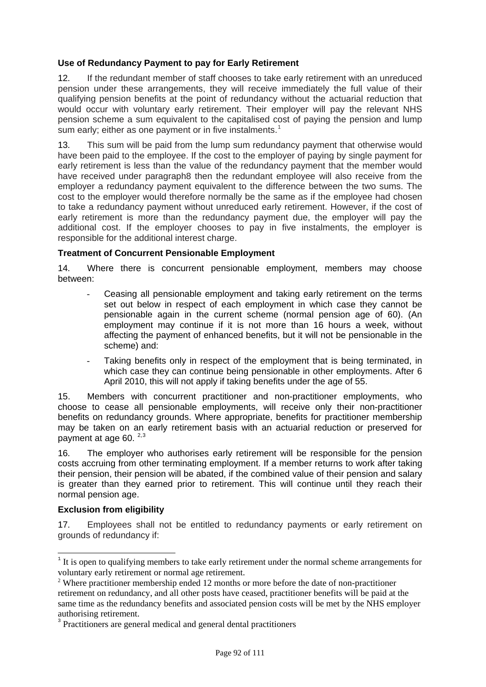## **Use of Redundancy Payment to pay for Early Retirement**

12. If the redundant member of staff chooses to take early retirement with an unreduced pension under these arrangements, they will receive immediately the full value of their qualifying pension benefits at the point of redundancy without the actuarial reduction that would occur with voluntary early retirement. Their employer will pay the relevant NHS pension scheme a sum equivalent to the capitalised cost of paying the pension and lump sum early; either as one payment or in five instalments.<sup>[1](#page-91-0)</sup>

13. This sum will be paid from the lump sum redundancy payment that otherwise would have been paid to the employee. If the cost to the employer of paying by single payment for early retirement is less than the value of the redundancy payment that the member would have received under paragraph8 then the redundant employee will also receive from the employer a redundancy payment equivalent to the difference between the two sums. The cost to the employer would therefore normally be the same as if the employee had chosen to take a redundancy payment without unreduced early retirement. However, if the cost of early retirement is more than the redundancy payment due, the employer will pay the additional cost. If the employer chooses to pay in five instalments, the employer is responsible for the additional interest charge.

## **Treatment of Concurrent Pensionable Employment**

14. Where there is concurrent pensionable employment, members may choose between:

- Ceasing all pensionable employment and taking early retirement on the terms set out below in respect of each employment in which case they cannot be pensionable again in the current scheme (normal pension age of 60). (An employment may continue if it is not more than 16 hours a week, without affecting the payment of enhanced benefits, but it will not be pensionable in the scheme) and:
- Taking benefits only in respect of the employment that is being terminated, in which case they can continue being pensionable in other employments. After 6 April 2010, this will not apply if taking benefits under the age of 55.

15. Members with concurrent practitioner and non-practitioner employments, who choose to cease all pensionable employments, will receive only their non-practitioner benefits on redundancy grounds. Where appropriate, benefits for practitioner membership may be taken on an early retirement basis with an actuarial reduction or preserved for payment at age 60.  $2,3$  $2,3$  $2,3$ 

16. The employer who authorises early retirement will be responsible for the pension costs accruing from other terminating employment. If a member returns to work after taking their pension, their pension will be abated, if the combined value of their pension and salary is greater than they earned prior to retirement. This will continue until they reach their normal pension age.

## **Exclusion from eligibility**

-

17. Employees shall not be entitled to redundancy payments or early retirement on grounds of redundancy if:

<span id="page-91-0"></span><sup>&</sup>lt;sup>1</sup> It is open to qualifying members to take early retirement under the normal scheme arrangements for voluntary early retirement or normal age retirement.

<span id="page-91-1"></span><sup>&</sup>lt;sup>2</sup> Where practitioner membership ended 12 months or more before the date of non-practitioner retirement on redundancy, and all other posts have ceased, practitioner benefits will be paid at the same time as the redundancy benefits and associated pension costs will be met by the NHS employer authorising retirement.

<span id="page-91-2"></span><sup>&</sup>lt;sup>3</sup> Practitioners are general medical and general dental practitioners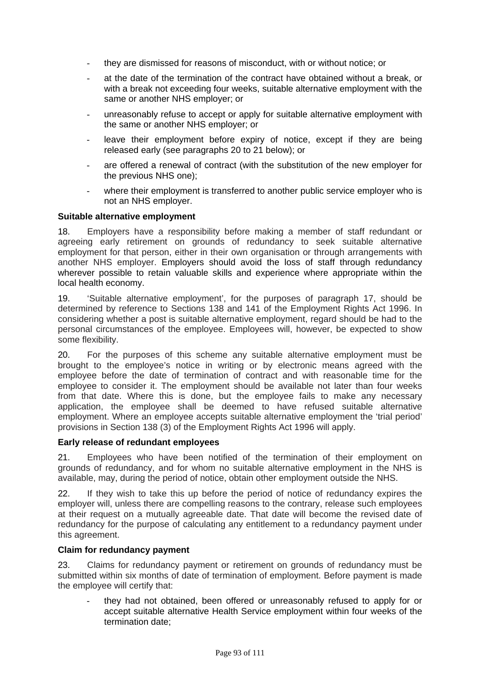- they are dismissed for reasons of misconduct, with or without notice; or
- at the date of the termination of the contract have obtained without a break, or with a break not exceeding four weeks, suitable alternative employment with the same or another NHS employer; or
- unreasonably refuse to accept or apply for suitable alternative employment with the same or another NHS employer; or
- leave their employment before expiry of notice, except if they are being released early (see paragraphs 20 to 21 below); or
- are offered a renewal of contract (with the substitution of the new employer for the previous NHS one);
- where their employment is transferred to another public service employer who is not an NHS employer.

#### **Suitable alternative employment**

18. Employers have a responsibility before making a member of staff redundant or agreeing early retirement on grounds of redundancy to seek suitable alternative employment for that person, either in their own organisation or through arrangements with another NHS employer. Employers should avoid the loss of staff through redundancy wherever possible to retain valuable skills and experience where appropriate within the local health economy.

19. 'Suitable alternative employment', for the purposes of paragraph 17, should be determined by reference to Sections 138 and 141 of the Employment Rights Act 1996. In considering whether a post is suitable alternative employment, regard should be had to the personal circumstances of the employee. Employees will, however, be expected to show some flexibility.

20. For the purposes of this scheme any suitable alternative employment must be brought to the employee's notice in writing or by electronic means agreed with the employee before the date of termination of contract and with reasonable time for the employee to consider it. The employment should be available not later than four weeks from that date. Where this is done, but the employee fails to make any necessary application, the employee shall be deemed to have refused suitable alternative employment. Where an employee accepts suitable alternative employment the 'trial period' provisions in Section 138 (3) of the Employment Rights Act 1996 will apply.

#### **Early release of redundant employees**

21. Employees who have been notified of the termination of their employment on grounds of redundancy, and for whom no suitable alternative employment in the NHS is available, may, during the period of notice, obtain other employment outside the NHS.

22. If they wish to take this up before the period of notice of redundancy expires the employer will, unless there are compelling reasons to the contrary, release such employees at their request on a mutually agreeable date. That date will become the revised date of redundancy for the purpose of calculating any entitlement to a redundancy payment under this agreement.

#### **Claim for redundancy payment**

23. Claims for redundancy payment or retirement on grounds of redundancy must be submitted within six months of date of termination of employment. Before payment is made the employee will certify that:

they had not obtained, been offered or unreasonably refused to apply for or accept suitable alternative Health Service employment within four weeks of the termination date;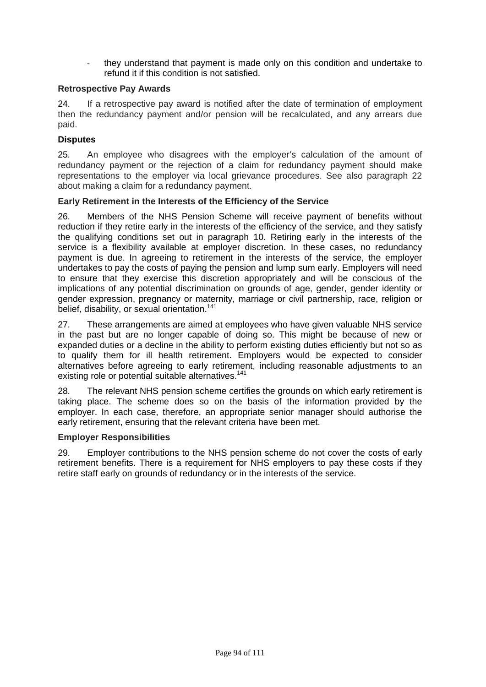they understand that payment is made only on this condition and undertake to refund it if this condition is not satisfied.

## **Retrospective Pay Awards**

24. If a retrospective pay award is notified after the date of termination of employment then the redundancy payment and/or pension will be recalculated, and any arrears due paid.

## **Disputes**

25. An employee who disagrees with the employer's calculation of the amount of redundancy payment or the rejection of a claim for redundancy payment should make representations to the employer via local grievance procedures. See also paragraph 22 about making a claim for a redundancy payment.

## **Early Retirement in the Interests of the Efficiency of the Service**

26. Members of the NHS Pension Scheme will receive payment of benefits without reduction if they retire early in the interests of the efficiency of the service, and they satisfy the qualifying conditions set out in paragraph 10. Retiring early in the interests of the service is a flexibility available at employer discretion. In these cases, no redundancy payment is due. In agreeing to retirement in the interests of the service, the employer undertakes to pay the costs of paying the pension and lump sum early. Employers will need to ensure that they exercise this discretion appropriately and will be conscious of the implications of any potential discrimination on grounds of age, gender, gender identity or gender expression, pregnancy or maternity, marriage or civil partnership, race, religion or belief, disability, or sexual orientation.<sup>141</sup>

27. These arrangements are aimed at employees who have given valuable NHS service in the past but are no longer capable of doing so. This might be because of new or expanded duties or a decline in the ability to perform existing duties efficiently but not so as to qualify them for ill health retirement. Employers would be expected to consider alternatives before agreeing to early retirement, including reasonable adjustments to an existing role or potential suitable alternatives.<sup>141</sup>

28. The relevant NHS pension scheme certifies the grounds on which early retirement is taking place. The scheme does so on the basis of the information provided by the employer. In each case, therefore, an appropriate senior manager should authorise the early retirement, ensuring that the relevant criteria have been met.

## **Employer Responsibilities**

29. Employer contributions to the NHS pension scheme do not cover the costs of early retirement benefits. There is a requirement for NHS employers to pay these costs if they retire staff early on grounds of redundancy or in the interests of the service.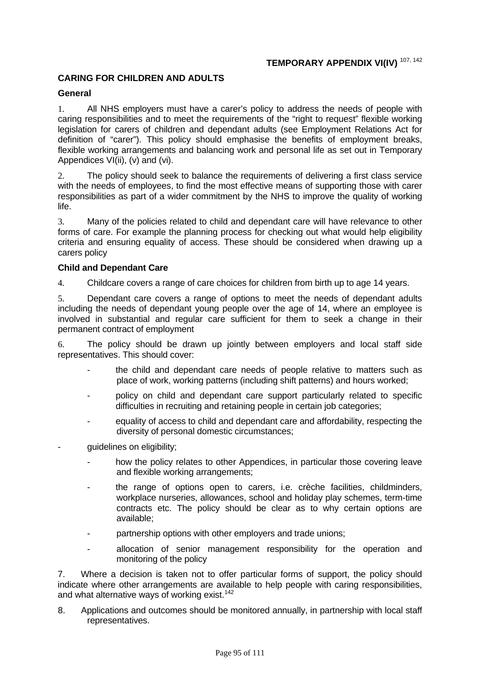# **TEMPORARY APPENDIX VI(IV)** 107, 142

## **CARING FOR CHILDREN AND ADULTS**

#### **General**

1. All NHS employers must have a carer's policy to address the needs of people with caring responsibilities and to meet the requirements of the "right to request" flexible working legislation for carers of children and dependant adults (see Employment Relations Act for definition of "carer"). This policy should emphasise the benefits of employment breaks, flexible working arrangements and balancing work and personal life as set out in Temporary Appendices VI(ii), (v) and (vi).

2. The policy should seek to balance the requirements of delivering a first class service with the needs of employees, to find the most effective means of supporting those with carer responsibilities as part of a wider commitment by the NHS to improve the quality of working life.

3. Many of the policies related to child and dependant care will have relevance to other forms of care. For example the planning process for checking out what would help eligibility criteria and ensuring equality of access. These should be considered when drawing up a carers policy

#### **Child and Dependant Care**

4. Childcare covers a range of care choices for children from birth up to age 14 years.

5. Dependant care covers a range of options to meet the needs of dependant adults including the needs of dependant young people over the age of 14, where an employee is involved in substantial and regular care sufficient for them to seek a change in their permanent contract of employment

6. The policy should be drawn up jointly between employers and local staff side representatives. This should cover:

- the child and dependant care needs of people relative to matters such as place of work, working patterns (including shift patterns) and hours worked;
- policy on child and dependant care support particularly related to specific difficulties in recruiting and retaining people in certain job categories;
- equality of access to child and dependant care and affordability, respecting the diversity of personal domestic circumstances;
- quidelines on eligibility;
	- how the policy relates to other Appendices, in particular those covering leave and flexible working arrangements;
	- the range of options open to carers, i.e. crèche facilities, childminders, workplace nurseries, allowances, school and holiday play schemes, term-time contracts etc. The policy should be clear as to why certain options are available;
	- partnership options with other employers and trade unions;
	- allocation of senior management responsibility for the operation and monitoring of the policy

7. Where a decision is taken not to offer particular forms of support, the policy should indicate where other arrangements are available to help people with caring responsibilities, and what alternative ways of working exist.<sup>142</sup>

8. Applications and outcomes should be monitored annually, in partnership with local staff representatives.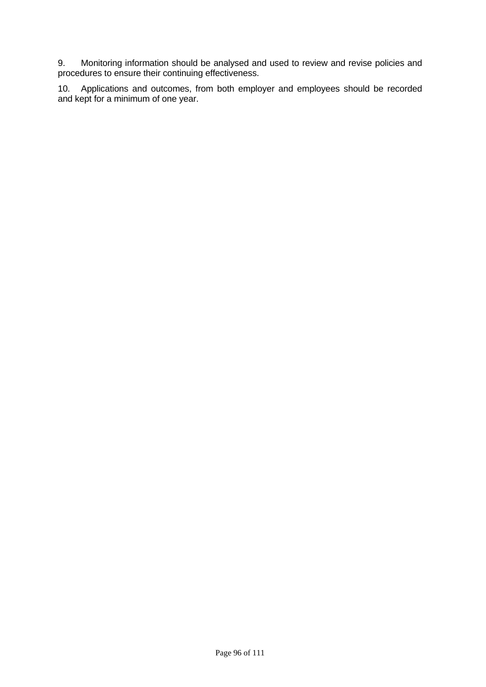9. Monitoring information should be analysed and used to review and revise policies and procedures to ensure their continuing effectiveness.

10. Applications and outcomes, from both employer and employees should be recorded and kept for a minimum of one year.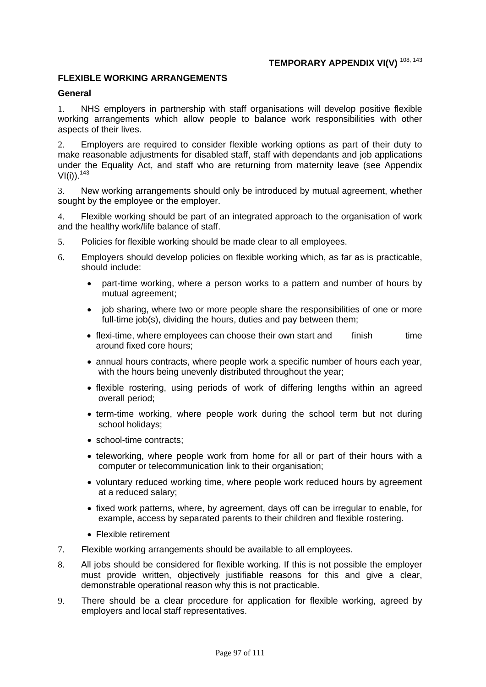# **TEMPORARY APPENDIX VI(V)** 108, 143

#### **FLEXIBLE WORKING ARRANGEMENTS**

#### **General**

1. NHS employers in partnership with staff organisations will develop positive flexible working arrangements which allow people to balance work responsibilities with other aspects of their lives.

2. Employers are required to consider flexible working options as part of their duty to make reasonable adjustments for disabled staff, staff with dependants and job applications under the Equality Act, and staff who are returning from maternity leave (see Appendix  $VI(i)$ ).  $143$ 

3. New working arrangements should only be introduced by mutual agreement, whether sought by the employee or the employer.

4. Flexible working should be part of an integrated approach to the organisation of work and the healthy work/life balance of staff.

- 5. Policies for flexible working should be made clear to all employees.
- 6. Employers should develop policies on flexible working which, as far as is practicable, should include:
	- part-time working, where a person works to a pattern and number of hours by mutual agreement;
	- job sharing, where two or more people share the responsibilities of one or more full-time job(s), dividing the hours, duties and pay between them;
	- flexi-time, where employees can choose their own start and finish time around fixed core hours;
	- annual hours contracts, where people work a specific number of hours each year, with the hours being unevenly distributed throughout the year;
	- flexible rostering, using periods of work of differing lengths within an agreed overall period;
	- term-time working, where people work during the school term but not during school holidays;
	- school-time contracts;
	- teleworking, where people work from home for all or part of their hours with a computer or telecommunication link to their organisation;
	- voluntary reduced working time, where people work reduced hours by agreement at a reduced salary;
	- fixed work patterns, where, by agreement, days off can be irregular to enable, for example, access by separated parents to their children and flexible rostering.
	- Flexible retirement
- 7. Flexible working arrangements should be available to all employees.
- 8. All jobs should be considered for flexible working. If this is not possible the employer must provide written, objectively justifiable reasons for this and give a clear, demonstrable operational reason why this is not practicable.
- 9. There should be a clear procedure for application for flexible working, agreed by employers and local staff representatives.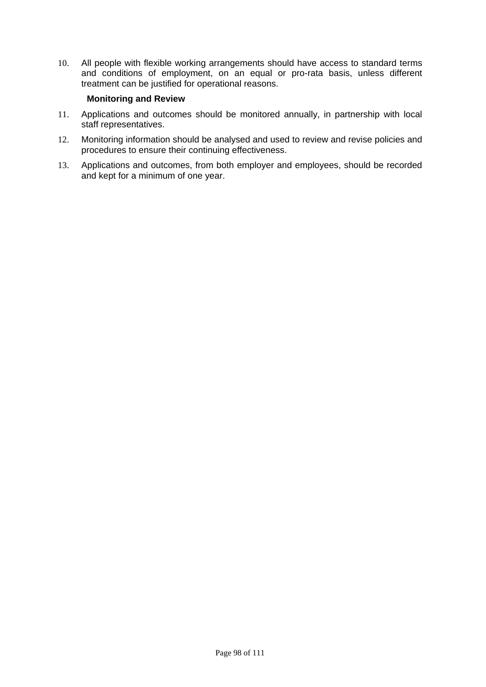10. All people with flexible working arrangements should have access to standard terms and conditions of employment, on an equal or pro-rata basis, unless different treatment can be justified for operational reasons.

#### **Monitoring and Review**

- 11. Applications and outcomes should be monitored annually, in partnership with local staff representatives.
- 12. Monitoring information should be analysed and used to review and revise policies and procedures to ensure their continuing effectiveness.
- 13. Applications and outcomes, from both employer and employees, should be recorded and kept for a minimum of one year.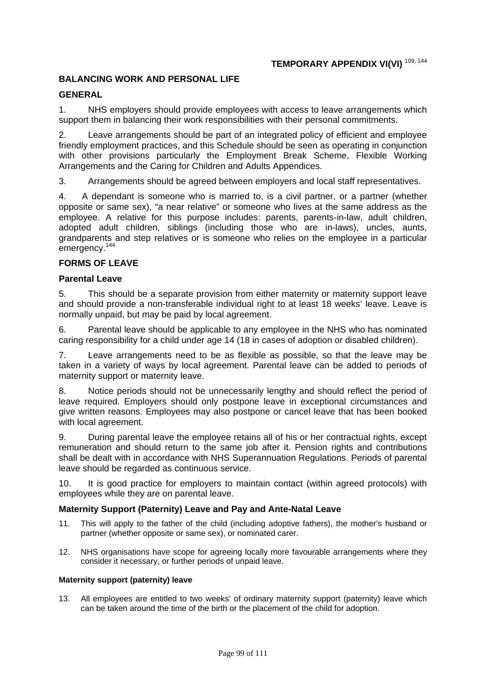## **BALANCING WORK AND PERSONAL LIFE**

## **GENERAL**

1. NHS employers should provide employees with access to leave arrangements which support them in balancing their work responsibilities with their personal commitments.

2. Leave arrangements should be part of an integrated policy of efficient and employee friendly employment practices, and this Schedule should be seen as operating in conjunction with other provisions particularly the Employment Break Scheme, Flexible Working Arrangements and the Caring for Children and Adults Appendices.

3. Arrangements should be agreed between employers and local staff representatives.

4. A dependant is someone who is married to, is a civil partner, or a partner (whether opposite or same sex), "a near relative" or someone who lives at the same address as the employee. A relative for this purpose includes: parents, parents-in-law, adult children, adopted adult children, siblings (including those who are in-laws), uncles, aunts, grandparents and step relatives or is someone who relies on the employee in a particular emergency.<sup>144</sup>

## **FORMS OF LEAVE**

## **Parental Leave**

5. This should be a separate provision from either maternity or maternity support leave and should provide a non-transferable individual right to at least 18 weeks' leave. Leave is normally unpaid, but may be paid by local agreement.

6. Parental leave should be applicable to any employee in the NHS who has nominated caring responsibility for a child under age 14 (18 in cases of adoption or disabled children).

7. Leave arrangements need to be as flexible as possible, so that the leave may be taken in a variety of ways by local agreement. Parental leave can be added to periods of maternity support or maternity leave.

8. Notice periods should not be unnecessarily lengthy and should reflect the period of leave required. Employers should only postpone leave in exceptional circumstances and give written reasons. Employees may also postpone or cancel leave that has been booked with local agreement.

9. During parental leave the employee retains all of his or her contractual rights, except remuneration and should return to the same job after it. Pension rights and contributions shall be dealt with in accordance with NHS Superannuation Regulations. Periods of parental leave should be regarded as continuous service.

10. It is good practice for employers to maintain contact (within agreed protocols) with employees while they are on parental leave.

## **Maternity Support (Paternity) Leave and Pay and Ante-Natal Leave**

- 11. This will apply to the father of the child (including adoptive fathers), the mother's husband or partner (whether opposite or same sex), or nominated carer.
- 12. NHS organisations have scope for agreeing locally more favourable arrangements where they consider it necessary, or further periods of unpaid leave.

#### **Maternity support (paternity) leave**

13. All employees are entitled to two weeks' of ordinary maternity support (paternity) leave which can be taken around the time of the birth or the placement of the child for adoption.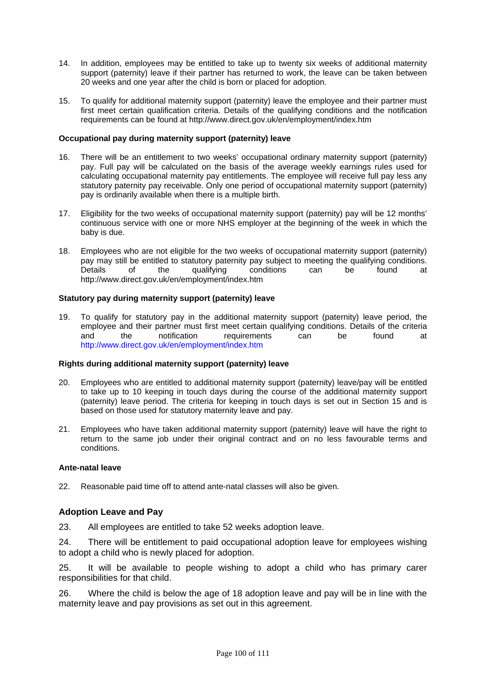- 14. In addition, employees may be entitled to take up to twenty six weeks of additional maternity support (paternity) leave if their partner has returned to work, the leave can be taken between 20 weeks and one year after the child is born or placed for adoption.
- 15. To qualify for additional maternity support (paternity) leave the employee and their partner must first meet certain qualification criteria. Details of the qualifying conditions and the notification requirements can be found at http://www.direct.gov.uk/en/employment/index.htm

#### **Occupational pay during maternity support (paternity) leave**

- 16. There will be an entitlement to two weeks' occupational ordinary maternity support (paternity) pay. Full pay will be calculated on the basis of the average weekly earnings rules used for calculating occupational maternity pay entitlements. The employee will receive full pay less any statutory paternity pay receivable. Only one period of occupational maternity support (paternity) pay is ordinarily available when there is a multiple birth.
- 17. Eligibility for the two weeks of occupational maternity support (paternity) pay will be 12 months' continuous service with one or more NHS employer at the beginning of the week in which the baby is due.
- 18. Employees who are not eligible for the two weeks of occupational maternity support (paternity) pay may still be entitled to statutory paternity pay subject to meeting the qualifying conditions. Details of the qualifying conditions can be found at http://www.direct.gov.uk/en/employment/index.htm

#### **Statutory pay during maternity support (paternity) leave**

19. To qualify for statutory pay in the additional maternity support (paternity) leave period, the employee and their partner must first meet certain qualifying conditions. Details of the criteria<br>and the notification requirements can be found at requirements can be found at http://www.direct.gov.uk/en/employment/index.htm

#### **Rights during additional maternity support (paternity) leave**

- 20. Employees who are entitled to additional maternity support (paternity) leave/pay will be entitled to take up to 10 keeping in touch days during the course of the additional maternity support (paternity) leave period. The criteria for keeping in touch days is set out in Section 15 and is based on those used for statutory maternity leave and pay.
- 21. Employees who have taken additional maternity support (paternity) leave will have the right to return to the same job under their original contract and on no less favourable terms and conditions.

#### **Ante-natal leave**

22. Reasonable paid time off to attend ante-natal classes will also be given.

#### **Adoption Leave and Pay**

23. All employees are entitled to take 52 weeks adoption leave.

24. There will be entitlement to paid occupational adoption leave for employees wishing to adopt a child who is newly placed for adoption.

25. It will be available to people wishing to adopt a child who has primary carer responsibilities for that child.

26. Where the child is below the age of 18 adoption leave and pay will be in line with the maternity leave and pay provisions as set out in this agreement.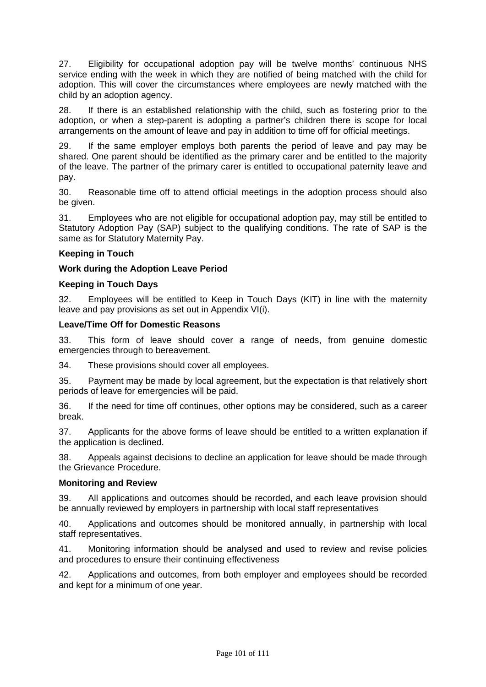27. Eligibility for occupational adoption pay will be twelve months' continuous NHS service ending with the week in which they are notified of being matched with the child for adoption. This will cover the circumstances where employees are newly matched with the child by an adoption agency.

28. If there is an established relationship with the child, such as fostering prior to the adoption, or when a step-parent is adopting a partner's children there is scope for local arrangements on the amount of leave and pay in addition to time off for official meetings.

29. If the same employer employs both parents the period of leave and pay may be shared. One parent should be identified as the primary carer and be entitled to the majority of the leave. The partner of the primary carer is entitled to occupational paternity leave and pay.

30. Reasonable time off to attend official meetings in the adoption process should also be given.

31. Employees who are not eligible for occupational adoption pay, may still be entitled to Statutory Adoption Pay (SAP) subject to the qualifying conditions. The rate of SAP is the same as for Statutory Maternity Pay.

## **Keeping in Touch**

## **Work during the Adoption Leave Period**

## **Keeping in Touch Days**

32. Employees will be entitled to Keep in Touch Days (KIT) in line with the maternity leave and pay provisions as set out in Appendix VI(i).

#### **Leave/Time Off for Domestic Reasons**

33. This form of leave should cover a range of needs, from genuine domestic emergencies through to bereavement.

34. These provisions should cover all employees.

35. Payment may be made by local agreement, but the expectation is that relatively short periods of leave for emergencies will be paid.

36. If the need for time off continues, other options may be considered, such as a career break.

37. Applicants for the above forms of leave should be entitled to a written explanation if the application is declined.

38. Appeals against decisions to decline an application for leave should be made through the Grievance Procedure.

#### **Monitoring and Review**

39. All applications and outcomes should be recorded, and each leave provision should be annually reviewed by employers in partnership with local staff representatives

40. Applications and outcomes should be monitored annually, in partnership with local staff representatives.

41. Monitoring information should be analysed and used to review and revise policies and procedures to ensure their continuing effectiveness

42. Applications and outcomes, from both employer and employees should be recorded and kept for a minimum of one year.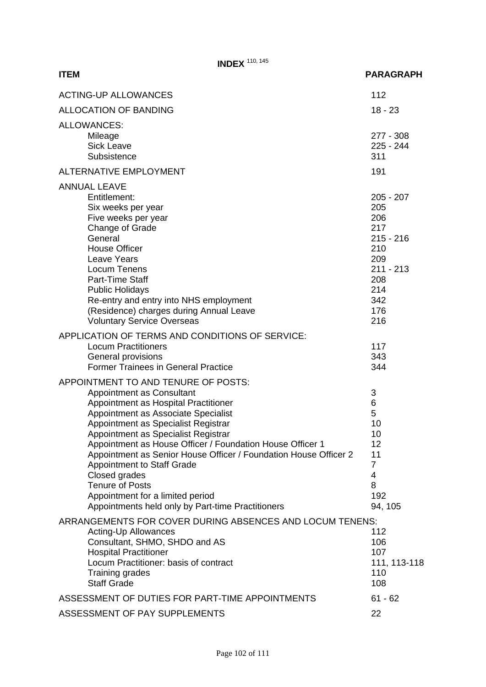**INDEX** <sup>110, 145</sup>

## **ITEM PARAGRAPH** ACTING-UP ALLOWANCES 112 ALLOCATION OF BANDING 18 - 23 ALLOWANCES: Mileage 277 - 308 Sick Leave 225 - 244 Subsistence 311 ALTERNATIVE EMPLOYMENT 191 ANNUAL LEAVE Entitlement: 205 - 207 Six weeks per year 205 Five weeks per year 206<br>Change of Grade 217 Change of Grade General 215 - 216 House Officer 210 Leave Years 209<br>
Locum Tenens 2009<br>
2001 - 213 Locum Tenens Part-Time Staff 208 Public Holidays 214 Re-entry and entry into NHS employment 342 (Residence) charges during Annual Leave 176 Voluntary Service Overseas 216 APPLICATION OF TERMS AND CONDITIONS OF SERVICE: Locum Practitioners<br>
General provisions<br>
343 General provisions Former Trainees in General Practice 344 APPOINTMENT TO AND TENURE OF POSTS: Appointment as Consultant 3 Appointment as Hospital Practitioner 6 and 100 km  $\,$  6 Appointment as Associate Specialist 5 Appointment as Specialist Registrar (Appointment as Specialist Registrar (Appointment as Specialist Registrar (Appointment as Specialist Registrar (Appointment as Specialist Registrar (Appointment as Specialist Registrar ( Appointment as Specialist Registrar<br>Appointment as House Officer / Foundation House Officer 1 12 Appointment as House Officer / Foundation House Officer 1 Appointment as Senior House Officer / Foundation House Officer 2 11 Appointment to Staff Grade 7 and 7 Closed grades 4 Tenure of Posts 8 Appointment for a limited period 192 Appointments held only by Part-time Practitioners 94, 105 ARRANGEMENTS FOR COVER DURING ABSENCES AND LOCUM TENENS: Acting-Up Allowances 2002 112 **Consultant, SHMO, SHDO and AS** 106 Hospital Practitioner<br>
Locum Practitioner: basis of contract<br>
111, 113-118 Locum Practitioner: basis of contract Training grades 110 Staff Grade 2008 108 ASSESSMENT OF DUTIES FOR PART-TIME APPOINTMENTS 61 - 62 ASSESSMENT OF PAY SUPPLEMENTS 22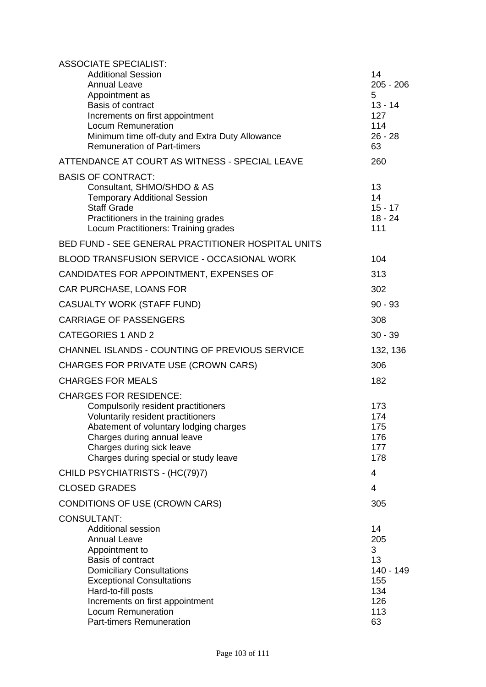| <b>ASSOCIATE SPECIALIST:</b><br><b>Additional Session</b><br><b>Annual Leave</b><br>Appointment as<br>Basis of contract<br>Increments on first appointment<br><b>Locum Remuneration</b><br>Minimum time off-duty and Extra Duty Allowance<br><b>Remuneration of Part-timers</b>                         | 14<br>$205 - 206$<br>5<br>$13 - 14$<br>127<br>114<br>$26 - 28$<br>63 |
|---------------------------------------------------------------------------------------------------------------------------------------------------------------------------------------------------------------------------------------------------------------------------------------------------------|----------------------------------------------------------------------|
| ATTENDANCE AT COURT AS WITNESS - SPECIAL LEAVE                                                                                                                                                                                                                                                          | 260                                                                  |
| <b>BASIS OF CONTRACT:</b><br>Consultant, SHMO/SHDO & AS<br><b>Temporary Additional Session</b><br><b>Staff Grade</b><br>Practitioners in the training grades<br>Locum Practitioners: Training grades                                                                                                    | 13<br>14<br>$15 - 17$<br>$18 - 24$<br>111                            |
| BED FUND - SEE GENERAL PRACTITIONER HOSPITAL UNITS                                                                                                                                                                                                                                                      |                                                                      |
| <b>BLOOD TRANSFUSION SERVICE - OCCASIONAL WORK</b>                                                                                                                                                                                                                                                      | 104                                                                  |
| CANDIDATES FOR APPOINTMENT, EXPENSES OF                                                                                                                                                                                                                                                                 | 313                                                                  |
| CAR PURCHASE, LOANS FOR                                                                                                                                                                                                                                                                                 | 302                                                                  |
| <b>CASUALTY WORK (STAFF FUND)</b>                                                                                                                                                                                                                                                                       | $90 - 93$                                                            |
| <b>CARRIAGE OF PASSENGERS</b>                                                                                                                                                                                                                                                                           | 308                                                                  |
| <b>CATEGORIES 1 AND 2</b>                                                                                                                                                                                                                                                                               | $30 - 39$                                                            |
| CHANNEL ISLANDS - COUNTING OF PREVIOUS SERVICE                                                                                                                                                                                                                                                          | 132, 136                                                             |
| CHARGES FOR PRIVATE USE (CROWN CARS)                                                                                                                                                                                                                                                                    | 306                                                                  |
| <b>CHARGES FOR MEALS</b>                                                                                                                                                                                                                                                                                | 182                                                                  |
| <b>CHARGES FOR RESIDENCE:</b><br>Compulsorily resident practitioners<br>Voluntarily resident practitioners<br>Abatement of voluntary lodging charges<br>Charges during annual leave<br>Charges during sick leave<br>Charges during special or study leave                                               | 173<br>174<br>175<br>176<br>177<br>178                               |
| CHILD PSYCHIATRISTS - (HC(79)7)                                                                                                                                                                                                                                                                         | 4                                                                    |
| <b>CLOSED GRADES</b>                                                                                                                                                                                                                                                                                    | $\overline{4}$                                                       |
| CONDITIONS OF USE (CROWN CARS)                                                                                                                                                                                                                                                                          | 305                                                                  |
| <b>CONSULTANT:</b><br><b>Additional session</b><br><b>Annual Leave</b><br>Appointment to<br>Basis of contract<br><b>Domiciliary Consultations</b><br><b>Exceptional Consultations</b><br>Hard-to-fill posts<br>Increments on first appointment<br>Locum Remuneration<br><b>Part-timers Remuneration</b> | 14<br>205<br>3<br>13<br>140 - 149<br>155<br>134<br>126<br>113<br>63  |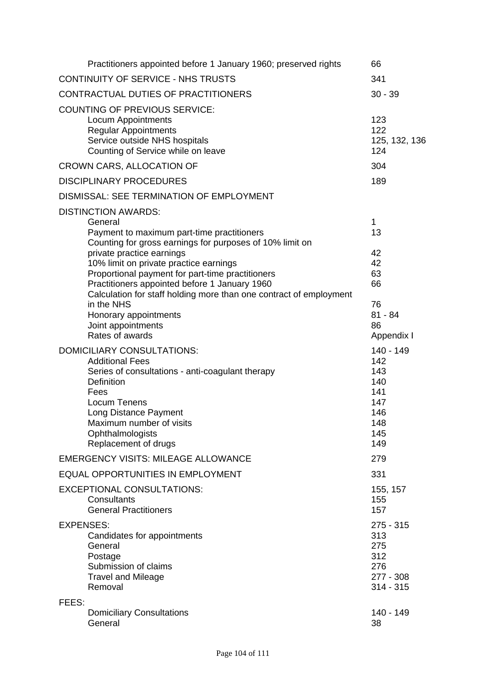| Practitioners appointed before 1 January 1960; preserved rights                                                                                                                                                                                                                                                                                                                                                                                                                   | 66                                                                       |
|-----------------------------------------------------------------------------------------------------------------------------------------------------------------------------------------------------------------------------------------------------------------------------------------------------------------------------------------------------------------------------------------------------------------------------------------------------------------------------------|--------------------------------------------------------------------------|
| CONTINUITY OF SERVICE - NHS TRUSTS                                                                                                                                                                                                                                                                                                                                                                                                                                                | 341                                                                      |
| CONTRACTUAL DUTIES OF PRACTITIONERS                                                                                                                                                                                                                                                                                                                                                                                                                                               | $30 - 39$                                                                |
| <b>COUNTING OF PREVIOUS SERVICE:</b><br><b>Locum Appointments</b><br><b>Regular Appointments</b><br>Service outside NHS hospitals<br>Counting of Service while on leave                                                                                                                                                                                                                                                                                                           | 123<br>122<br>125, 132, 136<br>124                                       |
| <b>CROWN CARS, ALLOCATION OF</b>                                                                                                                                                                                                                                                                                                                                                                                                                                                  | 304                                                                      |
| <b>DISCIPLINARY PROCEDURES</b>                                                                                                                                                                                                                                                                                                                                                                                                                                                    | 189                                                                      |
| DISMISSAL: SEE TERMINATION OF EMPLOYMENT                                                                                                                                                                                                                                                                                                                                                                                                                                          |                                                                          |
| <b>DISTINCTION AWARDS:</b><br>General<br>Payment to maximum part-time practitioners<br>Counting for gross earnings for purposes of 10% limit on<br>private practice earnings<br>10% limit on private practice earnings<br>Proportional payment for part-time practitioners<br>Practitioners appointed before 1 January 1960<br>Calculation for staff holding more than one contract of employment<br>in the NHS<br>Honorary appointments<br>Joint appointments<br>Rates of awards | 1<br>13<br>42<br>42<br>63<br>66<br>76<br>$81 - 84$<br>86<br>Appendix I   |
| <b>DOMICILIARY CONSULTATIONS:</b><br><b>Additional Fees</b><br>Series of consultations - anti-coagulant therapy<br>Definition<br>Fees<br>Locum Tenens<br>Long Distance Payment<br>Maximum number of visits<br>Ophthalmologists<br>Replacement of drugs                                                                                                                                                                                                                            | 140 - 149<br>142<br>143<br>140<br>141<br>147<br>146<br>148<br>145<br>149 |
| <b>EMERGENCY VISITS: MILEAGE ALLOWANCE</b>                                                                                                                                                                                                                                                                                                                                                                                                                                        | 279                                                                      |
| <b>EQUAL OPPORTUNITIES IN EMPLOYMENT</b>                                                                                                                                                                                                                                                                                                                                                                                                                                          | 331                                                                      |
| <b>EXCEPTIONAL CONSULTATIONS:</b><br>Consultants<br><b>General Practitioners</b>                                                                                                                                                                                                                                                                                                                                                                                                  | 155, 157<br>155<br>157                                                   |
| <b>EXPENSES:</b><br>Candidates for appointments<br>General<br>Postage<br>Submission of claims<br><b>Travel and Mileage</b><br>Removal                                                                                                                                                                                                                                                                                                                                             | $275 - 315$<br>313<br>275<br>312<br>276<br>277 - 308<br>$314 - 315$      |
| FEES:                                                                                                                                                                                                                                                                                                                                                                                                                                                                             |                                                                          |
| <b>Domiciliary Consultations</b><br>General                                                                                                                                                                                                                                                                                                                                                                                                                                       | 140 - 149<br>38                                                          |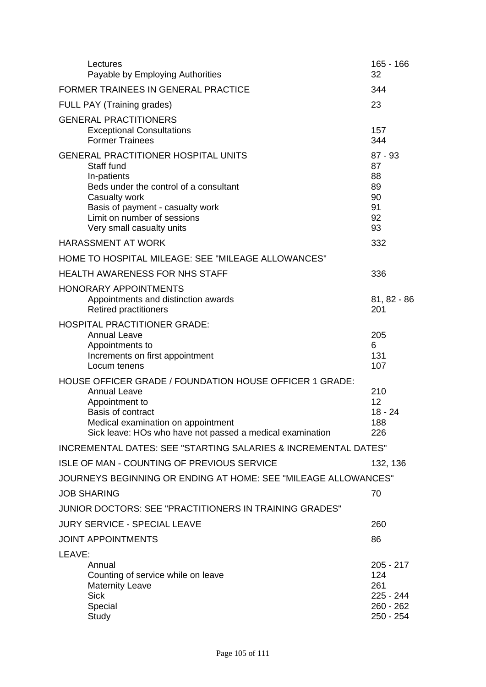| Lectures<br>Payable by Employing Authorities                                                                                                                                                                                       | 165 - 166<br>32                                                  |
|------------------------------------------------------------------------------------------------------------------------------------------------------------------------------------------------------------------------------------|------------------------------------------------------------------|
| <b>FORMER TRAINEES IN GENERAL PRACTICE</b>                                                                                                                                                                                         | 344                                                              |
| FULL PAY (Training grades)                                                                                                                                                                                                         | 23                                                               |
| <b>GENERAL PRACTITIONERS</b><br><b>Exceptional Consultations</b><br><b>Former Trainees</b>                                                                                                                                         | 157<br>344                                                       |
| <b>GENERAL PRACTITIONER HOSPITAL UNITS</b><br>Staff fund<br>In-patients<br>Beds under the control of a consultant<br>Casualty work<br>Basis of payment - casualty work<br>Limit on number of sessions<br>Very small casualty units | $87 - 93$<br>87<br>88<br>89<br>90<br>91<br>92<br>93              |
| <b>HARASSMENT AT WORK</b>                                                                                                                                                                                                          | 332                                                              |
| HOME TO HOSPITAL MILEAGE: SEE "MILEAGE ALLOWANCES"                                                                                                                                                                                 |                                                                  |
| <b>HEALTH AWARENESS FOR NHS STAFF</b>                                                                                                                                                                                              | 336                                                              |
| <b>HONORARY APPOINTMENTS</b><br>Appointments and distinction awards<br><b>Retired practitioners</b>                                                                                                                                | 81, 82 - 86<br>201                                               |
| <b>HOSPITAL PRACTITIONER GRADE:</b><br><b>Annual Leave</b><br>Appointments to<br>Increments on first appointment<br>Locum tenens                                                                                                   | 205<br>6<br>131<br>107                                           |
| HOUSE OFFICER GRADE / FOUNDATION HOUSE OFFICER 1 GRADE:<br><b>Annual Leave</b><br>Appointment to<br>Basis of contract<br>Medical examination on appointment<br>Sick leave: HOs who have not passed a medical examination           | 210<br>12<br>$18 - 24$<br>188<br>226                             |
| <b>INCREMENTAL DATES: SEE "STARTING SALARIES &amp; INCREMENTAL DATES"</b>                                                                                                                                                          |                                                                  |
| <b>ISLE OF MAN - COUNTING OF PREVIOUS SERVICE</b>                                                                                                                                                                                  | 132, 136                                                         |
| JOURNEYS BEGINNING OR ENDING AT HOME: SEE "MILEAGE ALLOWANCES"                                                                                                                                                                     |                                                                  |
| <b>JOB SHARING</b>                                                                                                                                                                                                                 | 70                                                               |
| JUNIOR DOCTORS: SEE "PRACTITIONERS IN TRAINING GRADES"                                                                                                                                                                             |                                                                  |
| <b>JURY SERVICE - SPECIAL LEAVE</b>                                                                                                                                                                                                | 260                                                              |
| <b>JOINT APPOINTMENTS</b>                                                                                                                                                                                                          | 86                                                               |
| LEAVE:<br>Annual<br>Counting of service while on leave<br><b>Maternity Leave</b><br><b>Sick</b><br>Special<br>Study                                                                                                                | $205 - 217$<br>124<br>261<br>225 - 244<br>260 - 262<br>250 - 254 |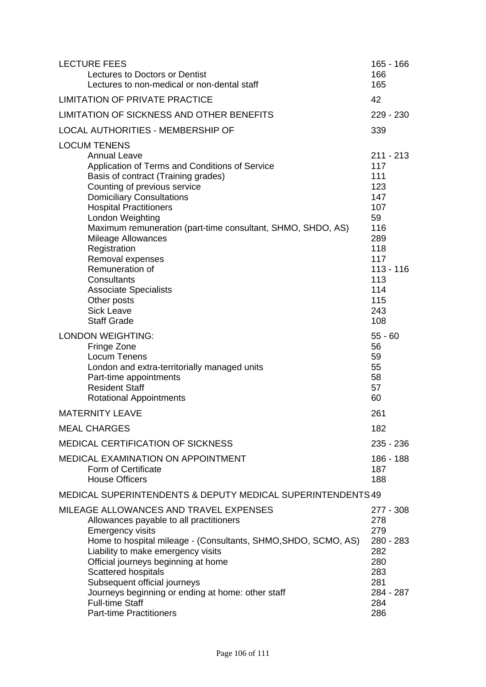| <b>LECTURE FEES</b><br>Lectures to Doctors or Dentist<br>Lectures to non-medical or non-dental staff                                                                                                                                                                                                                                                                                                                                       | $165 - 166$<br>166<br>165                                                                   |
|--------------------------------------------------------------------------------------------------------------------------------------------------------------------------------------------------------------------------------------------------------------------------------------------------------------------------------------------------------------------------------------------------------------------------------------------|---------------------------------------------------------------------------------------------|
| <b>LIMITATION OF PRIVATE PRACTICE</b>                                                                                                                                                                                                                                                                                                                                                                                                      | 42                                                                                          |
| LIMITATION OF SICKNESS AND OTHER BENEFITS                                                                                                                                                                                                                                                                                                                                                                                                  | 229 - 230                                                                                   |
| <b>LOCAL AUTHORITIES - MEMBERSHIP OF</b>                                                                                                                                                                                                                                                                                                                                                                                                   | 339                                                                                         |
| <b>LOCUM TENENS</b><br><b>Annual Leave</b><br>Application of Terms and Conditions of Service<br>Basis of contract (Training grades)<br>Counting of previous service<br><b>Domiciliary Consultations</b><br><b>Hospital Practitioners</b><br>London Weighting<br>Maximum remuneration (part-time consultant, SHMO, SHDO, AS)<br><b>Mileage Allowances</b><br>Registration<br>Removal expenses                                               | $211 - 213$<br>117<br>111<br>123<br>147<br>107<br>59<br>116<br>289<br>118<br>117            |
| Remuneration of<br>Consultants<br><b>Associate Specialists</b><br>Other posts<br><b>Sick Leave</b><br><b>Staff Grade</b>                                                                                                                                                                                                                                                                                                                   | $113 - 116$<br>113<br>114<br>115<br>243<br>108                                              |
| <b>LONDON WEIGHTING:</b><br>Fringe Zone<br>Locum Tenens<br>London and extra-territorially managed units<br>Part-time appointments<br><b>Resident Staff</b><br><b>Rotational Appointments</b>                                                                                                                                                                                                                                               | $55 - 60$<br>56<br>59<br>55<br>58<br>57<br>60                                               |
| <b>MATERNITY LEAVE</b>                                                                                                                                                                                                                                                                                                                                                                                                                     | 261                                                                                         |
| <b>MEAL CHARGES</b>                                                                                                                                                                                                                                                                                                                                                                                                                        | 182                                                                                         |
| <b>MEDICAL CERTIFICATION OF SICKNESS</b>                                                                                                                                                                                                                                                                                                                                                                                                   | 235 - 236                                                                                   |
| <b>MEDICAL EXAMINATION ON APPOINTMENT</b><br>Form of Certificate<br><b>House Officers</b>                                                                                                                                                                                                                                                                                                                                                  | 186 - 188<br>187<br>188                                                                     |
| <b>MEDICAL SUPERINTENDENTS &amp; DEPUTY MEDICAL SUPERINTENDENTS 49</b>                                                                                                                                                                                                                                                                                                                                                                     |                                                                                             |
| MILEAGE ALLOWANCES AND TRAVEL EXPENSES<br>Allowances payable to all practitioners<br><b>Emergency visits</b><br>Home to hospital mileage - (Consultants, SHMO, SHDO, SCMO, AS)<br>Liability to make emergency visits<br>Official journeys beginning at home<br><b>Scattered hospitals</b><br>Subsequent official journeys<br>Journeys beginning or ending at home: other staff<br><b>Full-time Staff</b><br><b>Part-time Practitioners</b> | 277 - 308<br>278<br>279<br>280 - 283<br>282<br>280<br>283<br>281<br>284 - 287<br>284<br>286 |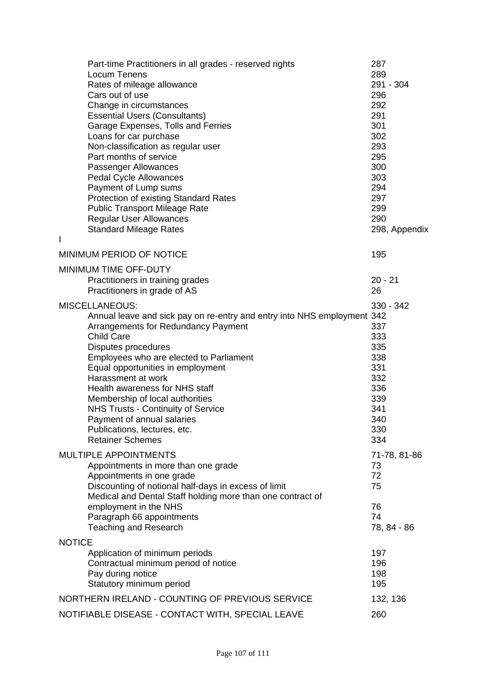| Part-time Practitioners in all grades - reserved rights<br><b>Locum Tenens</b><br>Rates of mileage allowance<br>Cars out of use<br>Change in circumstances<br><b>Essential Users (Consultants)</b><br>Garage Expenses, Tolls and Ferries<br>Loans for car purchase<br>Non-classification as regular user<br>Part months of service<br>Passenger Allowances<br><b>Pedal Cycle Allowances</b><br>Payment of Lump sums<br><b>Protection of existing Standard Rates</b><br><b>Public Transport Mileage Rate</b><br><b>Regular User Allowances</b><br><b>Standard Mileage Rates</b> | 287<br>289<br>291 - 304<br>296<br>292<br>291<br>301<br>302<br>293<br>295<br>300<br>303<br>294<br>297<br>299<br>290<br>298, Appendix |
|--------------------------------------------------------------------------------------------------------------------------------------------------------------------------------------------------------------------------------------------------------------------------------------------------------------------------------------------------------------------------------------------------------------------------------------------------------------------------------------------------------------------------------------------------------------------------------|-------------------------------------------------------------------------------------------------------------------------------------|
|                                                                                                                                                                                                                                                                                                                                                                                                                                                                                                                                                                                |                                                                                                                                     |
| <b>MINIMUM PERIOD OF NOTICE</b>                                                                                                                                                                                                                                                                                                                                                                                                                                                                                                                                                | 195                                                                                                                                 |
| MINIMUM TIME OFF-DUTY<br>Practitioners in training grades<br>Practitioners in grade of AS                                                                                                                                                                                                                                                                                                                                                                                                                                                                                      | $20 - 21$<br>26                                                                                                                     |
| MISCELLANEOUS:<br>Annual leave and sick pay on re-entry and entry into NHS employment 342<br>Arrangements for Redundancy Payment<br><b>Child Care</b><br>Disputes procedures<br>Employees who are elected to Parliament<br>Equal opportunities in employment<br>Harassment at work<br>Health awareness for NHS staff<br>Membership of local authorities<br><b>NHS Trusts - Continuity of Service</b><br>Payment of annual salaries<br>Publications, lectures, etc.<br><b>Retainer Schemes</b>                                                                                  | 330 - 342<br>337<br>333<br>335<br>338<br>331<br>332<br>336<br>339<br>341<br>340<br>330<br>334                                       |
| <b>MULTIPLE APPOINTMENTS</b><br>Appointments in more than one grade<br>Appointments in one grade<br>Discounting of notional half-days in excess of limit<br>Medical and Dental Staff holding more than one contract of<br>employment in the NHS<br>Paragraph 66 appointments<br><b>Teaching and Research</b>                                                                                                                                                                                                                                                                   | 71-78, 81-86<br>73<br>72<br>75<br>76<br>74<br>78, 84 - 86                                                                           |
| <b>NOTICE</b>                                                                                                                                                                                                                                                                                                                                                                                                                                                                                                                                                                  |                                                                                                                                     |
| Application of minimum periods<br>Contractual minimum period of notice<br>Pay during notice<br>Statutory minimum period                                                                                                                                                                                                                                                                                                                                                                                                                                                        | 197<br>196<br>198<br>195                                                                                                            |
| NORTHERN IRELAND - COUNTING OF PREVIOUS SERVICE                                                                                                                                                                                                                                                                                                                                                                                                                                                                                                                                | 132, 136                                                                                                                            |
| NOTIFIABLE DISEASE - CONTACT WITH, SPECIAL LEAVE                                                                                                                                                                                                                                                                                                                                                                                                                                                                                                                               | 260                                                                                                                                 |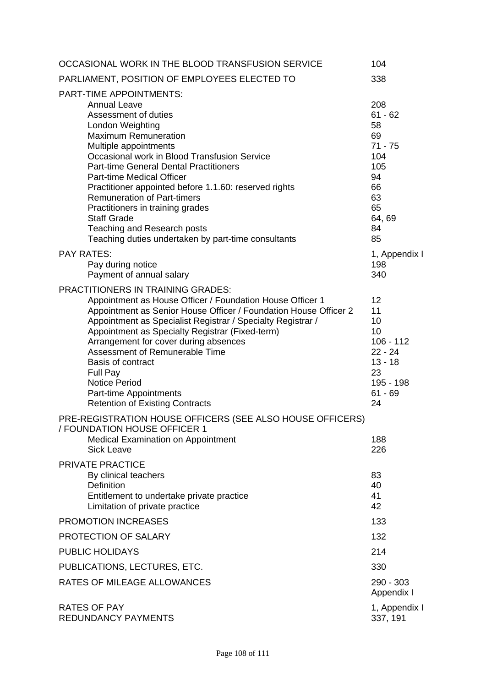| OCCASIONAL WORK IN THE BLOOD TRANSFUSION SERVICE                                                                                                                                                                                                                                                                                                                                                                                                                                                                                              | 104                                                                                                              |
|-----------------------------------------------------------------------------------------------------------------------------------------------------------------------------------------------------------------------------------------------------------------------------------------------------------------------------------------------------------------------------------------------------------------------------------------------------------------------------------------------------------------------------------------------|------------------------------------------------------------------------------------------------------------------|
| PARLIAMENT, POSITION OF EMPLOYEES ELECTED TO                                                                                                                                                                                                                                                                                                                                                                                                                                                                                                  | 338                                                                                                              |
| <b>PART-TIME APPOINTMENTS:</b><br><b>Annual Leave</b><br>Assessment of duties<br>London Weighting<br><b>Maximum Remuneration</b><br>Multiple appointments<br>Occasional work in Blood Transfusion Service<br><b>Part-time General Dental Practitioners</b><br><b>Part-time Medical Officer</b><br>Practitioner appointed before 1.1.60: reserved rights<br><b>Remuneration of Part-timers</b><br>Practitioners in training grades<br><b>Staff Grade</b><br>Teaching and Research posts<br>Teaching duties undertaken by part-time consultants | 208<br>$61 - 62$<br>58<br>69<br>$71 - 75$<br>104<br>105<br>94<br>66<br>63<br>65<br>64,69<br>84<br>85             |
| <b>PAY RATES:</b><br>Pay during notice<br>Payment of annual salary                                                                                                                                                                                                                                                                                                                                                                                                                                                                            | 1, Appendix I<br>198<br>340                                                                                      |
| <b>PRACTITIONERS IN TRAINING GRADES:</b><br>Appointment as House Officer / Foundation House Officer 1<br>Appointment as Senior House Officer / Foundation House Officer 2<br>Appointment as Specialist Registrar / Specialty Registrar /<br>Appointment as Specialty Registrar (Fixed-term)<br>Arrangement for cover during absences<br>Assessment of Remunerable Time<br>Basis of contract<br>Full Pay<br><b>Notice Period</b><br>Part-time Appointments<br><b>Retention of Existing Contracts</b>                                           | 12 <sup>2</sup><br>11<br>10<br>10<br>$106 - 112$<br>$22 - 24$<br>$13 - 18$<br>23<br>195 - 198<br>$61 - 69$<br>24 |
| PRE-REGISTRATION HOUSE OFFICERS (SEE ALSO HOUSE OFFICERS)<br>/ FOUNDATION HOUSE OFFICER 1<br><b>Medical Examination on Appointment</b><br><b>Sick Leave</b>                                                                                                                                                                                                                                                                                                                                                                                   | 188<br>226                                                                                                       |
| <b>PRIVATE PRACTICE</b><br>By clinical teachers<br><b>Definition</b><br>Entitlement to undertake private practice<br>Limitation of private practice                                                                                                                                                                                                                                                                                                                                                                                           | 83<br>40<br>41<br>42                                                                                             |
| PROMOTION INCREASES                                                                                                                                                                                                                                                                                                                                                                                                                                                                                                                           | 133                                                                                                              |
| PROTECTION OF SALARY                                                                                                                                                                                                                                                                                                                                                                                                                                                                                                                          | 132                                                                                                              |
| <b>PUBLIC HOLIDAYS</b>                                                                                                                                                                                                                                                                                                                                                                                                                                                                                                                        | 214                                                                                                              |
| PUBLICATIONS, LECTURES, ETC.                                                                                                                                                                                                                                                                                                                                                                                                                                                                                                                  | 330                                                                                                              |
| <b>RATES OF MILEAGE ALLOWANCES</b>                                                                                                                                                                                                                                                                                                                                                                                                                                                                                                            | 290 - 303<br>Appendix I                                                                                          |
| <b>RATES OF PAY</b><br><b>REDUNDANCY PAYMENTS</b>                                                                                                                                                                                                                                                                                                                                                                                                                                                                                             | 1, Appendix I<br>337, 191                                                                                        |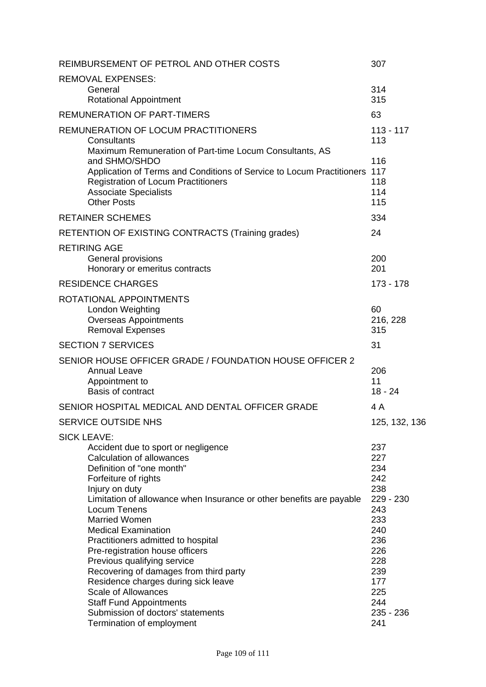|                                                                                                                                                                                                                                                                                                                                                                                                                                                                                                                                                                                                                         | 307                                                                                                                                    |
|-------------------------------------------------------------------------------------------------------------------------------------------------------------------------------------------------------------------------------------------------------------------------------------------------------------------------------------------------------------------------------------------------------------------------------------------------------------------------------------------------------------------------------------------------------------------------------------------------------------------------|----------------------------------------------------------------------------------------------------------------------------------------|
| <b>REMOVAL EXPENSES:</b>                                                                                                                                                                                                                                                                                                                                                                                                                                                                                                                                                                                                | 314                                                                                                                                    |
| General<br><b>Rotational Appointment</b>                                                                                                                                                                                                                                                                                                                                                                                                                                                                                                                                                                                | 315                                                                                                                                    |
| <b>REMUNERATION OF PART-TIMERS</b>                                                                                                                                                                                                                                                                                                                                                                                                                                                                                                                                                                                      | 63                                                                                                                                     |
| REMUNERATION OF LOCUM PRACTITIONERS<br>Consultants<br>Maximum Remuneration of Part-time Locum Consultants, AS                                                                                                                                                                                                                                                                                                                                                                                                                                                                                                           | $113 - 117$<br>113                                                                                                                     |
| and SHMO/SHDO<br>Application of Terms and Conditions of Service to Locum Practitioners<br><b>Registration of Locum Practitioners</b><br><b>Associate Specialists</b><br><b>Other Posts</b>                                                                                                                                                                                                                                                                                                                                                                                                                              | 116<br>117<br>118<br>114<br>115                                                                                                        |
| <b>RETAINER SCHEMES</b>                                                                                                                                                                                                                                                                                                                                                                                                                                                                                                                                                                                                 | 334                                                                                                                                    |
| RETENTION OF EXISTING CONTRACTS (Training grades)                                                                                                                                                                                                                                                                                                                                                                                                                                                                                                                                                                       | 24                                                                                                                                     |
| <b>RETIRING AGE</b><br>General provisions<br>Honorary or emeritus contracts                                                                                                                                                                                                                                                                                                                                                                                                                                                                                                                                             | 200<br>201                                                                                                                             |
| <b>RESIDENCE CHARGES</b>                                                                                                                                                                                                                                                                                                                                                                                                                                                                                                                                                                                                | $173 - 178$                                                                                                                            |
| ROTATIONAL APPOINTMENTS<br>London Weighting<br><b>Overseas Appointments</b><br><b>Removal Expenses</b>                                                                                                                                                                                                                                                                                                                                                                                                                                                                                                                  | 60<br>216, 228<br>315                                                                                                                  |
| <b>SECTION 7 SERVICES</b>                                                                                                                                                                                                                                                                                                                                                                                                                                                                                                                                                                                               | 31                                                                                                                                     |
| SENIOR HOUSE OFFICER GRADE / FOUNDATION HOUSE OFFICER 2<br><b>Annual Leave</b><br>Appointment to<br>Basis of contract                                                                                                                                                                                                                                                                                                                                                                                                                                                                                                   | 206<br>11<br>$18 - 24$                                                                                                                 |
| SENIOR HOSPITAL MEDICAL AND DENTAL OFFICER GRADE                                                                                                                                                                                                                                                                                                                                                                                                                                                                                                                                                                        | 4 A                                                                                                                                    |
| SERVICE OUTSIDE NHS                                                                                                                                                                                                                                                                                                                                                                                                                                                                                                                                                                                                     | 125, 132, 136                                                                                                                          |
| <b>SICK LEAVE:</b>                                                                                                                                                                                                                                                                                                                                                                                                                                                                                                                                                                                                      |                                                                                                                                        |
| Accident due to sport or negligence<br><b>Calculation of allowances</b><br>Definition of "one month"<br>Forfeiture of rights<br>Injury on duty<br>Limitation of allowance when Insurance or other benefits are payable<br>Locum Tenens<br><b>Married Women</b><br><b>Medical Examination</b><br>Practitioners admitted to hospital<br>Pre-registration house officers<br>Previous qualifying service<br>Recovering of damages from third party<br>Residence charges during sick leave<br><b>Scale of Allowances</b><br><b>Staff Fund Appointments</b><br>Submission of doctors' statements<br>Termination of employment | 237<br>227<br>234<br>242<br>238<br>229 - 230<br>243<br>233<br>240<br>236<br>226<br>228<br>239<br>177<br>225<br>244<br>235 - 236<br>241 |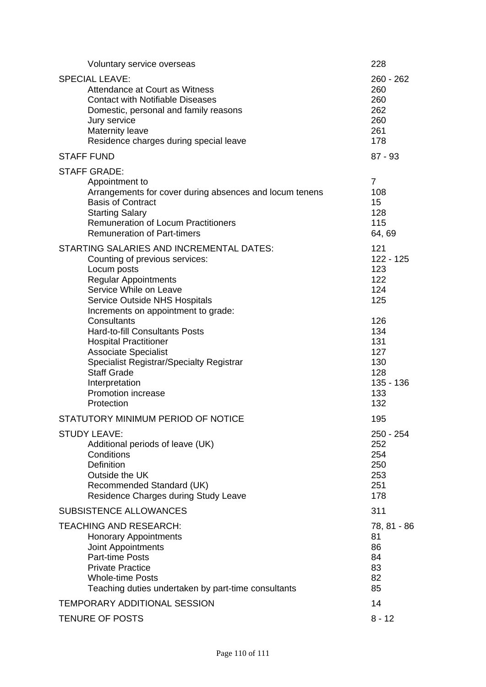| Voluntary service overseas                                                                                                                                                                                                                                                                                                                                                                                                                                                                            | 228                                                                                                                   |
|-------------------------------------------------------------------------------------------------------------------------------------------------------------------------------------------------------------------------------------------------------------------------------------------------------------------------------------------------------------------------------------------------------------------------------------------------------------------------------------------------------|-----------------------------------------------------------------------------------------------------------------------|
| <b>SPECIAL LEAVE:</b><br>Attendance at Court as Witness<br><b>Contact with Notifiable Diseases</b><br>Domestic, personal and family reasons<br>Jury service<br>Maternity leave<br>Residence charges during special leave                                                                                                                                                                                                                                                                              | $260 - 262$<br>260<br>260<br>262<br>260<br>261<br>178                                                                 |
| <b>STAFF FUND</b>                                                                                                                                                                                                                                                                                                                                                                                                                                                                                     | $87 - 93$                                                                                                             |
| <b>STAFF GRADE:</b><br>Appointment to<br>Arrangements for cover during absences and locum tenens<br><b>Basis of Contract</b><br><b>Starting Salary</b><br><b>Remuneration of Locum Practitioners</b><br><b>Remuneration of Part-timers</b>                                                                                                                                                                                                                                                            | $\overline{7}$<br>108<br>15<br>128<br>115<br>64, 69                                                                   |
| <b>STARTING SALARIES AND INCREMENTAL DATES:</b><br>Counting of previous services:<br>Locum posts<br><b>Regular Appointments</b><br>Service While on Leave<br><b>Service Outside NHS Hospitals</b><br>Increments on appointment to grade:<br>Consultants<br><b>Hard-to-fill Consultants Posts</b><br><b>Hospital Practitioner</b><br><b>Associate Specialist</b><br><b>Specialist Registrar/Specialty Registrar</b><br><b>Staff Grade</b><br>Interpretation<br><b>Promotion increase</b><br>Protection | 121<br>$122 - 125$<br>123<br>122<br>124<br>125<br>126<br>134<br>131<br>127<br>130<br>128<br>$135 - 136$<br>133<br>132 |
| STATUTORY MINIMUM PERIOD OF NOTICE                                                                                                                                                                                                                                                                                                                                                                                                                                                                    | 195                                                                                                                   |
| <b>STUDY LEAVE:</b><br>Additional periods of leave (UK)<br>Conditions<br><b>Definition</b><br>Outside the UK<br>Recommended Standard (UK)<br>Residence Charges during Study Leave                                                                                                                                                                                                                                                                                                                     | 250 - 254<br>252<br>254<br>250<br>253<br>251<br>178                                                                   |
| <b>SUBSISTENCE ALLOWANCES</b>                                                                                                                                                                                                                                                                                                                                                                                                                                                                         | 311                                                                                                                   |
| <b>TEACHING AND RESEARCH:</b><br><b>Honorary Appointments</b><br><b>Joint Appointments</b><br><b>Part-time Posts</b><br><b>Private Practice</b><br><b>Whole-time Posts</b><br>Teaching duties undertaken by part-time consultants                                                                                                                                                                                                                                                                     | 78, 81 - 86<br>81<br>86<br>84<br>83<br>82<br>85                                                                       |
| TEMPORARY ADDITIONAL SESSION                                                                                                                                                                                                                                                                                                                                                                                                                                                                          | 14                                                                                                                    |
| TENURE OF POSTS                                                                                                                                                                                                                                                                                                                                                                                                                                                                                       | $8 - 12$                                                                                                              |